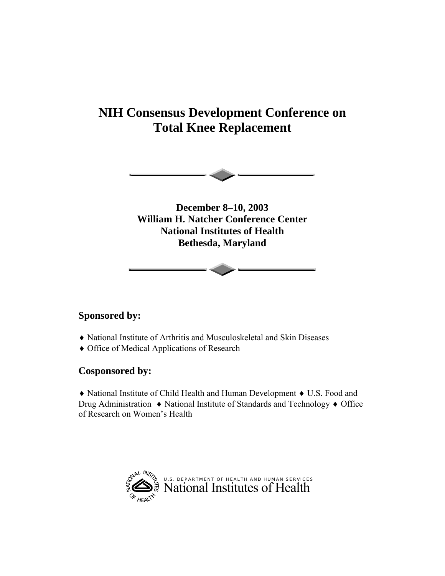# **NIH Consensus Development Conference on Total Knee Replacement**



**December 8–10, 2003 William H. Natcher Conference Center National Institutes of Health Bethesda, Maryland** 



## **Sponsored by:**

- ♦ National Institute of Arthritis and Musculoskeletal and Skin Diseases
- ♦ Office of Medical Applications of Research

## **Cosponsored by:**

♦ National Institute of Child Health and Human Development ♦ U.S. Food and Drug Administration ♦ National Institute of Standards and Technology ♦ Office of Research on Women's Health

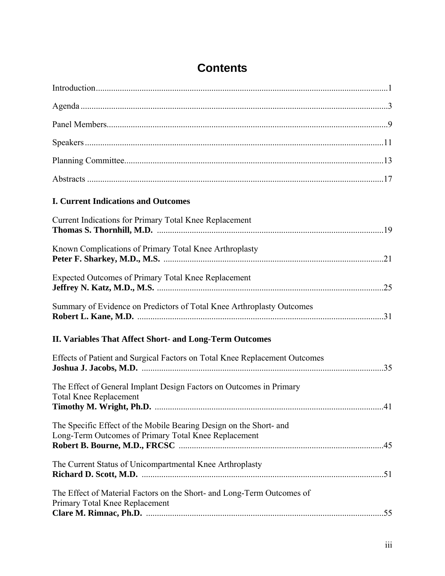| <b>I. Current Indications and Outcomes</b>                                                                                 |  |
|----------------------------------------------------------------------------------------------------------------------------|--|
| Current Indications for Primary Total Knee Replacement                                                                     |  |
| Known Complications of Primary Total Knee Arthroplasty                                                                     |  |
| Expected Outcomes of Primary Total Knee Replacement                                                                        |  |
| Summary of Evidence on Predictors of Total Knee Arthroplasty Outcomes                                                      |  |
| <b>II. Variables That Affect Short- and Long-Term Outcomes</b>                                                             |  |
| Effects of Patient and Surgical Factors on Total Knee Replacement Outcomes                                                 |  |
| The Effect of General Implant Design Factors on Outcomes in Primary<br><b>Total Knee Replacement</b>                       |  |
| The Specific Effect of the Mobile Bearing Design on the Short- and<br>Long-Term Outcomes of Primary Total Knee Replacement |  |
| The Current Status of Unicompartmental Knee Arthroplasty                                                                   |  |
| The Effect of Material Factors on the Short- and Long-Term Outcomes of<br>Primary Total Knee Replacement                   |  |

# **Contents**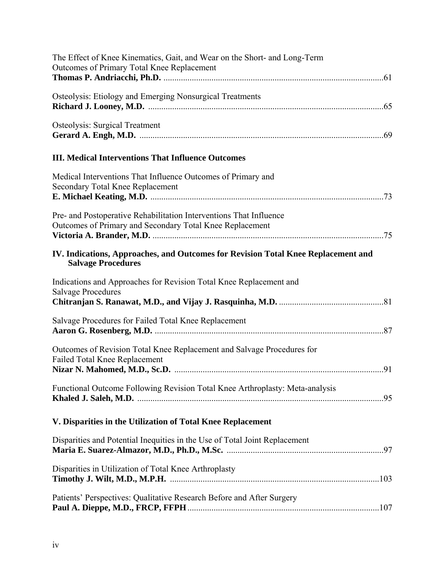| The Effect of Knee Kinematics, Gait, and Wear on the Short- and Long-Term<br>Outcomes of Primary Total Knee Replacement        |
|--------------------------------------------------------------------------------------------------------------------------------|
|                                                                                                                                |
| Osteolysis: Etiology and Emerging Nonsurgical Treatments                                                                       |
| Osteolysis: Surgical Treatment                                                                                                 |
| <b>III. Medical Interventions That Influence Outcomes</b>                                                                      |
| Medical Interventions That Influence Outcomes of Primary and<br><b>Secondary Total Knee Replacement</b>                        |
| Pre- and Postoperative Rehabilitation Interventions That Influence<br>Outcomes of Primary and Secondary Total Knee Replacement |
| IV. Indications, Approaches, and Outcomes for Revision Total Knee Replacement and<br><b>Salvage Procedures</b>                 |
| Indications and Approaches for Revision Total Knee Replacement and<br><b>Salvage Procedures</b>                                |
| Salvage Procedures for Failed Total Knee Replacement                                                                           |
| Outcomes of Revision Total Knee Replacement and Salvage Procedures for<br>Failed Total Knee Replacement                        |
| Functional Outcome Following Revision Total Knee Arthroplasty: Meta-analysis                                                   |
| V. Disparities in the Utilization of Total Knee Replacement                                                                    |
| Disparities and Potential Inequities in the Use of Total Joint Replacement                                                     |
| Disparities in Utilization of Total Knee Arthroplasty                                                                          |
| Patients' Perspectives: Qualitative Research Before and After Surgery                                                          |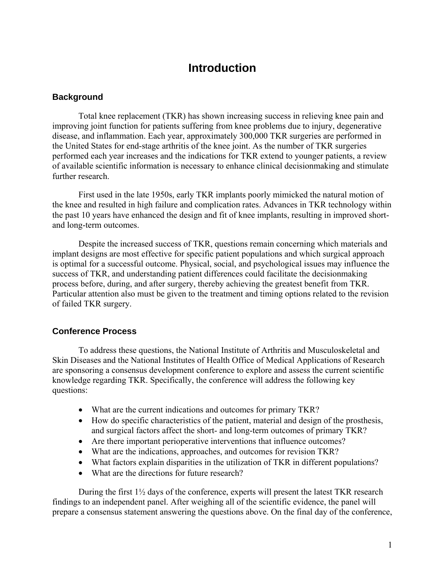# **Introduction**

## **Background**

Total knee replacement (TKR) has shown increasing success in relieving knee pain and improving joint function for patients suffering from knee problems due to injury, degenerative disease, and inflammation. Each year, approximately 300,000 TKR surgeries are performed in the United States for end-stage arthritis of the knee joint. As the number of TKR surgeries performed each year increases and the indications for TKR extend to younger patients, a review of available scientific information is necessary to enhance clinical decisionmaking and stimulate further research.

First used in the late 1950s, early TKR implants poorly mimicked the natural motion of the knee and resulted in high failure and complication rates. Advances in TKR technology within the past 10 years have enhanced the design and fit of knee implants, resulting in improved shortand long-term outcomes.

Despite the increased success of TKR, questions remain concerning which materials and implant designs are most effective for specific patient populations and which surgical approach is optimal for a successful outcome. Physical, social, and psychological issues may influence the success of TKR, and understanding patient differences could facilitate the decisionmaking process before, during, and after surgery, thereby achieving the greatest benefit from TKR. Particular attention also must be given to the treatment and timing options related to the revision of failed TKR surgery.

## **Conference Process**

To address these questions, the National Institute of Arthritis and Musculoskeletal and Skin Diseases and the National Institutes of Health Office of Medical Applications of Research are sponsoring a consensus development conference to explore and assess the current scientific knowledge regarding TKR. Specifically, the conference will address the following key questions:

- What are the current indications and outcomes for primary TKR?
- How do specific characteristics of the patient, material and design of the prosthesis, and surgical factors affect the short- and long-term outcomes of primary TKR?
- Are there important perioperative interventions that influence outcomes?
- What are the indications, approaches, and outcomes for revision TKR?
- What factors explain disparities in the utilization of TKR in different populations?
- What are the directions for future research?

During the first 1½ days of the conference, experts will present the latest TKR research findings to an independent panel. After weighing all of the scientific evidence, the panel will prepare a consensus statement answering the questions above. On the final day of the conference,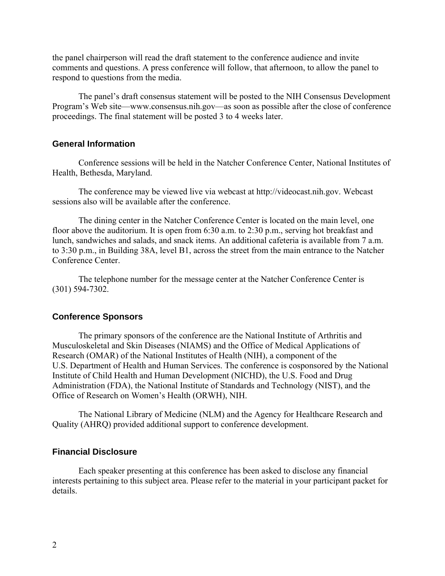the panel chairperson will read the draft statement to the conference audience and invite comments and questions. A press conference will follow, that afternoon, to allow the panel to respond to questions from the media.

The panel's draft consensus statement will be posted to the NIH Consensus Development Program's Web site—www.consensus.nih.gov—as soon as possible after the close of conference proceedings. The final statement will be posted 3 to 4 weeks later.

## **General Information**

Conference sessions will be held in the Natcher Conference Center, National Institutes of Health, Bethesda, Maryland.

The conference may be viewed live via webcast at http://videocast.nih.gov. Webcast sessions also will be available after the conference.

The dining center in the Natcher Conference Center is located on the main level, one floor above the auditorium. It is open from 6:30 a.m. to 2:30 p.m., serving hot breakfast and lunch, sandwiches and salads, and snack items. An additional cafeteria is available from 7 a.m. to 3:30 p.m., in Building 38A, level B1, across the street from the main entrance to the Natcher Conference Center.

The telephone number for the message center at the Natcher Conference Center is (301) 594-7302.

## **Conference Sponsors**

The primary sponsors of the conference are the National Institute of Arthritis and Musculoskeletal and Skin Diseases (NIAMS) and the Office of Medical Applications of Research (OMAR) of the National Institutes of Health (NIH), a component of the U.S. Department of Health and Human Services. The conference is cosponsored by the National Institute of Child Health and Human Development (NICHD), the U.S. Food and Drug Administration (FDA), the National Institute of Standards and Technology (NIST), and the Office of Research on Women's Health (ORWH), NIH.

The National Library of Medicine (NLM) and the Agency for Healthcare Research and Quality (AHRQ) provided additional support to conference development.

### **Financial Disclosure**

Each speaker presenting at this conference has been asked to disclose any financial interests pertaining to this subject area. Please refer to the material in your participant packet for details.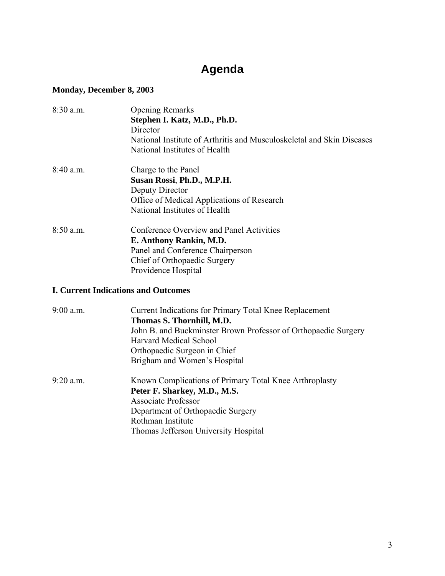# **Agenda**

## **Monday, December 8, 2003**

| $8:30$ a.m. | <b>Opening Remarks</b><br>Stephen I. Katz, M.D., Ph.D.<br>Director<br>National Institute of Arthritis and Musculoskeletal and Skin Diseases<br>National Institutes of Health |
|-------------|------------------------------------------------------------------------------------------------------------------------------------------------------------------------------|
| $8:40$ a.m. | Charge to the Panel<br>Susan Rossi, Ph.D., M.P.H.<br>Deputy Director<br>Office of Medical Applications of Research<br>National Institutes of Health                          |
| $8:50$ a.m. | Conference Overview and Panel Activities<br>E. Anthony Rankin, M.D.<br>Panel and Conference Chairperson<br>Chief of Orthopaedic Surgery<br>Providence Hospital               |

## **I. Current Indications and Outcomes**

| $9:00$ a.m. | Current Indications for Primary Total Knee Replacement         |
|-------------|----------------------------------------------------------------|
|             | Thomas S. Thornhill, M.D.                                      |
|             | John B. and Buckminster Brown Professor of Orthopaedic Surgery |
|             | <b>Harvard Medical School</b>                                  |
|             | Orthopaedic Surgeon in Chief                                   |
|             | Brigham and Women's Hospital                                   |
| $9:20$ a.m. | Known Complications of Primary Total Knee Arthroplasty         |
|             | Peter F. Sharkey, M.D., M.S.                                   |
|             | <b>Associate Professor</b>                                     |
|             | Department of Orthopaedic Surgery                              |
|             | Rothman Institute                                              |
|             | Thomas Jefferson University Hospital                           |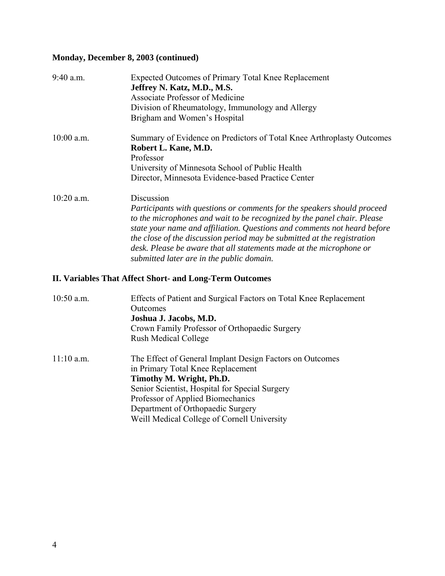## **Monday, December 8, 2003 (continued)**

| 9:40 a.m.    | <b>Expected Outcomes of Primary Total Knee Replacement</b><br>Jeffrey N. Katz, M.D., M.S.<br>Associate Professor of Medicine<br>Division of Rheumatology, Immunology and Allergy<br>Brigham and Women's Hospital                                                                                                                                                                                                                            |
|--------------|---------------------------------------------------------------------------------------------------------------------------------------------------------------------------------------------------------------------------------------------------------------------------------------------------------------------------------------------------------------------------------------------------------------------------------------------|
| $10:00$ a.m. | Summary of Evidence on Predictors of Total Knee Arthroplasty Outcomes<br>Robert L. Kane, M.D.<br>Professor<br>University of Minnesota School of Public Health<br>Director, Minnesota Evidence-based Practice Center                                                                                                                                                                                                                         |
| $10:20$ a.m. | Discussion<br>Participants with questions or comments for the speakers should proceed<br>to the microphones and wait to be recognized by the panel chair. Please<br>state your name and affiliation. Questions and comments not heard before<br>the close of the discussion period may be submitted at the registration<br>desk. Please be aware that all statements made at the microphone or<br>submitted later are in the public domain. |

## **II. Variables That Affect Short- and Long-Term Outcomes**

| $10:50$ a.m. | Effects of Patient and Surgical Factors on Total Knee Replacement<br>Outcomes<br>Joshua J. Jacobs, M.D.<br>Crown Family Professor of Orthopaedic Surgery<br><b>Rush Medical College</b>                                                                                                              |
|--------------|------------------------------------------------------------------------------------------------------------------------------------------------------------------------------------------------------------------------------------------------------------------------------------------------------|
| $11:10$ a.m. | The Effect of General Implant Design Factors on Outcomes<br>in Primary Total Knee Replacement<br>Timothy M. Wright, Ph.D.<br>Senior Scientist, Hospital for Special Surgery<br>Professor of Applied Biomechanics<br>Department of Orthopaedic Surgery<br>Weill Medical College of Cornell University |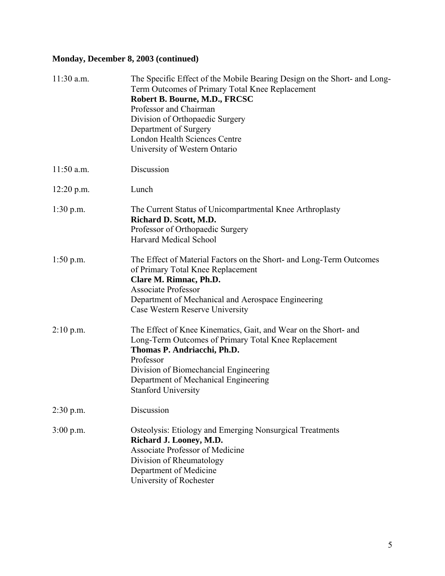# **Monday, December 8, 2003 (continued)**

| $11:30$ a.m. | The Specific Effect of the Mobile Bearing Design on the Short- and Long-<br>Term Outcomes of Primary Total Knee Replacement<br>Robert B. Bourne, M.D., FRCSC<br>Professor and Chairman<br>Division of Orthopaedic Surgery<br>Department of Surgery<br>London Health Sciences Centre<br>University of Western Ontario |
|--------------|----------------------------------------------------------------------------------------------------------------------------------------------------------------------------------------------------------------------------------------------------------------------------------------------------------------------|
| $11:50$ a.m. | Discussion                                                                                                                                                                                                                                                                                                           |
| $12:20$ p.m. | Lunch                                                                                                                                                                                                                                                                                                                |
| $1:30$ p.m.  | The Current Status of Unicompartmental Knee Arthroplasty<br>Richard D. Scott, M.D.<br>Professor of Orthopaedic Surgery<br><b>Harvard Medical School</b>                                                                                                                                                              |
| $1:50$ p.m.  | The Effect of Material Factors on the Short- and Long-Term Outcomes<br>of Primary Total Knee Replacement<br>Clare M. Rimnac, Ph.D.<br><b>Associate Professor</b><br>Department of Mechanical and Aerospace Engineering<br>Case Western Reserve University                                                            |
| $2:10$ p.m.  | The Effect of Knee Kinematics, Gait, and Wear on the Short- and<br>Long-Term Outcomes of Primary Total Knee Replacement<br>Thomas P. Andriacchi, Ph.D.<br>Professor<br>Division of Biomechancial Engineering<br>Department of Mechanical Engineering<br><b>Stanford University</b>                                   |
| $2:30$ p.m.  | Discussion                                                                                                                                                                                                                                                                                                           |
| $3:00$ p.m.  | Osteolysis: Etiology and Emerging Nonsurgical Treatments<br>Richard J. Looney, M.D.<br>Associate Professor of Medicine<br>Division of Rheumatology<br>Department of Medicine<br>University of Rochester                                                                                                              |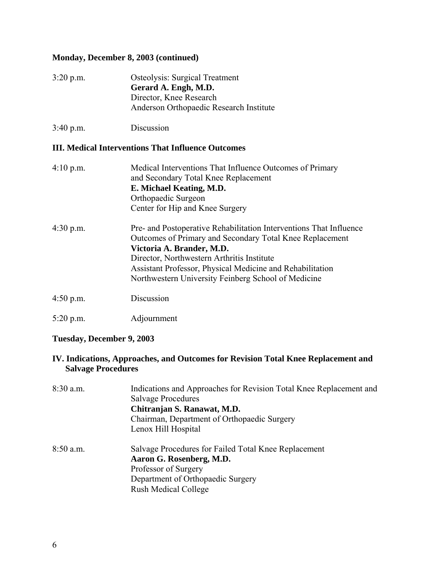## **Monday, December 8, 2003 (continued)**

| $3:20$ p.m. | <b>Osteolysis: Surgical Treatment</b><br>Gerard A. Engh, M.D.      |
|-------------|--------------------------------------------------------------------|
|             | Director, Knee Research<br>Anderson Orthopaedic Research Institute |
| $3:40$ p.m. | Discussion                                                         |

## **III. Medical Interventions That Influence Outcomes**

| $4:10 \text{ p.m.}$ | Medical Interventions That Influence Outcomes of Primary<br>and Secondary Total Knee Replacement<br>E. Michael Keating, M.D.<br>Orthopaedic Surgeon<br>Center for Hip and Knee Surgery                                                                                                                                        |
|---------------------|-------------------------------------------------------------------------------------------------------------------------------------------------------------------------------------------------------------------------------------------------------------------------------------------------------------------------------|
| $4:30$ p.m.         | Pre- and Postoperative Rehabilitation Interventions That Influence<br>Outcomes of Primary and Secondary Total Knee Replacement<br>Victoria A. Brander, M.D.<br>Director, Northwestern Arthritis Institute<br>Assistant Professor, Physical Medicine and Rehabilitation<br>Northwestern University Feinberg School of Medicine |
| $4:50$ p.m.         | Discussion                                                                                                                                                                                                                                                                                                                    |

5:20 p.m. Adjournment

## **Tuesday, December 9, 2003**

## **IV. Indications, Approaches, and Outcomes for Revision Total Knee Replacement and Salvage Procedures**

| $8:30$ a.m. | Indications and Approaches for Revision Total Knee Replacement and<br><b>Salvage Procedures</b><br>Chitranjan S. Ranawat, M.D.<br>Chairman, Department of Orthopaedic Surgery<br>Lenox Hill Hospital |
|-------------|------------------------------------------------------------------------------------------------------------------------------------------------------------------------------------------------------|
| $8:50$ a.m. | Salvage Procedures for Failed Total Knee Replacement<br>Aaron G. Rosenberg, M.D.<br>Professor of Surgery<br>Department of Orthopaedic Surgery<br><b>Rush Medical College</b>                         |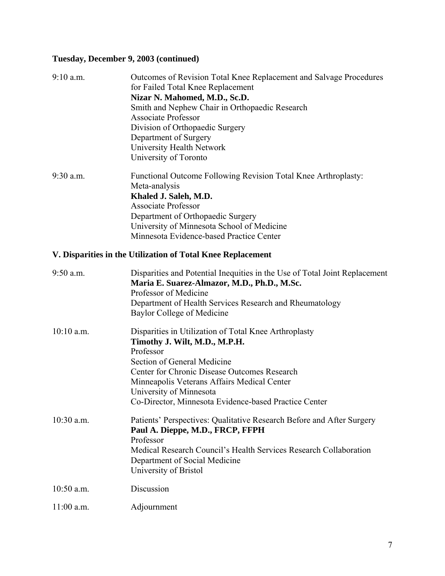## **Tuesday, December 9, 2003 (continued)**

| $9:10$ a.m. | Outcomes of Revision Total Knee Replacement and Salvage Procedures<br>for Failed Total Knee Replacement<br>Nizar N. Mahomed, M.D., Sc.D.<br>Smith and Nephew Chair in Orthopaedic Research<br><b>Associate Professor</b><br>Division of Orthopaedic Surgery<br>Department of Surgery<br>University Health Network<br>University of Toronto |
|-------------|--------------------------------------------------------------------------------------------------------------------------------------------------------------------------------------------------------------------------------------------------------------------------------------------------------------------------------------------|
| $9:30$ a.m. | Functional Outcome Following Revision Total Knee Arthroplasty:<br>Meta-analysis<br>Khaled J. Saleh, M.D.<br><b>Associate Professor</b><br>Department of Orthopaedic Surgery<br>University of Minnesota School of Medicine<br>Minnesota Evidence-based Practice Center                                                                      |
|             | V. Disparities in the Utilization of Total Knee Replacement                                                                                                                                                                                                                                                                                |
| $9:50$ a.m. | Disparities and Potential Inequities in the Use of Total Joint Replacement<br>Maria E. Suarez-Almazor, M.D., Ph.D., M.Sc.<br>Professor of Medicine<br>Department of Health Services Research and Rheumatology<br>Baylor College of Medicine                                                                                                |

| $10:10$ a.m. | Disparities in Utilization of Total Knee Arthroplasty                 |
|--------------|-----------------------------------------------------------------------|
|              | Timothy J. Wilt, M.D., M.P.H.                                         |
|              | Professor                                                             |
|              | Section of General Medicine                                           |
|              | Center for Chronic Disease Outcomes Research                          |
|              | Minneapolis Veterans Affairs Medical Center                           |
|              | University of Minnesota                                               |
|              | Co-Director, Minnesota Evidence-based Practice Center                 |
| $10:30$ a.m. | Patients' Perspectives: Qualitative Research Before and After Surgery |
|              | Paul A. Dieppe, M.D., FRCP, FFPH                                      |
|              | Professor                                                             |
|              |                                                                       |

Medical Research Council's Health Services Research Collaboration Department of Social Medicine University of Bristol

- 10:50 a.m. Discussion
- 11:00 a.m. Adjournment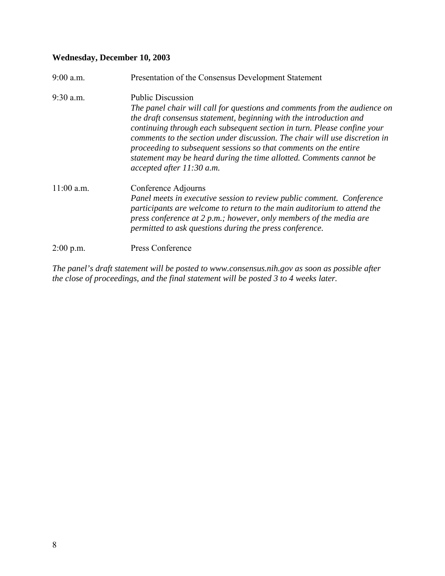## **Wednesday, December 10, 2003**

| $9:00$ a.m.  | Presentation of the Consensus Development Statement                                                                                                                                                                                                                                                                                                                                                                                                                                                          |  |  |  |  |
|--------------|--------------------------------------------------------------------------------------------------------------------------------------------------------------------------------------------------------------------------------------------------------------------------------------------------------------------------------------------------------------------------------------------------------------------------------------------------------------------------------------------------------------|--|--|--|--|
| $9:30$ a.m.  | <b>Public Discussion</b><br>The panel chair will call for questions and comments from the audience on<br>the draft consensus statement, beginning with the introduction and<br>continuing through each subsequent section in turn. Please confine your<br>comments to the section under discussion. The chair will use discretion in<br>proceeding to subsequent sessions so that comments on the entire<br>statement may be heard during the time allotted. Comments cannot be<br>accepted after 11:30 a.m. |  |  |  |  |
| $11:00$ a.m. | Conference Adjourns<br>Panel meets in executive session to review public comment. Conference<br>participants are welcome to return to the main auditorium to attend the<br>press conference at 2 p.m.; however, only members of the media are<br>permitted to ask questions during the press conference.                                                                                                                                                                                                     |  |  |  |  |
| $2:00$ p.m.  | Press Conference                                                                                                                                                                                                                                                                                                                                                                                                                                                                                             |  |  |  |  |

*The panel's draft statement will be posted to www.consensus.nih.gov as soon as possible after the close of proceedings, and the final statement will be posted 3 to 4 weeks later.*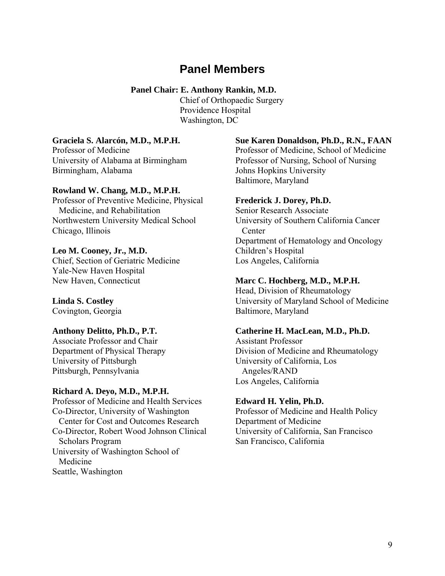# **Panel Members**

#### **Panel Chair: E. Anthony Rankin, M.D.**

Chief of Orthopaedic Surgery Providence Hospital Washington, DC

### **Graciela S. Alarcón, M.D., M.P.H.**

Professor of Medicine University of Alabama at Birmingham Birmingham, Alabama

#### **Rowland W. Chang, M.D., M.P.H.**

Professor of Preventive Medicine, Physical Medicine, and Rehabilitation Northwestern University Medical School Chicago, Illinois

#### **Leo M. Cooney, Jr., M.D.**

Chief, Section of Geriatric Medicine Yale-New Haven Hospital New Haven, Connecticut

**Linda S. Costley**  Covington, Georgia

#### **Anthony Delitto, Ph.D., P.T.**

Associate Professor and Chair Department of Physical Therapy University of Pittsburgh Pittsburgh, Pennsylvania

#### **Richard A. Deyo, M.D., M.P.H.**

Professor of Medicine and Health Services Co-Director, University of Washington Center for Cost and Outcomes Research Co-Director, Robert Wood Johnson Clinical Scholars Program University of Washington School of Medicine Seattle, Washington

#### **Sue Karen Donaldson, Ph.D., R.N., FAAN**

Professor of Medicine, School of Medicine Professor of Nursing, School of Nursing Johns Hopkins University Baltimore, Maryland

#### **Frederick J. Dorey, Ph.D.**

Senior Research Associate University of Southern California Cancer **Center** Department of Hematology and Oncology Children's Hospital Los Angeles, California

#### **Marc C. Hochberg, M.D., M.P.H.**

Head, Division of Rheumatology University of Maryland School of Medicine Baltimore, Maryland

#### **Catherine H. MacLean, M.D., Ph.D.**

Assistant Professor Division of Medicine and Rheumatology University of California, Los Angeles/RAND Los Angeles, California

#### **Edward H. Yelin, Ph.D.**

Professor of Medicine and Health Policy Department of Medicine University of California, San Francisco San Francisco, California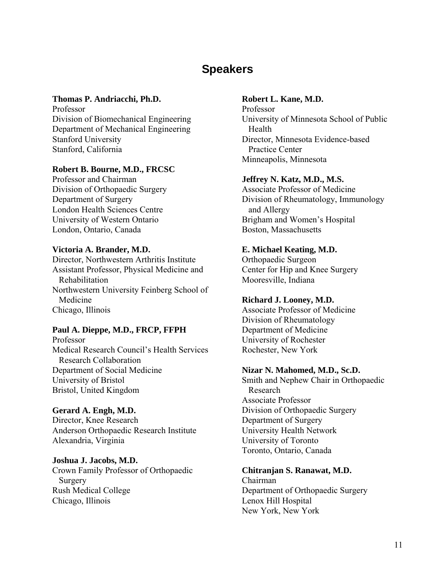# **Speakers**

## **Thomas P. Andriacchi, Ph.D.**

Professor Division of Biomechanical Engineering Department of Mechanical Engineering Stanford University Stanford, California

## **Robert B. Bourne, M.D., FRCSC**

Professor and Chairman Division of Orthopaedic Surgery Department of Surgery London Health Sciences Centre University of Western Ontario London, Ontario, Canada

### **Victoria A. Brander, M.D.**

Director, Northwestern Arthritis Institute Assistant Professor, Physical Medicine and Rehabilitation Northwestern University Feinberg School of Medicine Chicago, Illinois

## **Paul A. Dieppe, M.D., FRCP, FFPH**

Professor Medical Research Council's Health Services Research Collaboration Department of Social Medicine University of Bristol Bristol, United Kingdom

#### **Gerard A. Engh, M.D.**

Director, Knee Research Anderson Orthopaedic Research Institute Alexandria, Virginia

## **Joshua J. Jacobs, M.D.**

Crown Family Professor of Orthopaedic Surgery Rush Medical College Chicago, Illinois

## **Robert L. Kane, M.D.**

Professor University of Minnesota School of Public Health Director, Minnesota Evidence-based Practice Center Minneapolis, Minnesota

### **Jeffrey N. Katz, M.D., M.S.**

Associate Professor of Medicine Division of Rheumatology, Immunology and Allergy Brigham and Women's Hospital Boston, Massachusetts

### **E. Michael Keating, M.D.**

Orthopaedic Surgeon Center for Hip and Knee Surgery Mooresville, Indiana

#### **Richard J. Looney, M.D.**

Associate Professor of Medicine Division of Rheumatology Department of Medicine University of Rochester Rochester, New York

#### **Nizar N. Mahomed, M.D., Sc.D.**

Smith and Nephew Chair in Orthopaedic Research Associate Professor Division of Orthopaedic Surgery Department of Surgery University Health Network University of Toronto Toronto, Ontario, Canada

#### **Chitranjan S. Ranawat, M.D.**

Chairman Department of Orthopaedic Surgery Lenox Hill Hospital New York, New York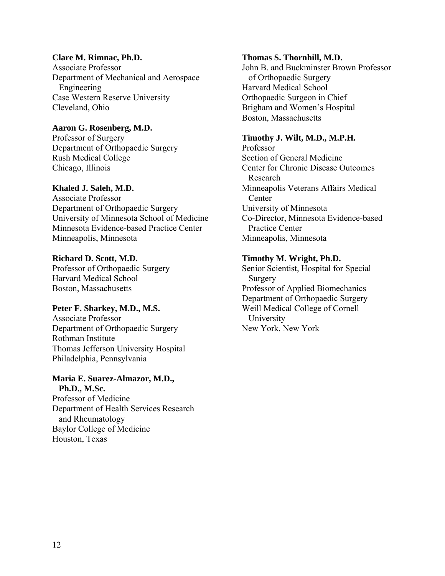## **Clare M. Rimnac, Ph.D.**

Associate Professor Department of Mechanical and Aerospace Engineering Case Western Reserve University Cleveland, Ohio

## **Aaron G. Rosenberg, M.D.**

Professor of Surgery Department of Orthopaedic Surgery Rush Medical College Chicago, Illinois

## **Khaled J. Saleh, M.D.**

Associate Professor Department of Orthopaedic Surgery University of Minnesota School of Medicine Minnesota Evidence-based Practice Center Minneapolis, Minnesota

## **Richard D. Scott, M.D.**

Professor of Orthopaedic Surgery Harvard Medical School Boston, Massachusetts

## **Peter F. Sharkey, M.D., M.S.**

Associate Professor Department of Orthopaedic Surgery Rothman Institute Thomas Jefferson University Hospital Philadelphia, Pennsylvania

### **Maria E. Suarez-Almazor, M.D., Ph.D., M.Sc.**

Professor of Medicine Department of Health Services Research and Rheumatology Baylor College of Medicine Houston, Texas

## **Thomas S. Thornhill, M.D.**

John B. and Buckminster Brown Professor of Orthopaedic Surgery Harvard Medical School Orthopaedic Surgeon in Chief Brigham and Women's Hospital Boston, Massachusetts

## **Timothy J. Wilt, M.D., M.P.H.**

Professor Section of General Medicine Center for Chronic Disease Outcomes Research Minneapolis Veterans Affairs Medical Center University of Minnesota Co-Director, Minnesota Evidence-based Practice Center Minneapolis, Minnesota

## **Timothy M. Wright, Ph.D.**

Senior Scientist, Hospital for Special Surgery Professor of Applied Biomechanics Department of Orthopaedic Surgery Weill Medical College of Cornell University New York, New York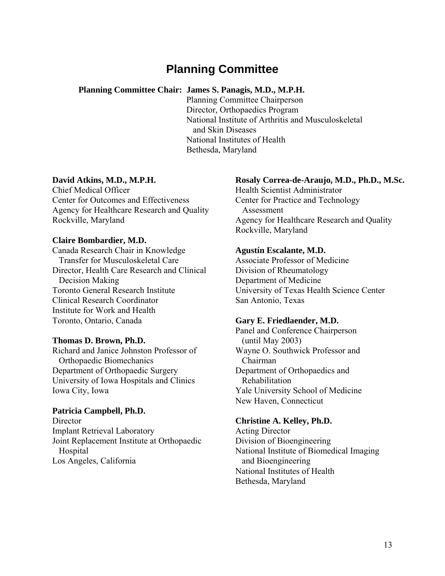# **Planning Committee**

## **Planning Committee Chair: James S. Panagis, M.D., M.P.H.**

Planning Committee Chairperson Director, Orthopaedics Program National Institute of Arthritis and Musculoskeletal and Skin Diseases National Institutes of Health Bethesda, Maryland

## **David Atkins, M.D., M.P.H.**

Chief Medical Officer Center for Outcomes and Effectiveness Agency for Healthcare Research and Quality Rockville, Maryland

## **Claire Bombardier, M.D.**

Canada Research Chair in Knowledge Transfer for Musculoskeletal Care Director, Health Care Research and Clinical Decision Making Toronto General Research Institute Clinical Research Coordinator Institute for Work and Health Toronto, Ontario, Canada

## **Thomas D. Brown, Ph.D.**

Richard and Janice Johnston Professor of Orthopaedic Biomechanics Department of Orthopaedic Surgery University of Iowa Hospitals and Clinics Iowa City, Iowa

## **Patricia Campbell, Ph.D.**

**Director** Implant Retrieval Laboratory Joint Replacement Institute at Orthopaedic Hospital Los Angeles, California

## **Rosaly Correa-de-Araujo, M.D., Ph.D., M.Sc.**

Health Scientist Administrator Center for Practice and Technology Assessment Agency for Healthcare Research and Quality Rockville, Maryland

## **Agustín Escalante, M.D.**

Associate Professor of Medicine Division of Rheumatology Department of Medicine University of Texas Health Science Center San Antonio, Texas

## **Gary E. Friedlaender, M.D.**

Panel and Conference Chairperson (until May 2003) Wayne O. Southwick Professor and Chairman Department of Orthopaedics and Rehabilitation Yale University School of Medicine New Haven, Connecticut

#### **Christine A. Kelley, Ph.D.**

Acting Director Division of Bioengineering National Institute of Biomedical Imaging and Bioengineering National Institutes of Health Bethesda, Maryland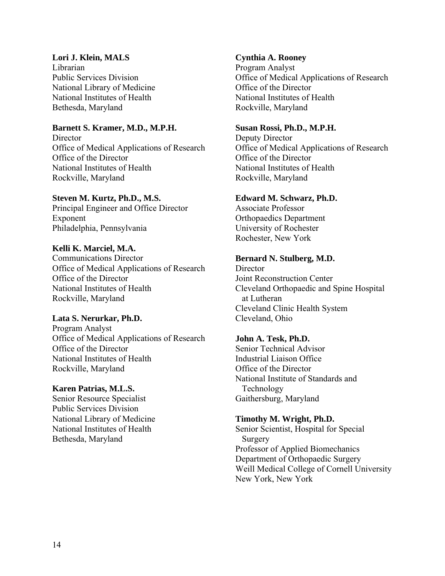## **Lori J. Klein, MALS**

Librarian Public Services Division National Library of Medicine National Institutes of Health Bethesda, Maryland

## **Barnett S. Kramer, M.D., M.P.H.**

**Director** Office of Medical Applications of Research Office of the Director National Institutes of Health Rockville, Maryland

## **Steven M. Kurtz, Ph.D., M.S.**

Principal Engineer and Office Director Exponent Philadelphia, Pennsylvania

## **Kelli K. Marciel, M.A.**

Communications Director Office of Medical Applications of Research Office of the Director National Institutes of Health Rockville, Maryland

#### **Lata S. Nerurkar, Ph.D.**

Program Analyst Office of Medical Applications of Research Office of the Director National Institutes of Health Rockville, Maryland

## **Karen Patrias, M.L.S.**

Senior Resource Specialist Public Services Division National Library of Medicine National Institutes of Health Bethesda, Maryland

## **Cynthia A. Rooney**

Program Analyst Office of Medical Applications of Research Office of the Director National Institutes of Health Rockville, Maryland

### **Susan Rossi, Ph.D., M.P.H.**

Deputy Director Office of Medical Applications of Research Office of the Director National Institutes of Health Rockville, Maryland

### **Edward M. Schwarz, Ph.D.**

Associate Professor Orthopaedics Department University of Rochester Rochester, New York

### **Bernard N. Stulberg, M.D.**

**Director** Joint Reconstruction Center Cleveland Orthopaedic and Spine Hospital at Lutheran Cleveland Clinic Health System Cleveland, Ohio

## **John A. Tesk, Ph.D.**

Senior Technical Advisor Industrial Liaison Office Office of the Director National Institute of Standards and Technology Gaithersburg, Maryland

#### **Timothy M. Wright, Ph.D.**

Senior Scientist, Hospital for Special Surgery Professor of Applied Biomechanics Department of Orthopaedic Surgery Weill Medical College of Cornell University New York, New York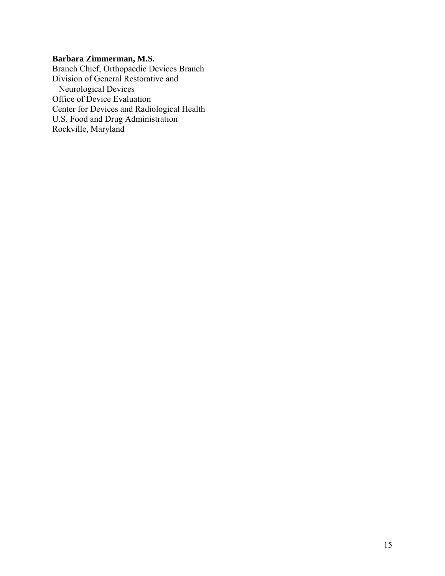## **Barbara Zimmerman, M.S.**

Branch Chief, Orthopaedic Devices Branch Division of General Restorative and Neurological Devices Office of Device Evaluation Center for Devices and Radiological Health U.S. Food and Drug Administration Rockville, Maryland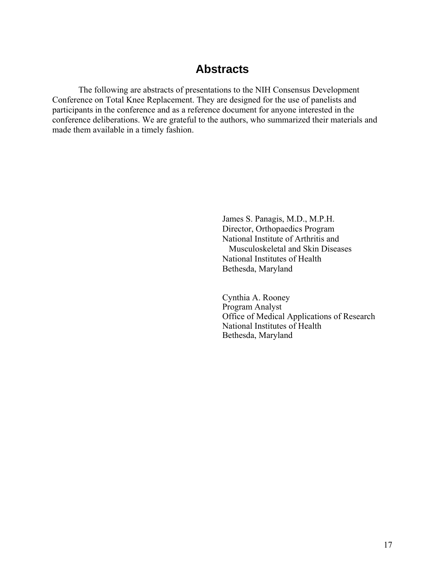# **Abstracts**

The following are abstracts of presentations to the NIH Consensus Development Conference on Total Knee Replacement. They are designed for the use of panelists and participants in the conference and as a reference document for anyone interested in the conference deliberations. We are grateful to the authors, who summarized their materials and made them available in a timely fashion.

> James S. Panagis, M.D., M.P.H. Director, Orthopaedics Program National Institute of Arthritis and Musculoskeletal and Skin Diseases National Institutes of Health Bethesda, Maryland

Cynthia A. Rooney Program Analyst Office of Medical Applications of Research National Institutes of Health Bethesda, Maryland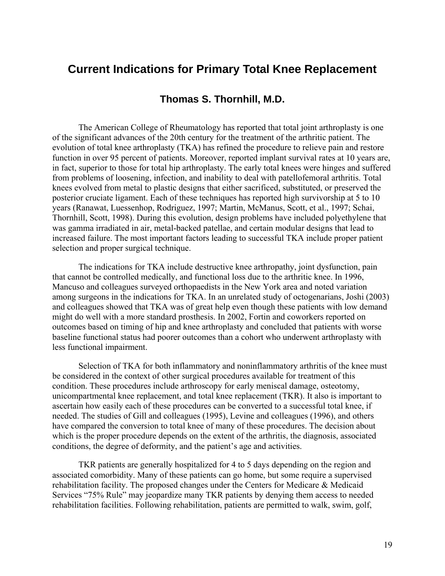## **Current Indications for Primary Total Knee Replacement**

## **Thomas S. Thornhill, M.D.**

The American College of Rheumatology has reported that total joint arthroplasty is one of the significant advances of the 20th century for the treatment of the arthritic patient. The evolution of total knee arthroplasty (TKA) has refined the procedure to relieve pain and restore function in over 95 percent of patients. Moreover, reported implant survival rates at 10 years are, in fact, superior to those for total hip arthroplasty. The early total knees were hinges and suffered from problems of loosening, infection, and inability to deal with patellofemoral arthritis. Total knees evolved from metal to plastic designs that either sacrificed, substituted, or preserved the posterior cruciate ligament. Each of these techniques has reported high survivorship at 5 to 10 years (Ranawat, Luessenhop, Rodriguez, 1997; Martin, McManus, Scott, et al., 1997; Schai, Thornhill, Scott, 1998). During this evolution, design problems have included polyethylene that was gamma irradiated in air, metal-backed patellae, and certain modular designs that lead to increased failure. The most important factors leading to successful TKA include proper patient selection and proper surgical technique.

The indications for TKA include destructive knee arthropathy, joint dysfunction, pain that cannot be controlled medically, and functional loss due to the arthritic knee. In 1996, Mancuso and colleagues surveyed orthopaedists in the New York area and noted variation among surgeons in the indications for TKA. In an unrelated study of octogenarians, Joshi (2003) and colleagues showed that TKA was of great help even though these patients with low demand might do well with a more standard prosthesis. In 2002, Fortin and coworkers reported on outcomes based on timing of hip and knee arthroplasty and concluded that patients with worse baseline functional status had poorer outcomes than a cohort who underwent arthroplasty with less functional impairment.

Selection of TKA for both inflammatory and noninflammatory arthritis of the knee must be considered in the context of other surgical procedures available for treatment of this condition. These procedures include arthroscopy for early meniscal damage, osteotomy, unicompartmental knee replacement, and total knee replacement (TKR). It also is important to ascertain how easily each of these procedures can be converted to a successful total knee, if needed. The studies of Gill and colleagues (1995), Levine and colleagues (1996), and others have compared the conversion to total knee of many of these procedures. The decision about which is the proper procedure depends on the extent of the arthritis, the diagnosis, associated conditions, the degree of deformity, and the patient's age and activities.

TKR patients are generally hospitalized for 4 to 5 days depending on the region and associated comorbidity. Many of these patients can go home, but some require a supervised rehabilitation facility. The proposed changes under the Centers for Medicare & Medicaid Services "75% Rule" may jeopardize many TKR patients by denying them access to needed rehabilitation facilities. Following rehabilitation, patients are permitted to walk, swim, golf,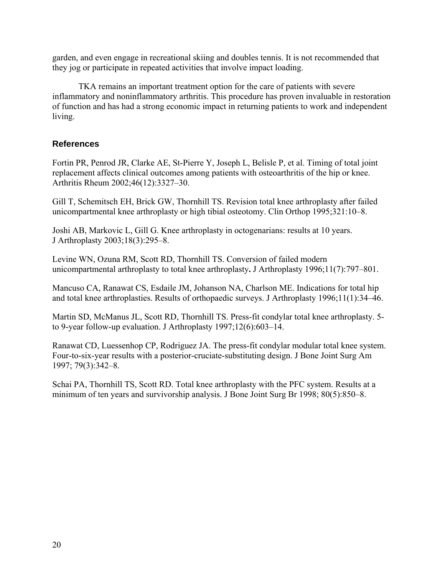garden, and even engage in recreational skiing and doubles tennis. It is not recommended that they jog or participate in repeated activities that involve impact loading.

TKA remains an important treatment option for the care of patients with severe inflammatory and noninflammatory arthritis. This procedure has proven invaluable in restoration of function and has had a strong economic impact in returning patients to work and independent living.

## **References**

Fortin PR, Penrod JR, Clarke AE, St-Pierre Y, Joseph L, Belisle P, et al. Timing of total joint replacement affects clinical outcomes among patients with osteoarthritis of the hip or knee. Arthritis Rheum 2002;46(12):3327–30.

Gill T, Schemitsch EH, Brick GW, Thornhill TS. Revision total knee arthroplasty after failed unicompartmental knee arthroplasty or high tibial osteotomy. Clin Orthop 1995;321:10–8.

Joshi AB, Markovic L, Gill G. Knee arthroplasty in octogenarians: results at 10 years. J Arthroplasty 2003;18(3):295–8.

Levine WN, Ozuna RM, Scott RD, Thornhill TS. Conversion of failed modern unicompartmental arthroplasty to total knee arthroplasty**.** J Arthroplasty 1996;11(7):797–801.

Mancuso CA, Ranawat CS, Esdaile JM, Johanson NA, Charlson ME. Indications for total hip and total knee arthroplasties. Results of orthopaedic surveys. J Arthroplasty 1996;11(1):34–46.

Martin SD, McManus JL, Scott RD, Thornhill TS. Press-fit condylar total knee arthroplasty. 5 to 9-year follow-up evaluation. J Arthroplasty 1997;12(6):603–14.

Ranawat CD, Luessenhop CP, Rodriguez JA. The press-fit condylar modular total knee system. Four-to-six-year results with a posterior-cruciate-substituting design. J Bone Joint Surg Am 1997; 79(3):342–8.

Schai PA, Thornhill TS, Scott RD. Total knee arthroplasty with the PFC system. Results at a minimum of ten years and survivorship analysis. J Bone Joint Surg Br 1998; 80(5):850–8.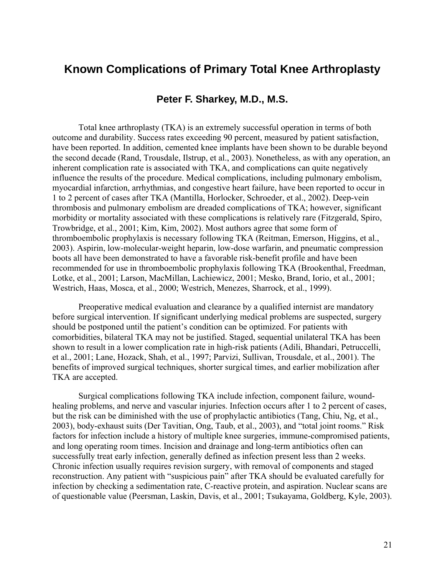## **Known Complications of Primary Total Knee Arthroplasty**

## **Peter F. Sharkey, M.D., M.S.**

Total knee arthroplasty (TKA) is an extremely successful operation in terms of both outcome and durability. Success rates exceeding 90 percent, measured by patient satisfaction, have been reported. In addition, cemented knee implants have been shown to be durable beyond the second decade (Rand, Trousdale, Ilstrup, et al., 2003). Nonetheless, as with any operation, an inherent complication rate is associated with TKA, and complications can quite negatively influence the results of the procedure. Medical complications, including pulmonary embolism, myocardial infarction, arrhythmias, and congestive heart failure, have been reported to occur in 1 to 2 percent of cases after TKA (Mantilla, Horlocker, Schroeder, et al., 2002). Deep-vein thrombosis and pulmonary embolism are dreaded complications of TKA; however, significant morbidity or mortality associated with these complications is relatively rare (Fitzgerald, Spiro, Trowbridge, et al., 2001; Kim, Kim, 2002). Most authors agree that some form of thromboembolic prophylaxis is necessary following TKA (Reitman, Emerson, Higgins, et al., 2003). Aspirin, low-molecular-weight heparin, low-dose warfarin, and pneumatic compression boots all have been demonstrated to have a favorable risk-benefit profile and have been recommended for use in thromboembolic prophylaxis following TKA (Brookenthal, Freedman, Lotke, et al., 2001; Larson, MacMillan, Lachiewicz, 2001; Mesko, Brand, Iorio, et al., 2001; Westrich, Haas, Mosca, et al., 2000; Westrich, Menezes, Sharrock, et al., 1999).

Preoperative medical evaluation and clearance by a qualified internist are mandatory before surgical intervention. If significant underlying medical problems are suspected, surgery should be postponed until the patient's condition can be optimized. For patients with comorbidities, bilateral TKA may not be justified. Staged, sequential unilateral TKA has been shown to result in a lower complication rate in high-risk patients (Adili, Bhandari, Petruccelli, et al., 2001; Lane, Hozack, Shah, et al., 1997; Parvizi, Sullivan, Trousdale, et al., 2001). The benefits of improved surgical techniques, shorter surgical times, and earlier mobilization after TKA are accepted.

Surgical complications following TKA include infection, component failure, woundhealing problems, and nerve and vascular injuries. Infection occurs after 1 to 2 percent of cases, but the risk can be diminished with the use of prophylactic antibiotics (Tang, Chiu, Ng, et al., 2003), body-exhaust suits (Der Tavitian, Ong, Taub, et al., 2003), and "total joint rooms." Risk factors for infection include a history of multiple knee surgeries, immune-compromised patients, and long operating room times. Incision and drainage and long-term antibiotics often can successfully treat early infection, generally defined as infection present less than 2 weeks. Chronic infection usually requires revision surgery, with removal of components and staged reconstruction. Any patient with "suspicious pain" after TKA should be evaluated carefully for infection by checking a sedimentation rate, C-reactive protein, and aspiration. Nuclear scans are of questionable value (Peersman, Laskin, Davis, et al., 2001; Tsukayama, Goldberg, Kyle, 2003).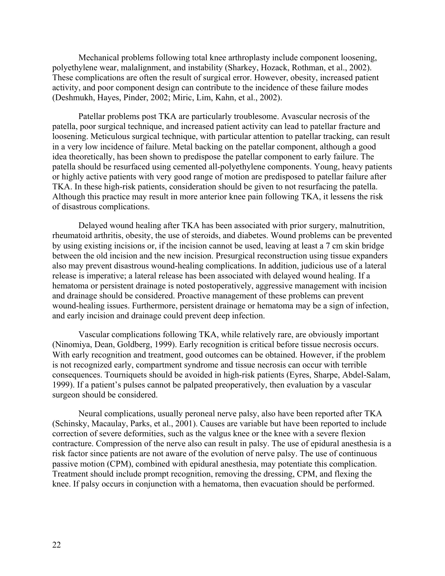Mechanical problems following total knee arthroplasty include component loosening, polyethylene wear, malalignment, and instability (Sharkey, Hozack, Rothman, et al., 2002). These complications are often the result of surgical error. However, obesity, increased patient activity, and poor component design can contribute to the incidence of these failure modes (Deshmukh, Hayes, Pinder, 2002; Miric, Lim, Kahn, et al., 2002).

Patellar problems post TKA are particularly troublesome. Avascular necrosis of the patella, poor surgical technique, and increased patient activity can lead to patellar fracture and loosening. Meticulous surgical technique, with particular attention to patellar tracking, can result in a very low incidence of failure. Metal backing on the patellar component, although a good idea theoretically, has been shown to predispose the patellar component to early failure. The patella should be resurfaced using cemented all-polyethylene components. Young, heavy patients or highly active patients with very good range of motion are predisposed to patellar failure after TKA. In these high-risk patients, consideration should be given to not resurfacing the patella. Although this practice may result in more anterior knee pain following TKA, it lessens the risk of disastrous complications.

Delayed wound healing after TKA has been associated with prior surgery, malnutrition, rheumatoid arthritis, obesity, the use of steroids, and diabetes. Wound problems can be prevented by using existing incisions or, if the incision cannot be used, leaving at least a 7 cm skin bridge between the old incision and the new incision. Presurgical reconstruction using tissue expanders also may prevent disastrous wound-healing complications. In addition, judicious use of a lateral release is imperative; a lateral release has been associated with delayed wound healing. If a hematoma or persistent drainage is noted postoperatively, aggressive management with incision and drainage should be considered. Proactive management of these problems can prevent wound-healing issues. Furthermore, persistent drainage or hematoma may be a sign of infection, and early incision and drainage could prevent deep infection.

Vascular complications following TKA, while relatively rare, are obviously important (Ninomiya, Dean, Goldberg, 1999). Early recognition is critical before tissue necrosis occurs. With early recognition and treatment, good outcomes can be obtained. However, if the problem is not recognized early, compartment syndrome and tissue necrosis can occur with terrible consequences. Tourniquets should be avoided in high-risk patients (Eyres, Sharpe, Abdel-Salam, 1999). If a patient's pulses cannot be palpated preoperatively, then evaluation by a vascular surgeon should be considered.

Neural complications, usually peroneal nerve palsy, also have been reported after TKA (Schinsky, Macaulay, Parks, et al., 2001). Causes are variable but have been reported to include correction of severe deformities, such as the valgus knee or the knee with a severe flexion contracture. Compression of the nerve also can result in palsy. The use of epidural anesthesia is a risk factor since patients are not aware of the evolution of nerve palsy. The use of continuous passive motion (CPM), combined with epidural anesthesia, may potentiate this complication. Treatment should include prompt recognition, removing the dressing, CPM, and flexing the knee. If palsy occurs in conjunction with a hematoma, then evacuation should be performed.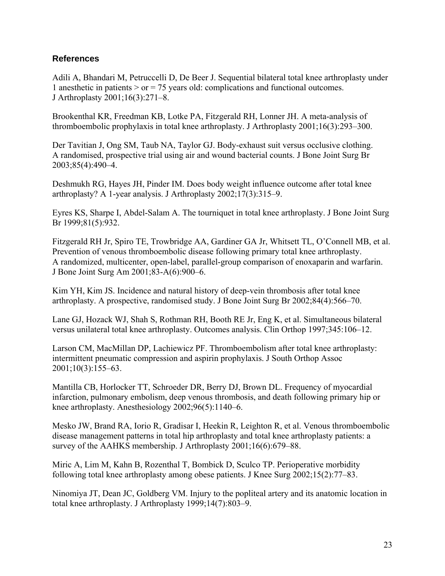## **References**

Adili A, Bhandari M, Petruccelli D, De Beer J. Sequential bilateral total knee arthroplasty under 1 anesthetic in patients > or = 75 years old: complications and functional outcomes. J Arthroplasty 2001;16(3):271–8.

Brookenthal KR, Freedman KB, Lotke PA, Fitzgerald RH, Lonner JH. A meta-analysis of thromboembolic prophylaxis in total knee arthroplasty. J Arthroplasty 2001;16(3):293–300.

Der Tavitian J, Ong SM, Taub NA, Taylor GJ. Body-exhaust suit versus occlusive clothing. A randomised, prospective trial using air and wound bacterial counts. J Bone Joint Surg Br 2003;85(4):490–4.

Deshmukh RG, Hayes JH, Pinder IM. Does body weight influence outcome after total knee arthroplasty? A 1-year analysis. J Arthroplasty 2002;17(3):315–9.

Eyres KS, Sharpe I, Abdel-Salam A. The tourniquet in total knee arthroplasty. J Bone Joint Surg Br 1999;81(5):932.

Fitzgerald RH Jr, Spiro TE, Trowbridge AA, Gardiner GA Jr, Whitsett TL, O'Connell MB, et al. Prevention of venous thromboembolic disease following primary total knee arthroplasty. A randomized, multicenter, open-label, parallel-group comparison of enoxaparin and warfarin. J Bone Joint Surg Am 2001;83-A(6):900–6.

Kim YH, Kim JS. Incidence and natural history of deep-vein thrombosis after total knee arthroplasty. A prospective, randomised study. J Bone Joint Surg Br 2002;84(4):566–70.

Lane GJ, Hozack WJ, Shah S, Rothman RH, Booth RE Jr, Eng K, et al. Simultaneous bilateral versus unilateral total knee arthroplasty. Outcomes analysis. Clin Orthop 1997;345:106–12.

Larson CM, MacMillan DP, Lachiewicz PF. Thromboembolism after total knee arthroplasty: intermittent pneumatic compression and aspirin prophylaxis. J South Orthop Assoc 2001;10(3):155–63.

Mantilla CB, Horlocker TT, Schroeder DR, Berry DJ, Brown DL. Frequency of myocardial infarction, pulmonary embolism, deep venous thrombosis, and death following primary hip or knee arthroplasty. Anesthesiology 2002;96(5):1140–6.

Mesko JW, Brand RA, Iorio R, Gradisar I, Heekin R, Leighton R, et al. Venous thromboembolic disease management patterns in total hip arthroplasty and total knee arthroplasty patients: a survey of the AAHKS membership. J Arthroplasty 2001;16(6):679–88.

Miric A, Lim M, Kahn B, Rozenthal T, Bombick D, Sculco TP. Perioperative morbidity following total knee arthroplasty among obese patients. J Knee Surg 2002;15(2):77–83.

Ninomiya JT, Dean JC, Goldberg VM. Injury to the popliteal artery and its anatomic location in total knee arthroplasty. J Arthroplasty 1999;14(7):803–9.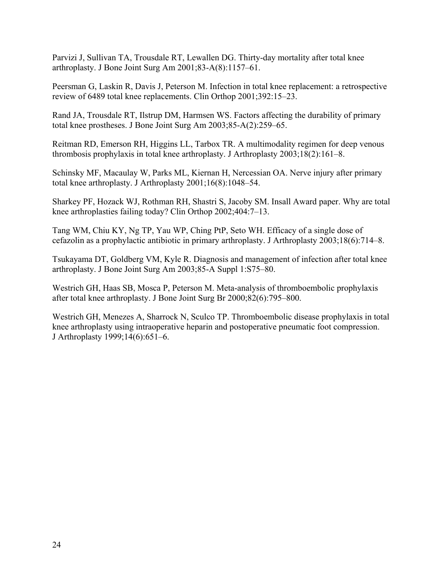Parvizi J, Sullivan TA, Trousdale RT, Lewallen DG. Thirty-day mortality after total knee arthroplasty. J Bone Joint Surg Am 2001;83-A(8):1157–61.

Peersman G, Laskin R, Davis J, Peterson M. Infection in total knee replacement: a retrospective review of 6489 total knee replacements. Clin Orthop 2001;392:15–23.

Rand JA, Trousdale RT, Ilstrup DM, Harmsen WS. Factors affecting the durability of primary total knee prostheses. J Bone Joint Surg Am 2003;85-A(2):259–65.

Reitman RD, Emerson RH, Higgins LL, Tarbox TR. A multimodality regimen for deep venous thrombosis prophylaxis in total knee arthroplasty. J Arthroplasty 2003;18(2):161–8.

Schinsky MF, Macaulay W, Parks ML, Kiernan H, Nercessian OA. Nerve injury after primary total knee arthroplasty. J Arthroplasty 2001;16(8):1048–54.

Sharkey PF, Hozack WJ, Rothman RH, Shastri S, Jacoby SM. Insall Award paper. Why are total knee arthroplasties failing today? Clin Orthop 2002;404:7–13.

Tang WM, Chiu KY, Ng TP, Yau WP, Ching PtP, Seto WH. Efficacy of a single dose of cefazolin as a prophylactic antibiotic in primary arthroplasty. J Arthroplasty 2003;18(6):714–8.

Tsukayama DT, Goldberg VM, Kyle R. Diagnosis and management of infection after total knee arthroplasty. J Bone Joint Surg Am 2003;85-A Suppl 1:S75–80.

Westrich GH, Haas SB, Mosca P, Peterson M. Meta-analysis of thromboembolic prophylaxis after total knee arthroplasty. J Bone Joint Surg Br 2000;82(6):795–800.

Westrich GH, Menezes A, Sharrock N, Sculco TP. Thromboembolic disease prophylaxis in total knee arthroplasty using intraoperative heparin and postoperative pneumatic foot compression. J Arthroplasty 1999;14(6):651–6.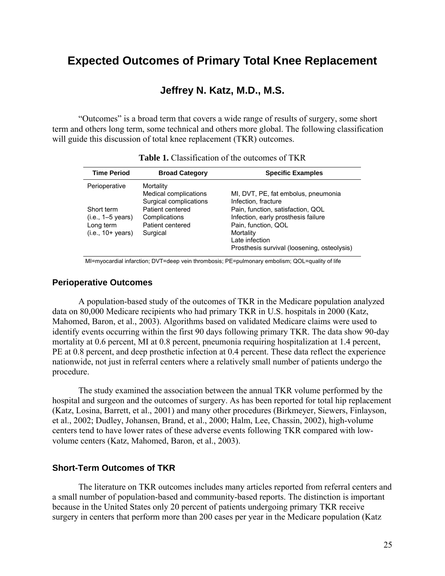## **Expected Outcomes of Primary Total Knee Replacement**

## **Jeffrey N. Katz, M.D., M.S.**

"Outcomes" is a broad term that covers a wide range of results of surgery, some short term and others long term, some technical and others more global. The following classification will guide this discussion of total knee replacement (TKR) outcomes.

| <b>Time Period</b>                      | <b>Broad Category</b>                                               | <b>Specific Examples</b>                                                                          |
|-----------------------------------------|---------------------------------------------------------------------|---------------------------------------------------------------------------------------------------|
| Perioperative                           | Mortality<br><b>Medical complications</b><br>Surgical complications | MI, DVT, PE, fat embolus, pneumonia<br>Infection, fracture                                        |
| Short term<br>$(i.e., 1-5 years)$       | Patient centered<br>Complications                                   | Pain, function, satisfaction, QOL<br>Infection, early prosthesis failure                          |
| Long term<br>$(i.e., 10+ \text{years})$ | Patient centered<br>Surgical                                        | Pain, function, QOL<br>Mortality<br>Late infection<br>Prosthesis survival (loosening, osteolysis) |

**Table 1.** Classification of the outcomes of TKR

MI=myocardial infarction; DVT=deep vein thrombosis; PE=pulmonary embolism; QOL=quality of life

#### **Perioperative Outcomes**

A population-based study of the outcomes of TKR in the Medicare population analyzed data on 80,000 Medicare recipients who had primary TKR in U.S. hospitals in 2000 (Katz, Mahomed, Baron, et al., 2003). Algorithms based on validated Medicare claims were used to identify events occurring within the first 90 days following primary TKR. The data show 90-day mortality at 0.6 percent, MI at 0.8 percent, pneumonia requiring hospitalization at 1.4 percent, PE at 0.8 percent, and deep prosthetic infection at 0.4 percent. These data reflect the experience nationwide, not just in referral centers where a relatively small number of patients undergo the procedure.

The study examined the association between the annual TKR volume performed by the hospital and surgeon and the outcomes of surgery. As has been reported for total hip replacement (Katz, Losina, Barrett, et al., 2001) and many other procedures (Birkmeyer, Siewers, Finlayson, et al., 2002; Dudley, Johansen, Brand, et al., 2000; Halm, Lee, Chassin, 2002), high-volume centers tend to have lower rates of these adverse events following TKR compared with lowvolume centers (Katz, Mahomed, Baron, et al., 2003).

## **Short-Term Outcomes of TKR**

The literature on TKR outcomes includes many articles reported from referral centers and a small number of population-based and community-based reports. The distinction is important because in the United States only 20 percent of patients undergoing primary TKR receive surgery in centers that perform more than 200 cases per year in the Medicare population (Katz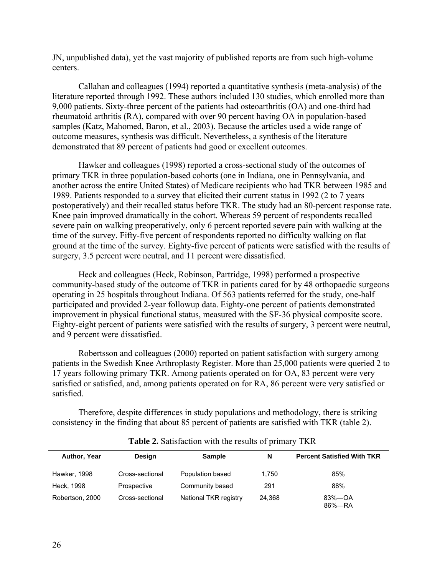JN, unpublished data), yet the vast majority of published reports are from such high-volume centers.

Callahan and colleagues (1994) reported a quantitative synthesis (meta-analysis) of the literature reported through 1992. These authors included 130 studies, which enrolled more than 9,000 patients. Sixty-three percent of the patients had osteoarthritis (OA) and one-third had rheumatoid arthritis (RA), compared with over 90 percent having OA in population-based samples (Katz, Mahomed, Baron, et al., 2003). Because the articles used a wide range of outcome measures, synthesis was difficult. Nevertheless, a synthesis of the literature demonstrated that 89 percent of patients had good or excellent outcomes.

Hawker and colleagues (1998) reported a cross-sectional study of the outcomes of primary TKR in three population-based cohorts (one in Indiana, one in Pennsylvania, and another across the entire United States) of Medicare recipients who had TKR between 1985 and 1989. Patients responded to a survey that elicited their current status in 1992 (2 to 7 years postoperatively) and their recalled status before TKR. The study had an 80-percent response rate. Knee pain improved dramatically in the cohort. Whereas 59 percent of respondents recalled severe pain on walking preoperatively, only 6 percent reported severe pain with walking at the time of the survey. Fifty-five percent of respondents reported no difficulty walking on flat ground at the time of the survey. Eighty-five percent of patients were satisfied with the results of surgery, 3.5 percent were neutral, and 11 percent were dissatisfied.

Heck and colleagues (Heck, Robinson, Partridge, 1998) performed a prospective community-based study of the outcome of TKR in patients cared for by 48 orthopaedic surgeons operating in 25 hospitals throughout Indiana. Of 563 patients referred for the study, one-half participated and provided 2-year followup data. Eighty-one percent of patients demonstrated improvement in physical functional status, measured with the SF-36 physical composite score. Eighty-eight percent of patients were satisfied with the results of surgery, 3 percent were neutral, and 9 percent were dissatisfied.

Robertsson and colleagues (2000) reported on patient satisfaction with surgery among patients in the Swedish Knee Arthroplasty Register. More than 25,000 patients were queried 2 to 17 years following primary TKR. Among patients operated on for OA, 83 percent were very satisfied or satisfied, and, among patients operated on for RA, 86 percent were very satisfied or satisfied.

Therefore, despite differences in study populations and methodology, there is striking consistency in the finding that about 85 percent of patients are satisfied with TKR (table 2).

| <b>Author, Year</b> | Design          | <b>Sample</b>         | N      | <b>Percent Satisfied With TKR</b> |
|---------------------|-----------------|-----------------------|--------|-----------------------------------|
| Hawker, 1998        | Cross-sectional | Population based      | 1.750  | 85%                               |
| Heck, 1998          | Prospective     | Community based       | 291    | 88%                               |
| Robertson, 2000     | Cross-sectional | National TKR registry | 24.368 | $83\% - OA$<br>86%-RA             |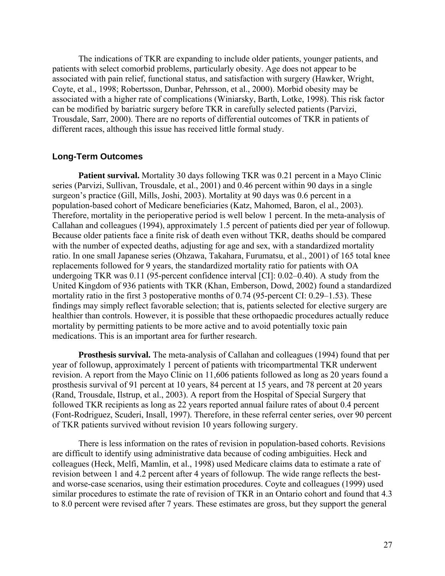The indications of TKR are expanding to include older patients, younger patients, and patients with select comorbid problems, particularly obesity. Age does not appear to be associated with pain relief, functional status, and satisfaction with surgery (Hawker, Wright, Coyte, et al., 1998; Robertsson, Dunbar, Pehrsson, et al., 2000). Morbid obesity may be associated with a higher rate of complications (Winiarsky, Barth, Lotke, 1998). This risk factor can be modified by bariatric surgery before TKR in carefully selected patients (Parvizi, Trousdale, Sarr, 2000). There are no reports of differential outcomes of TKR in patients of different races, although this issue has received little formal study.

## **Long-Term Outcomes**

**Patient survival.** Mortality 30 days following TKR was 0.21 percent in a Mayo Clinic series (Parvizi, Sullivan, Trousdale, et al., 2001) and 0.46 percent within 90 days in a single surgeon's practice (Gill, Mills, Joshi, 2003). Mortality at 90 days was 0.6 percent in a population-based cohort of Medicare beneficiaries (Katz, Mahomed, Baron, el al., 2003). Therefore, mortality in the perioperative period is well below 1 percent. In the meta-analysis of Callahan and colleagues (1994), approximately 1.5 percent of patients died per year of followup. Because older patients face a finite risk of death even without TKR, deaths should be compared with the number of expected deaths, adjusting for age and sex, with a standardized mortality ratio. In one small Japanese series (Ohzawa, Takahara, Furumatsu, et al., 2001) of 165 total knee replacements followed for 9 years, the standardized mortality ratio for patients with OA undergoing TKR was 0.11 (95-percent confidence interval [CI]: 0.02–0.40). A study from the United Kingdom of 936 patients with TKR (Khan, Emberson, Dowd, 2002) found a standardized mortality ratio in the first 3 postoperative months of 0.74 (95-percent CI: 0.29–1.53). These findings may simply reflect favorable selection; that is, patients selected for elective surgery are healthier than controls. However, it is possible that these orthopaedic procedures actually reduce mortality by permitting patients to be more active and to avoid potentially toxic pain medications. This is an important area for further research.

**Prosthesis survival.** The meta-analysis of Callahan and colleagues (1994) found that per year of followup, approximately 1 percent of patients with tricompartmental TKR underwent revision. A report from the Mayo Clinic on 11,606 patients followed as long as 20 years found a prosthesis survival of 91 percent at 10 years, 84 percent at 15 years, and 78 percent at 20 years (Rand, Trousdale, Ilstrup, et al., 2003). A report from the Hospital of Special Surgery that followed TKR recipients as long as 22 years reported annual failure rates of about 0.4 percent (Font-Rodriguez, Scuderi, Insall, 1997). Therefore, in these referral center series, over 90 percent of TKR patients survived without revision 10 years following surgery.

There is less information on the rates of revision in population-based cohorts. Revisions are difficult to identify using administrative data because of coding ambiguities. Heck and colleagues (Heck, Melfi, Mamlin, et al., 1998) used Medicare claims data to estimate a rate of revision between 1 and 4.2 percent after 4 years of followup. The wide range reflects the bestand worse-case scenarios, using their estimation procedures. Coyte and colleagues (1999) used similar procedures to estimate the rate of revision of TKR in an Ontario cohort and found that 4.3 to 8.0 percent were revised after 7 years. These estimates are gross, but they support the general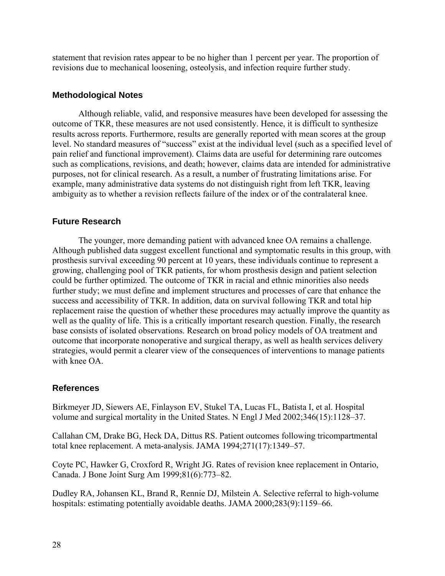statement that revision rates appear to be no higher than 1 percent per year. The proportion of revisions due to mechanical loosening, osteolysis, and infection require further study.

## **Methodological Notes**

Although reliable, valid, and responsive measures have been developed for assessing the outcome of TKR, these measures are not used consistently. Hence, it is difficult to synthesize results across reports. Furthermore, results are generally reported with mean scores at the group level. No standard measures of "success" exist at the individual level (such as a specified level of pain relief and functional improvement). Claims data are useful for determining rare outcomes such as complications, revisions, and death; however, claims data are intended for administrative purposes, not for clinical research. As a result, a number of frustrating limitations arise. For example, many administrative data systems do not distinguish right from left TKR, leaving ambiguity as to whether a revision reflects failure of the index or of the contralateral knee.

## **Future Research**

The younger, more demanding patient with advanced knee OA remains a challenge. Although published data suggest excellent functional and symptomatic results in this group, with prosthesis survival exceeding 90 percent at 10 years, these individuals continue to represent a growing, challenging pool of TKR patients, for whom prosthesis design and patient selection could be further optimized. The outcome of TKR in racial and ethnic minorities also needs further study; we must define and implement structures and processes of care that enhance the success and accessibility of TKR. In addition, data on survival following TKR and total hip replacement raise the question of whether these procedures may actually improve the quantity as well as the quality of life. This is a critically important research question. Finally, the research base consists of isolated observations. Research on broad policy models of OA treatment and outcome that incorporate nonoperative and surgical therapy, as well as health services delivery strategies, would permit a clearer view of the consequences of interventions to manage patients with knee OA.

## **References**

Birkmeyer JD, Siewers AE, Finlayson EV, Stukel TA, Lucas FL, Batista I, et al. Hospital volume and surgical mortality in the United States. N Engl J Med 2002;346(15):1128–37.

Callahan CM, Drake BG, Heck DA, Dittus RS. Patient outcomes following tricompartmental total knee replacement. A meta-analysis. JAMA 1994;271(17):1349–57.

Coyte PC, Hawker G, Croxford R, Wright JG. Rates of revision knee replacement in Ontario, Canada. J Bone Joint Surg Am 1999;81(6):773–82.

Dudley RA, Johansen KL, Brand R, Rennie DJ, Milstein A. Selective referral to high-volume hospitals: estimating potentially avoidable deaths. JAMA 2000;283(9):1159–66.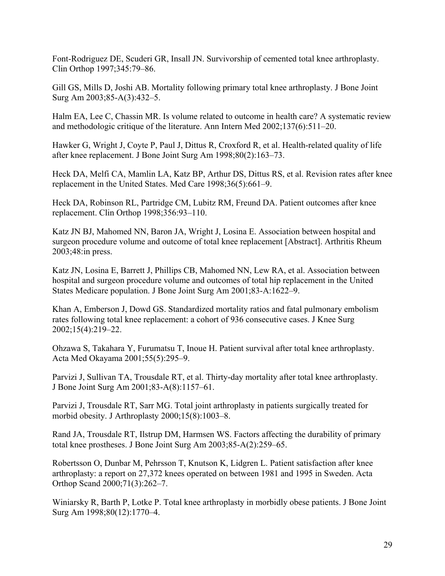Font-Rodriguez DE, Scuderi GR, Insall JN. Survivorship of cemented total knee arthroplasty. Clin Orthop 1997;345:79–86.

Gill GS, Mills D, Joshi AB. Mortality following primary total knee arthroplasty. J Bone Joint Surg Am 2003;85-A(3):432–5.

Halm EA, Lee C, Chassin MR. Is volume related to outcome in health care? A systematic review and methodologic critique of the literature. Ann Intern Med 2002;137(6):511–20.

Hawker G, Wright J, Coyte P, Paul J, Dittus R, Croxford R, et al. Health-related quality of life after knee replacement. J Bone Joint Surg Am 1998;80(2):163–73.

Heck DA, Melfi CA, Mamlin LA, Katz BP, Arthur DS, Dittus RS, et al. Revision rates after knee replacement in the United States. Med Care 1998;36(5):661–9.

Heck DA, Robinson RL, Partridge CM, Lubitz RM, Freund DA. Patient outcomes after knee replacement. Clin Orthop 1998;356:93–110.

Katz JN BJ, Mahomed NN, Baron JA, Wright J, Losina E. Association between hospital and surgeon procedure volume and outcome of total knee replacement [Abstract]. Arthritis Rheum 2003;48:in press.

Katz JN, Losina E, Barrett J, Phillips CB, Mahomed NN, Lew RA, et al. Association between hospital and surgeon procedure volume and outcomes of total hip replacement in the United States Medicare population. J Bone Joint Surg Am 2001;83-A:1622–9.

Khan A, Emberson J, Dowd GS. Standardized mortality ratios and fatal pulmonary embolism rates following total knee replacement: a cohort of 936 consecutive cases. J Knee Surg 2002;15(4):219–22.

Ohzawa S, Takahara Y, Furumatsu T, Inoue H. Patient survival after total knee arthroplasty. Acta Med Okayama 2001;55(5):295–9.

Parvizi J, Sullivan TA, Trousdale RT, et al. Thirty-day mortality after total knee arthroplasty. J Bone Joint Surg Am 2001;83-A(8):1157–61.

Parvizi J, Trousdale RT, Sarr MG. Total joint arthroplasty in patients surgically treated for morbid obesity. J Arthroplasty 2000;15(8):1003–8.

Rand JA, Trousdale RT, Ilstrup DM, Harmsen WS. Factors affecting the durability of primary total knee prostheses. J Bone Joint Surg Am 2003;85-A(2):259–65.

Robertsson O, Dunbar M, Pehrsson T, Knutson K, Lidgren L. Patient satisfaction after knee arthroplasty: a report on 27,372 knees operated on between 1981 and 1995 in Sweden. Acta Orthop Scand 2000;71(3):262–7.

Winiarsky R, Barth P, Lotke P. Total knee arthroplasty in morbidly obese patients. J Bone Joint Surg Am 1998;80(12):1770–4.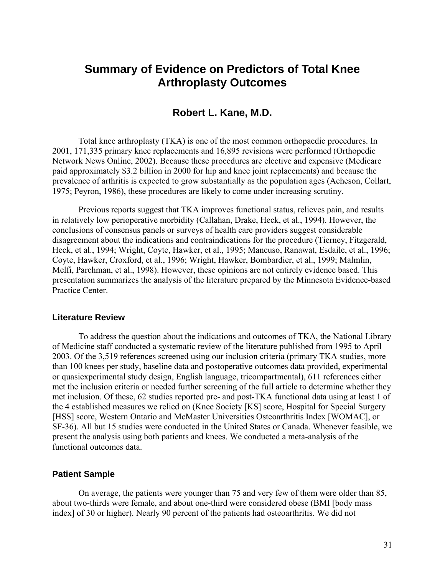# **Summary of Evidence on Predictors of Total Knee Arthroplasty Outcomes**

## **Robert L. Kane, M.D.**

Total knee arthroplasty (TKA) is one of the most common orthopaedic procedures. In 2001, 171,335 primary knee replacements and 16,895 revisions were performed (Orthopedic Network News Online, 2002). Because these procedures are elective and expensive (Medicare paid approximately \$3.2 billion in 2000 for hip and knee joint replacements) and because the prevalence of arthritis is expected to grow substantially as the population ages (Acheson, Collart, 1975; Peyron, 1986), these procedures are likely to come under increasing scrutiny.

Previous reports suggest that TKA improves functional status, relieves pain, and results in relatively low perioperative morbidity (Callahan, Drake, Heck, et al., 1994). However, the conclusions of consensus panels or surveys of health care providers suggest considerable disagreement about the indications and contraindications for the procedure (Tierney, Fitzgerald, Heck, et al., 1994; Wright, Coyte, Hawker, et al., 1995; Mancuso, Ranawat, Esdaile, et al., 1996; Coyte, Hawker, Croxford, et al., 1996; Wright, Hawker, Bombardier, et al., 1999; Malmlin, Melfi, Parchman, et al., 1998). However, these opinions are not entirely evidence based. This presentation summarizes the analysis of the literature prepared by the Minnesota Evidence-based Practice Center.

### **Literature Review**

To address the question about the indications and outcomes of TKA, the National Library of Medicine staff conducted a systematic review of the literature published from 1995 to April 2003. Of the 3,519 references screened using our inclusion criteria (primary TKA studies, more than 100 knees per study, baseline data and postoperative outcomes data provided, experimental or quasiexperimental study design, English language, tricompartmental), 611 references either met the inclusion criteria or needed further screening of the full article to determine whether they met inclusion. Of these, 62 studies reported pre- and post-TKA functional data using at least 1 of the 4 established measures we relied on (Knee Society [KS] score, Hospital for Special Surgery [HSS] score, Western Ontario and McMaster Universities Osteoarthritis Index [WOMAC], or SF-36). All but 15 studies were conducted in the United States or Canada. Whenever feasible, we present the analysis using both patients and knees. We conducted a meta-analysis of the functional outcomes data.

## **Patient Sample**

On average, the patients were younger than 75 and very few of them were older than 85, about two-thirds were female, and about one-third were considered obese (BMI [body mass index] of 30 or higher). Nearly 90 percent of the patients had osteoarthritis. We did not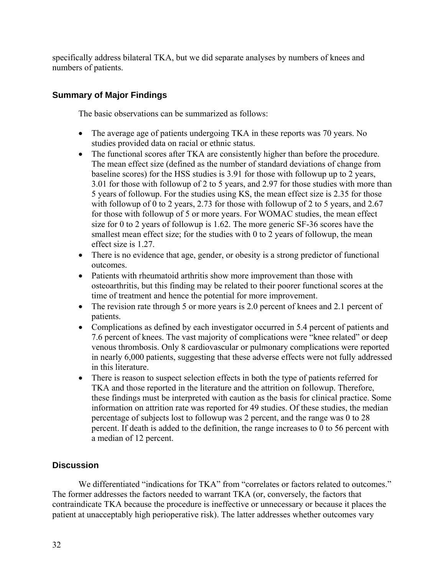specifically address bilateral TKA, but we did separate analyses by numbers of knees and numbers of patients.

## **Summary of Major Findings**

The basic observations can be summarized as follows:

- The average age of patients undergoing TKA in these reports was 70 years. No studies provided data on racial or ethnic status.
- The functional scores after TKA are consistently higher than before the procedure. The mean effect size (defined as the number of standard deviations of change from baseline scores) for the HSS studies is 3.91 for those with followup up to 2 years, 3.01 for those with followup of 2 to 5 years, and 2.97 for those studies with more than 5 years of followup. For the studies using KS, the mean effect size is 2.35 for those with followup of 0 to 2 years, 2.73 for those with followup of 2 to 5 years, and 2.67 for those with followup of 5 or more years. For WOMAC studies, the mean effect size for 0 to 2 years of followup is 1.62. The more generic SF-36 scores have the smallest mean effect size; for the studies with 0 to 2 years of followup, the mean effect size is 1.27.
- There is no evidence that age, gender, or obesity is a strong predictor of functional outcomes.
- Patients with rheumatoid arthritis show more improvement than those with osteoarthritis, but this finding may be related to their poorer functional scores at the time of treatment and hence the potential for more improvement.
- The revision rate through 5 or more years is 2.0 percent of knees and 2.1 percent of patients.
- Complications as defined by each investigator occurred in 5.4 percent of patients and 7.6 percent of knees. The vast majority of complications were "knee related" or deep venous thrombosis. Only 8 cardiovascular or pulmonary complications were reported in nearly 6,000 patients, suggesting that these adverse effects were not fully addressed in this literature.
- There is reason to suspect selection effects in both the type of patients referred for TKA and those reported in the literature and the attrition on followup. Therefore, these findings must be interpreted with caution as the basis for clinical practice. Some information on attrition rate was reported for 49 studies. Of these studies, the median percentage of subjects lost to followup was 2 percent, and the range was 0 to 28 percent. If death is added to the definition, the range increases to 0 to 56 percent with a median of 12 percent.

## **Discussion**

We differentiated "indications for TKA" from "correlates or factors related to outcomes." The former addresses the factors needed to warrant TKA (or, conversely, the factors that contraindicate TKA because the procedure is ineffective or unnecessary or because it places the patient at unacceptably high perioperative risk). The latter addresses whether outcomes vary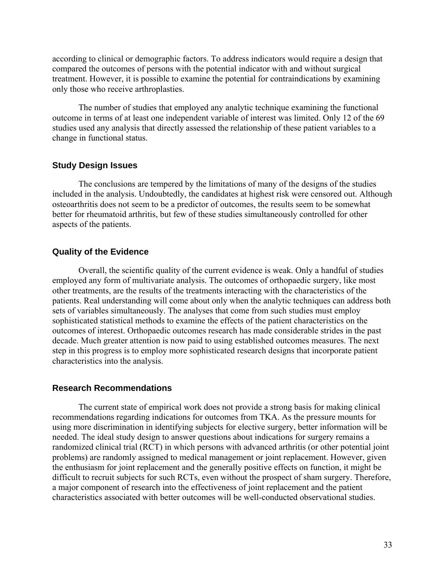according to clinical or demographic factors. To address indicators would require a design that compared the outcomes of persons with the potential indicator with and without surgical treatment. However, it is possible to examine the potential for contraindications by examining only those who receive arthroplasties.

The number of studies that employed any analytic technique examining the functional outcome in terms of at least one independent variable of interest was limited. Only 12 of the 69 studies used any analysis that directly assessed the relationship of these patient variables to a change in functional status.

#### **Study Design Issues**

The conclusions are tempered by the limitations of many of the designs of the studies included in the analysis. Undoubtedly, the candidates at highest risk were censored out. Although osteoarthritis does not seem to be a predictor of outcomes, the results seem to be somewhat better for rheumatoid arthritis, but few of these studies simultaneously controlled for other aspects of the patients.

#### **Quality of the Evidence**

Overall, the scientific quality of the current evidence is weak. Only a handful of studies employed any form of multivariate analysis. The outcomes of orthopaedic surgery, like most other treatments, are the results of the treatments interacting with the characteristics of the patients. Real understanding will come about only when the analytic techniques can address both sets of variables simultaneously. The analyses that come from such studies must employ sophisticated statistical methods to examine the effects of the patient characteristics on the outcomes of interest. Orthopaedic outcomes research has made considerable strides in the past decade. Much greater attention is now paid to using established outcomes measures. The next step in this progress is to employ more sophisticated research designs that incorporate patient characteristics into the analysis.

#### **Research Recommendations**

The current state of empirical work does not provide a strong basis for making clinical recommendations regarding indications for outcomes from TKA. As the pressure mounts for using more discrimination in identifying subjects for elective surgery, better information will be needed. The ideal study design to answer questions about indications for surgery remains a randomized clinical trial (RCT) in which persons with advanced arthritis (or other potential joint problems) are randomly assigned to medical management or joint replacement. However, given the enthusiasm for joint replacement and the generally positive effects on function, it might be difficult to recruit subjects for such RCTs, even without the prospect of sham surgery. Therefore, a major component of research into the effectiveness of joint replacement and the patient characteristics associated with better outcomes will be well-conducted observational studies.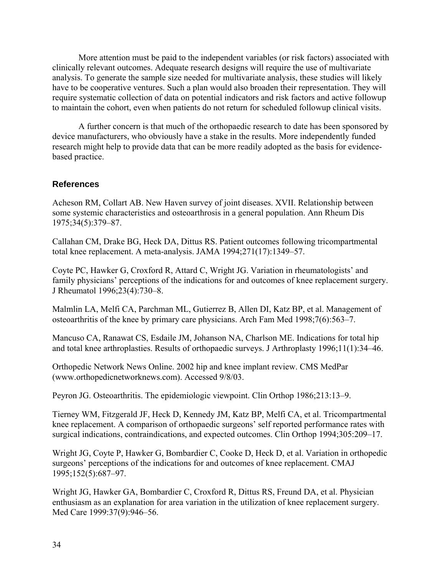More attention must be paid to the independent variables (or risk factors) associated with clinically relevant outcomes. Adequate research designs will require the use of multivariate analysis. To generate the sample size needed for multivariate analysis, these studies will likely have to be cooperative ventures. Such a plan would also broaden their representation. They will require systematic collection of data on potential indicators and risk factors and active followup to maintain the cohort, even when patients do not return for scheduled followup clinical visits.

A further concern is that much of the orthopaedic research to date has been sponsored by device manufacturers, who obviously have a stake in the results. More independently funded research might help to provide data that can be more readily adopted as the basis for evidencebased practice.

## **References**

Acheson RM, Collart AB. New Haven survey of joint diseases. XVII. Relationship between some systemic characteristics and osteoarthrosis in a general population. Ann Rheum Dis 1975;34(5):379–87.

Callahan CM, Drake BG, Heck DA, Dittus RS. Patient outcomes following tricompartmental total knee replacement. A meta-analysis. JAMA 1994;271(17):1349–57.

Coyte PC, Hawker G, Croxford R, Attard C, Wright JG. Variation in rheumatologists' and family physicians' perceptions of the indications for and outcomes of knee replacement surgery. J Rheumatol 1996;23(4):730–8.

Malmlin LA, Melfi CA, Parchman ML, Gutierrez B, Allen DI, Katz BP, et al. Management of osteoarthritis of the knee by primary care physicians. Arch Fam Med 1998;7(6):563–7.

Mancuso CA, Ranawat CS, Esdaile JM, Johanson NA, Charlson ME. Indications for total hip and total knee arthroplasties. Results of orthopaedic surveys. J Arthroplasty 1996;11(1):34–46.

Orthopedic Network News Online. 2002 hip and knee implant review. CMS MedPar (www.orthopedicnetworknews.com). Accessed 9/8/03.

Peyron JG. Osteoarthritis. The epidemiologic viewpoint. Clin Orthop 1986;213:13–9.

Tierney WM, Fitzgerald JF, Heck D, Kennedy JM, Katz BP, Melfi CA, et al. Tricompartmental knee replacement. A comparison of orthopaedic surgeons' self reported performance rates with surgical indications, contraindications, and expected outcomes. Clin Orthop 1994;305:209–17.

Wright JG, Coyte P, Hawker G, Bombardier C, Cooke D, Heck D, et al. Variation in orthopedic surgeons' perceptions of the indications for and outcomes of knee replacement. CMAJ 1995;152(5):687–97.

Wright JG, Hawker GA, Bombardier C, Croxford R, Dittus RS, Freund DA, et al. Physician enthusiasm as an explanation for area variation in the utilization of knee replacement surgery. Med Care 1999:37(9):946–56.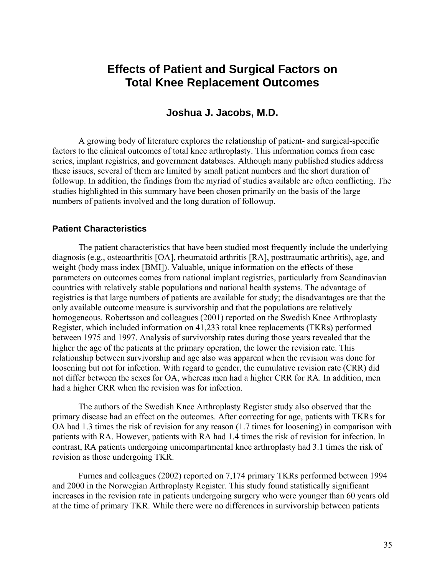# **Effects of Patient and Surgical Factors on Total Knee Replacement Outcomes**

## **Joshua J. Jacobs, M.D.**

A growing body of literature explores the relationship of patient- and surgical-specific factors to the clinical outcomes of total knee arthroplasty. This information comes from case series, implant registries, and government databases. Although many published studies address these issues, several of them are limited by small patient numbers and the short duration of followup. In addition, the findings from the myriad of studies available are often conflicting. The studies highlighted in this summary have been chosen primarily on the basis of the large numbers of patients involved and the long duration of followup.

#### **Patient Characteristics**

The patient characteristics that have been studied most frequently include the underlying diagnosis (e.g., osteoarthritis [OA], rheumatoid arthritis [RA], posttraumatic arthritis), age, and weight (body mass index [BMI]). Valuable, unique information on the effects of these parameters on outcomes comes from national implant registries, particularly from Scandinavian countries with relatively stable populations and national health systems. The advantage of registries is that large numbers of patients are available for study; the disadvantages are that the only available outcome measure is survivorship and that the populations are relatively homogeneous. Robertsson and colleagues (2001) reported on the Swedish Knee Arthroplasty Register, which included information on 41,233 total knee replacements (TKRs) performed between 1975 and 1997. Analysis of survivorship rates during those years revealed that the higher the age of the patients at the primary operation, the lower the revision rate. This relationship between survivorship and age also was apparent when the revision was done for loosening but not for infection. With regard to gender, the cumulative revision rate (CRR) did not differ between the sexes for OA, whereas men had a higher CRR for RA. In addition, men had a higher CRR when the revision was for infection.

The authors of the Swedish Knee Arthroplasty Register study also observed that the primary disease had an effect on the outcomes. After correcting for age, patients with TKRs for OA had 1.3 times the risk of revision for any reason (1.7 times for loosening) in comparison with patients with RA. However, patients with RA had 1.4 times the risk of revision for infection. In contrast, RA patients undergoing unicompartmental knee arthroplasty had 3.1 times the risk of revision as those undergoing TKR.

Furnes and colleagues (2002) reported on 7,174 primary TKRs performed between 1994 and 2000 in the Norwegian Arthroplasty Register. This study found statistically significant increases in the revision rate in patients undergoing surgery who were younger than 60 years old at the time of primary TKR. While there were no differences in survivorship between patients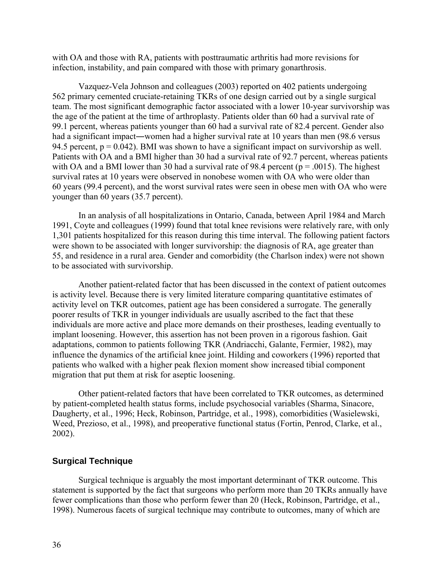with OA and those with RA, patients with posttraumatic arthritis had more revisions for infection, instability, and pain compared with those with primary gonarthrosis.

Vazquez-Vela Johnson and colleagues (2003) reported on 402 patients undergoing 562 primary cemented cruciate-retaining TKRs of one design carried out by a single surgical team. The most significant demographic factor associated with a lower 10-year survivorship was the age of the patient at the time of arthroplasty. Patients older than 60 had a survival rate of 99.1 percent, whereas patients younger than 60 had a survival rate of 82.4 percent. Gender also had a significant impact―women had a higher survival rate at 10 years than men (98.6 versus 94.5 percent,  $p = 0.042$ ). BMI was shown to have a significant impact on survivorship as well. Patients with OA and a BMI higher than 30 had a survival rate of 92.7 percent, whereas patients with OA and a BMI lower than 30 had a survival rate of 98.4 percent ( $p = .0015$ ). The highest survival rates at 10 years were observed in nonobese women with OA who were older than 60 years (99.4 percent), and the worst survival rates were seen in obese men with OA who were younger than 60 years (35.7 percent).

In an analysis of all hospitalizations in Ontario, Canada, between April 1984 and March 1991, Coyte and colleagues (1999) found that total knee revisions were relatively rare, with only 1,301 patients hospitalized for this reason during this time interval. The following patient factors were shown to be associated with longer survivorship: the diagnosis of RA, age greater than 55, and residence in a rural area. Gender and comorbidity (the Charlson index) were not shown to be associated with survivorship.

Another patient-related factor that has been discussed in the context of patient outcomes is activity level. Because there is very limited literature comparing quantitative estimates of activity level on TKR outcomes, patient age has been considered a surrogate. The generally poorer results of TKR in younger individuals are usually ascribed to the fact that these individuals are more active and place more demands on their prostheses, leading eventually to implant loosening. However, this assertion has not been proven in a rigorous fashion. Gait adaptations, common to patients following TKR (Andriacchi, Galante, Fermier, 1982), may influence the dynamics of the artificial knee joint. Hilding and coworkers (1996) reported that patients who walked with a higher peak flexion moment show increased tibial component migration that put them at risk for aseptic loosening.

Other patient-related factors that have been correlated to TKR outcomes, as determined by patient-completed health status forms, include psychosocial variables (Sharma, Sinacore, Daugherty, et al., 1996; Heck, Robinson, Partridge, et al., 1998), comorbidities (Wasielewski, Weed, Prezioso, et al., 1998), and preoperative functional status (Fortin, Penrod, Clarke, et al., 2002).

### **Surgical Technique**

Surgical technique is arguably the most important determinant of TKR outcome. This statement is supported by the fact that surgeons who perform more than 20 TKRs annually have fewer complications than those who perform fewer than 20 (Heck, Robinson, Partridge, et al., 1998). Numerous facets of surgical technique may contribute to outcomes, many of which are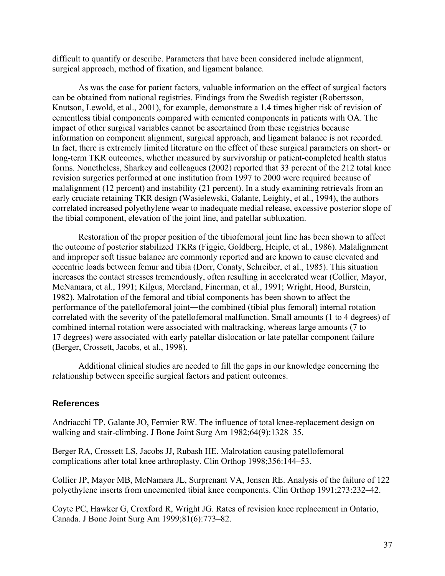difficult to quantify or describe. Parameters that have been considered include alignment, surgical approach, method of fixation, and ligament balance.

As was the case for patient factors, valuable information on the effect of surgical factors can be obtained from national registries. Findings from the Swedish register (Robertsson, Knutson, Lewold, et al., 2001), for example, demonstrate a 1.4 times higher risk of revision of cementless tibial components compared with cemented components in patients with OA. The impact of other surgical variables cannot be ascertained from these registries because information on component alignment, surgical approach, and ligament balance is not recorded. In fact, there is extremely limited literature on the effect of these surgical parameters on short- or long-term TKR outcomes, whether measured by survivorship or patient-completed health status forms. Nonetheless, Sharkey and colleagues (2002) reported that 33 percent of the 212 total knee revision surgeries performed at one institution from 1997 to 2000 were required because of malalignment (12 percent) and instability (21 percent). In a study examining retrievals from an early cruciate retaining TKR design (Wasielewski, Galante, Leighty, et al., 1994), the authors correlated increased polyethylene wear to inadequate medial release, excessive posterior slope of the tibial component, elevation of the joint line, and patellar subluxation.

Restoration of the proper position of the tibiofemoral joint line has been shown to affect the outcome of posterior stabilized TKRs (Figgie, Goldberg, Heiple, et al., 1986). Malalignment and improper soft tissue balance are commonly reported and are known to cause elevated and eccentric loads between femur and tibia (Dorr, Conaty, Schreiber, et al., 1985). This situation increases the contact stresses tremendously, often resulting in accelerated wear (Collier, Mayor, McNamara, et al., 1991; Kilgus, Moreland, Finerman, et al., 1991; Wright, Hood, Burstein, 1982). Malrotation of the femoral and tibial components has been shown to affect the performance of the patellofemoral joint―the combined (tibial plus femoral) internal rotation correlated with the severity of the patellofemoral malfunction. Small amounts (1 to 4 degrees) of combined internal rotation were associated with maltracking, whereas large amounts (7 to 17 degrees) were associated with early patellar dislocation or late patellar component failure (Berger, Crossett, Jacobs, et al., 1998).

Additional clinical studies are needed to fill the gaps in our knowledge concerning the relationship between specific surgical factors and patient outcomes.

#### **References**

Andriacchi TP, Galante JO, Fermier RW. The influence of total knee-replacement design on walking and stair-climbing. J Bone Joint Surg Am 1982;64(9):1328–35.

Berger RA, Crossett LS, Jacobs JJ, Rubash HE. Malrotation causing patellofemoral complications after total knee arthroplasty. Clin Orthop 1998;356:144–53.

Collier JP, Mayor MB, McNamara JL, Surprenant VA, Jensen RE. Analysis of the failure of 122 polyethylene inserts from uncemented tibial knee components. Clin Orthop 1991;273:232–42.

Coyte PC, Hawker G, Croxford R, Wright JG. Rates of revision knee replacement in Ontario, Canada. J Bone Joint Surg Am 1999;81(6):773–82.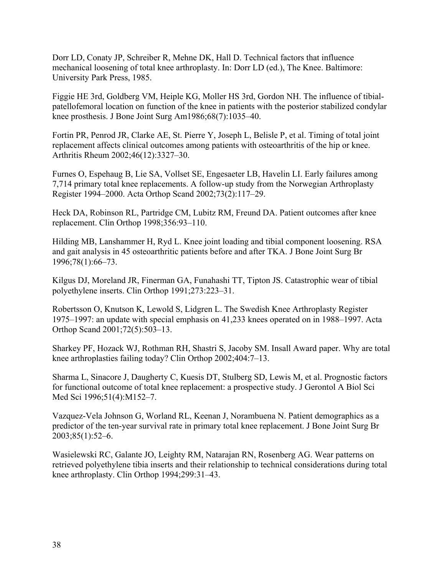Dorr LD, Conaty JP, Schreiber R, Mehne DK, Hall D. Technical factors that influence mechanical loosening of total knee arthroplasty. In: Dorr LD (ed.), The Knee. Baltimore: University Park Press, 1985.

Figgie HE 3rd, Goldberg VM, Heiple KG, Moller HS 3rd, Gordon NH. The influence of tibialpatellofemoral location on function of the knee in patients with the posterior stabilized condylar knee prosthesis. J Bone Joint Surg Am1986;68(7):1035–40.

Fortin PR, Penrod JR, Clarke AE, St. Pierre Y, Joseph L, Belisle P, et al. Timing of total joint replacement affects clinical outcomes among patients with osteoarthritis of the hip or knee. Arthritis Rheum 2002;46(12):3327–30.

Furnes O, Espehaug B, Lie SA, Vollset SE, Engesaeter LB, Havelin LI. Early failures among 7,714 primary total knee replacements. A follow-up study from the Norwegian Arthroplasty Register 1994–2000. Acta Orthop Scand 2002;73(2):117–29.

Heck DA, Robinson RL, Partridge CM, Lubitz RM, Freund DA. Patient outcomes after knee replacement. Clin Orthop 1998;356:93–110.

Hilding MB, Lanshammer H, Ryd L. Knee joint loading and tibial component loosening. RSA and gait analysis in 45 osteoarthritic patients before and after TKA. J Bone Joint Surg Br 1996;78(1):66–73.

Kilgus DJ, Moreland JR, Finerman GA, Funahashi TT, Tipton JS. Catastrophic wear of tibial polyethylene inserts. Clin Orthop 1991;273:223–31.

Robertsson O, Knutson K, Lewold S, Lidgren L. The Swedish Knee Arthroplasty Register 1975–1997: an update with special emphasis on 41,233 knees operated on in 1988–1997. Acta Orthop Scand 2001;72(5):503–13.

Sharkey PF, Hozack WJ, Rothman RH, Shastri S, Jacoby SM. Insall Award paper. Why are total knee arthroplasties failing today? Clin Orthop 2002;404:7–13.

Sharma L, Sinacore J, Daugherty C, Kuesis DT, Stulberg SD, Lewis M, et al. Prognostic factors for functional outcome of total knee replacement: a prospective study. J Gerontol A Biol Sci Med Sci 1996;51(4):M152–7.

Vazquez-Vela Johnson G, Worland RL, Keenan J, Norambuena N. Patient demographics as a predictor of the ten-year survival rate in primary total knee replacement. J Bone Joint Surg Br 2003;85(1):52–6.

Wasielewski RC, Galante JO, Leighty RM, Natarajan RN, Rosenberg AG. Wear patterns on retrieved polyethylene tibia inserts and their relationship to technical considerations during total knee arthroplasty. Clin Orthop 1994;299:31–43.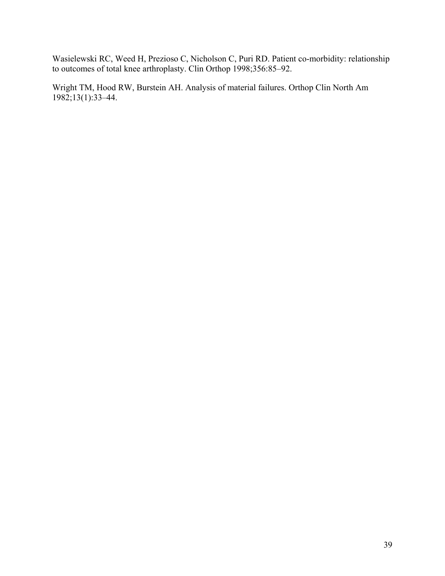Wasielewski RC, Weed H, Prezioso C, Nicholson C, Puri RD. Patient co-morbidity: relationship to outcomes of total knee arthroplasty. Clin Orthop 1998;356:85–92.

Wright TM, Hood RW, Burstein AH. Analysis of material failures. Orthop Clin North Am 1982;13(1):33–44.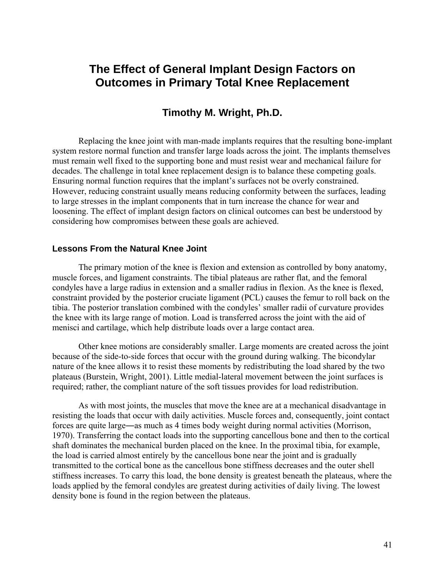# **The Effect of General Implant Design Factors on Outcomes in Primary Total Knee Replacement**

# **Timothy M. Wright, Ph.D.**

Replacing the knee joint with man-made implants requires that the resulting bone-implant system restore normal function and transfer large loads across the joint. The implants themselves must remain well fixed to the supporting bone and must resist wear and mechanical failure for decades. The challenge in total knee replacement design is to balance these competing goals. Ensuring normal function requires that the implant's surfaces not be overly constrained. However, reducing constraint usually means reducing conformity between the surfaces, leading to large stresses in the implant components that in turn increase the chance for wear and loosening. The effect of implant design factors on clinical outcomes can best be understood by considering how compromises between these goals are achieved.

#### **Lessons From the Natural Knee Joint**

The primary motion of the knee is flexion and extension as controlled by bony anatomy, muscle forces, and ligament constraints. The tibial plateaus are rather flat, and the femoral condyles have a large radius in extension and a smaller radius in flexion. As the knee is flexed, constraint provided by the posterior cruciate ligament (PCL) causes the femur to roll back on the tibia. The posterior translation combined with the condyles' smaller radii of curvature provides the knee with its large range of motion. Load is transferred across the joint with the aid of menisci and cartilage, which help distribute loads over a large contact area.

Other knee motions are considerably smaller. Large moments are created across the joint because of the side-to-side forces that occur with the ground during walking. The bicondylar nature of the knee allows it to resist these moments by redistributing the load shared by the two plateaus (Burstein, Wright, 2001). Little medial-lateral movement between the joint surfaces is required; rather, the compliant nature of the soft tissues provides for load redistribution.

As with most joints, the muscles that move the knee are at a mechanical disadvantage in resisting the loads that occur with daily activities. Muscle forces and, consequently, joint contact forces are quite large―as much as 4 times body weight during normal activities (Morrison, 1970). Transferring the contact loads into the supporting cancellous bone and then to the cortical shaft dominates the mechanical burden placed on the knee. In the proximal tibia, for example, the load is carried almost entirely by the cancellous bone near the joint and is gradually transmitted to the cortical bone as the cancellous bone stiffness decreases and the outer shell stiffness increases. To carry this load, the bone density is greatest beneath the plateaus, where the loads applied by the femoral condyles are greatest during activities of daily living. The lowest density bone is found in the region between the plateaus.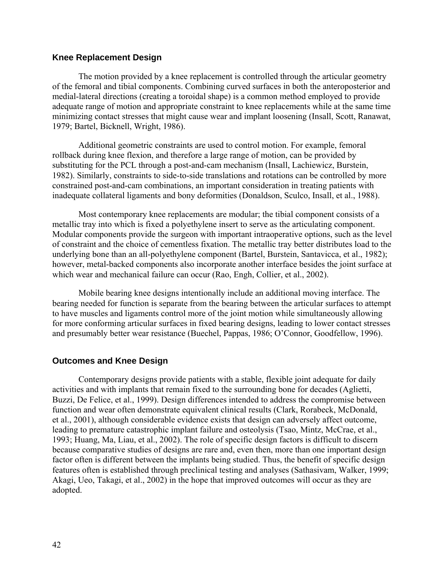#### **Knee Replacement Design**

The motion provided by a knee replacement is controlled through the articular geometry of the femoral and tibial components. Combining curved surfaces in both the anteroposterior and medial-lateral directions (creating a toroidal shape) is a common method employed to provide adequate range of motion and appropriate constraint to knee replacements while at the same time minimizing contact stresses that might cause wear and implant loosening (Insall, Scott, Ranawat, 1979; Bartel, Bicknell, Wright, 1986).

Additional geometric constraints are used to control motion. For example, femoral rollback during knee flexion, and therefore a large range of motion, can be provided by substituting for the PCL through a post-and-cam mechanism (Insall, Lachiewicz, Burstein, 1982). Similarly, constraints to side-to-side translations and rotations can be controlled by more constrained post-and-cam combinations, an important consideration in treating patients with inadequate collateral ligaments and bony deformities (Donaldson, Sculco, Insall, et al., 1988).

Most contemporary knee replacements are modular; the tibial component consists of a metallic tray into which is fixed a polyethylene insert to serve as the articulating component. Modular components provide the surgeon with important intraoperative options, such as the level of constraint and the choice of cementless fixation. The metallic tray better distributes load to the underlying bone than an all-polyethylene component (Bartel, Burstein, Santavicca, et al., 1982); however, metal-backed components also incorporate another interface besides the joint surface at which wear and mechanical failure can occur (Rao, Engh, Collier, et al., 2002).

Mobile bearing knee designs intentionally include an additional moving interface. The bearing needed for function is separate from the bearing between the articular surfaces to attempt to have muscles and ligaments control more of the joint motion while simultaneously allowing for more conforming articular surfaces in fixed bearing designs, leading to lower contact stresses and presumably better wear resistance (Buechel, Pappas, 1986; O'Connor, Goodfellow, 1996).

#### **Outcomes and Knee Design**

Contemporary designs provide patients with a stable, flexible joint adequate for daily activities and with implants that remain fixed to the surrounding bone for decades (Aglietti, Buzzi, De Felice, et al., 1999). Design differences intended to address the compromise between function and wear often demonstrate equivalent clinical results (Clark, Rorabeck, McDonald, et al., 2001), although considerable evidence exists that design can adversely affect outcome, leading to premature catastrophic implant failure and osteolysis (Tsao, Mintz, McCrae, et al., 1993; Huang, Ma, Liau, et al., 2002). The role of specific design factors is difficult to discern because comparative studies of designs are rare and, even then, more than one important design factor often is different between the implants being studied. Thus, the benefit of specific design features often is established through preclinical testing and analyses (Sathasivam, Walker, 1999; Akagi, Ueo, Takagi, et al., 2002) in the hope that improved outcomes will occur as they are adopted.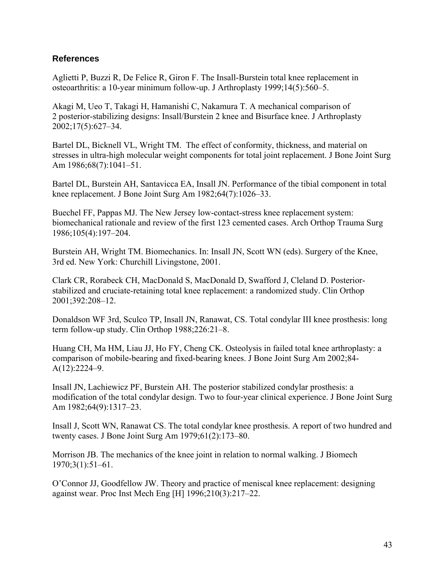## **References**

Aglietti P, Buzzi R, De Felice R, Giron F. The Insall-Burstein total knee replacement in osteoarthritis: a 10-year minimum follow-up. J Arthroplasty 1999;14(5):560–5.

Akagi M, Ueo T, Takagi H, Hamanishi C, Nakamura T. A mechanical comparison of 2 posterior-stabilizing designs: Insall/Burstein 2 knee and Bisurface knee. J Arthroplasty 2002;17(5):627–34.

Bartel DL, Bicknell VL, Wright TM. The effect of conformity, thickness, and material on stresses in ultra-high molecular weight components for total joint replacement. J Bone Joint Surg Am 1986;68(7):1041-51.

Bartel DL, Burstein AH, Santavicca EA, Insall JN. Performance of the tibial component in total knee replacement. J Bone Joint Surg Am 1982;64(7):1026–33.

Buechel FF, Pappas MJ. The New Jersey low-contact-stress knee replacement system: biomechanical rationale and review of the first 123 cemented cases. Arch Orthop Trauma Surg 1986;105(4):197–204.

Burstein AH, Wright TM. Biomechanics. In: Insall JN, Scott WN (eds). Surgery of the Knee, 3rd ed. New York: Churchill Livingstone, 2001.

Clark CR, Rorabeck CH, MacDonald S, MacDonald D, Swafford J, Cleland D. Posteriorstabilized and cruciate-retaining total knee replacement: a randomized study. Clin Orthop 2001;392:208–12.

Donaldson WF 3rd, Sculco TP, Insall JN, Ranawat, CS. Total condylar III knee prosthesis: long term follow-up study. Clin Orthop 1988;226:21–8.

Huang CH, Ma HM, Liau JJ, Ho FY, Cheng CK. Osteolysis in failed total knee arthroplasty: a comparison of mobile-bearing and fixed-bearing knees. J Bone Joint Surg Am 2002;84- A(12):2224–9.

Insall JN, Lachiewicz PF, Burstein AH. The posterior stabilized condylar prosthesis: a modification of the total condylar design. Two to four-year clinical experience. J Bone Joint Surg Am 1982;64(9):1317-23.

Insall J, Scott WN, Ranawat CS. The total condylar knee prosthesis. A report of two hundred and twenty cases. J Bone Joint Surg Am 1979;61(2):173–80.

Morrison JB. The mechanics of the knee joint in relation to normal walking. J Biomech 1970;3(1):51–61.

O'Connor JJ, Goodfellow JW. Theory and practice of meniscal knee replacement: designing against wear. Proc Inst Mech Eng [H] 1996;210(3):217–22.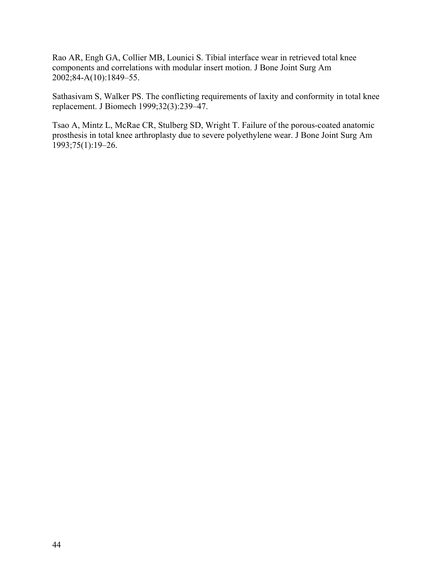Rao AR, Engh GA, Collier MB, Lounici S. Tibial interface wear in retrieved total knee components and correlations with modular insert motion. J Bone Joint Surg Am 2002;84-A(10):1849–55.

Sathasivam S, Walker PS. The conflicting requirements of laxity and conformity in total knee replacement. J Biomech 1999;32(3):239–47.

Tsao A, Mintz L, McRae CR, Stulberg SD, Wright T. Failure of the porous-coated anatomic prosthesis in total knee arthroplasty due to severe polyethylene wear. J Bone Joint Surg Am 1993;75(1):19–26.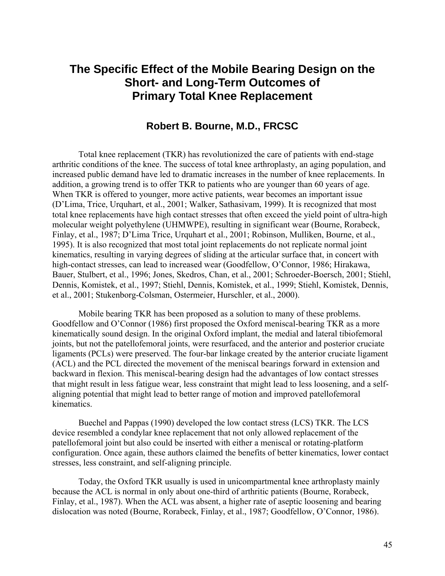# **The Specific Effect of the Mobile Bearing Design on the Short- and Long-Term Outcomes of Primary Total Knee Replacement**

# **Robert B. Bourne, M.D., FRCSC**

Total knee replacement (TKR) has revolutionized the care of patients with end-stage arthritic conditions of the knee. The success of total knee arthroplasty, an aging population, and increased public demand have led to dramatic increases in the number of knee replacements. In addition, a growing trend is to offer TKR to patients who are younger than 60 years of age. When TKR is offered to younger, more active patients, wear becomes an important issue (D'Lima, Trice, Urquhart, et al., 2001; Walker, Sathasivam, 1999). It is recognized that most total knee replacements have high contact stresses that often exceed the yield point of ultra-high molecular weight polyethylene (UHMWPE), resulting in significant wear (Bourne, Rorabeck, Finlay, et al., 1987; D'Lima Trice, Urquhart et al., 2001; Robinson, Mulliken, Bourne, et al., 1995). It is also recognized that most total joint replacements do not replicate normal joint kinematics, resulting in varying degrees of sliding at the articular surface that, in concert with high-contact stresses, can lead to increased wear (Goodfellow, O'Connor, 1986; Hirakawa, Bauer, Stulbert, et al., 1996; Jones, Skedros, Chan, et al., 2001; Schroeder-Boersch, 2001; Stiehl, Dennis, Komistek, et al., 1997; Stiehl, Dennis, Komistek, et al., 1999; Stiehl, Komistek, Dennis, et al., 2001; Stukenborg-Colsman, Ostermeier, Hurschler, et al., 2000).

Mobile bearing TKR has been proposed as a solution to many of these problems. Goodfellow and O'Connor (1986) first proposed the Oxford meniscal-bearing TKR as a more kinematically sound design. In the original Oxford implant, the medial and lateral tibiofemoral joints, but not the patellofemoral joints, were resurfaced, and the anterior and posterior cruciate ligaments (PCLs) were preserved. The four-bar linkage created by the anterior cruciate ligament (ACL) and the PCL directed the movement of the meniscal bearings forward in extension and backward in flexion. This meniscal-bearing design had the advantages of low contact stresses that might result in less fatigue wear, less constraint that might lead to less loosening, and a selfaligning potential that might lead to better range of motion and improved patellofemoral kinematics.

Buechel and Pappas (1990) developed the low contact stress (LCS) TKR. The LCS device resembled a condylar knee replacement that not only allowed replacement of the patellofemoral joint but also could be inserted with either a meniscal or rotating-platform configuration. Once again, these authors claimed the benefits of better kinematics, lower contact stresses, less constraint, and self-aligning principle.

Today, the Oxford TKR usually is used in unicompartmental knee arthroplasty mainly because the ACL is normal in only about one-third of arthritic patients (Bourne, Rorabeck, Finlay, et al., 1987). When the ACL was absent, a higher rate of aseptic loosening and bearing dislocation was noted (Bourne, Rorabeck, Finlay, et al., 1987; Goodfellow, O'Connor, 1986).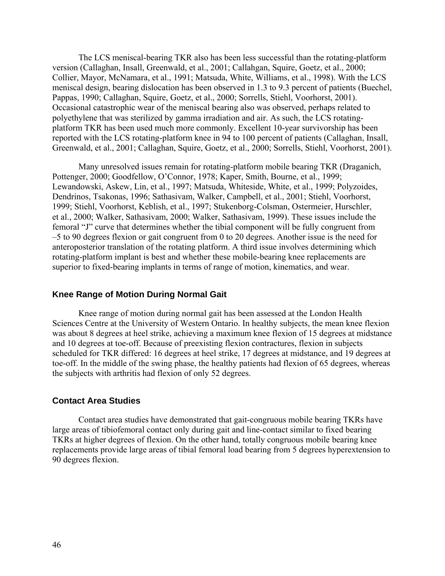The LCS meniscal-bearing TKR also has been less successful than the rotating-platform version (Callaghan, Insall, Greenwald, et al., 2001; Callahgan, Squire, Goetz, et al., 2000; Collier, Mayor, McNamara, et al., 1991; Matsuda, White, Williams, et al., 1998). With the LCS meniscal design, bearing dislocation has been observed in 1.3 to 9.3 percent of patients (Buechel, Pappas, 1990; Callaghan, Squire, Goetz, et al., 2000; Sorrells, Stiehl, Voorhorst, 2001). Occasional catastrophic wear of the meniscal bearing also was observed, perhaps related to polyethylene that was sterilized by gamma irradiation and air. As such, the LCS rotatingplatform TKR has been used much more commonly. Excellent 10-year survivorship has been reported with the LCS rotating-platform knee in 94 to 100 percent of patients (Callaghan, Insall, Greenwald, et al., 2001; Callaghan, Squire, Goetz, et al., 2000; Sorrells, Stiehl, Voorhorst, 2001).

Many unresolved issues remain for rotating-platform mobile bearing TKR (Draganich, Pottenger, 2000; Goodfellow, O'Connor, 1978; Kaper, Smith, Bourne, et al., 1999; Lewandowski, Askew, Lin, et al., 1997; Matsuda, Whiteside, White, et al., 1999; Polyzoides, Dendrinos, Tsakonas, 1996; Sathasivam, Walker, Campbell, et al., 2001; Stiehl, Voorhorst, 1999; Stiehl, Voorhorst, Keblish, et al., 1997; Stukenborg-Colsman, Ostermeier, Hurschler, et al., 2000; Walker, Sathasivam, 2000; Walker, Sathasivam, 1999). These issues include the femoral "J" curve that determines whether the tibial component will be fully congruent from –5 to 90 degrees flexion or gait congruent from 0 to 20 degrees. Another issue is the need for anteroposterior translation of the rotating platform. A third issue involves determining which rotating-platform implant is best and whether these mobile-bearing knee replacements are superior to fixed-bearing implants in terms of range of motion, kinematics, and wear.

#### **Knee Range of Motion During Normal Gait**

Knee range of motion during normal gait has been assessed at the London Health Sciences Centre at the University of Western Ontario. In healthy subjects, the mean knee flexion was about 8 degrees at heel strike, achieving a maximum knee flexion of 15 degrees at midstance and 10 degrees at toe-off. Because of preexisting flexion contractures, flexion in subjects scheduled for TKR differed: 16 degrees at heel strike, 17 degrees at midstance, and 19 degrees at toe-off. In the middle of the swing phase, the healthy patients had flexion of 65 degrees, whereas the subjects with arthritis had flexion of only 52 degrees.

#### **Contact Area Studies**

Contact area studies have demonstrated that gait-congruous mobile bearing TKRs have large areas of tibiofemoral contact only during gait and line-contact similar to fixed bearing TKRs at higher degrees of flexion. On the other hand, totally congruous mobile bearing knee replacements provide large areas of tibial femoral load bearing from 5 degrees hyperextension to 90 degrees flexion.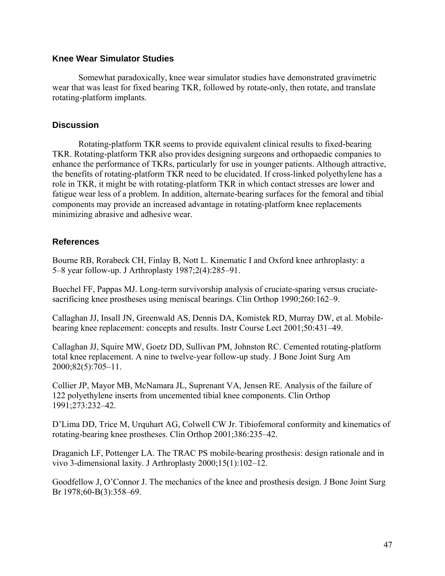### **Knee Wear Simulator Studies**

Somewhat paradoxically, knee wear simulator studies have demonstrated gravimetric wear that was least for fixed bearing TKR, followed by rotate-only, then rotate, and translate rotating-platform implants.

### **Discussion**

Rotating-platform TKR seems to provide equivalent clinical results to fixed-bearing TKR. Rotating-platform TKR also provides designing surgeons and orthopaedic companies to enhance the performance of TKRs, particularly for use in younger patients. Although attractive, the benefits of rotating-platform TKR need to be elucidated. If cross-linked polyethylene has a role in TKR, it might be with rotating-platform TKR in which contact stresses are lower and fatigue wear less of a problem. In addition, alternate-bearing surfaces for the femoral and tibial components may provide an increased advantage in rotating-platform knee replacements minimizing abrasive and adhesive wear.

## **References**

Bourne RB, Rorabeck CH, Finlay B, Nott L. Kinematic I and Oxford knee arthroplasty: a 5–8 year follow-up. J Arthroplasty 1987;2(4):285–91.

Buechel FF, Pappas MJ. Long-term survivorship analysis of cruciate-sparing versus cruciatesacrificing knee prostheses using meniscal bearings. Clin Orthop 1990;260:162–9.

Callaghan JJ, Insall JN, Greenwald AS, Dennis DA, Komistek RD, Murray DW, et al. Mobilebearing knee replacement: concepts and results. Instr Course Lect 2001;50:431–49.

Callaghan JJ, Squire MW, Goetz DD, Sullivan PM, Johnston RC. Cemented rotating-platform total knee replacement. A nine to twelve-year follow-up study. J Bone Joint Surg Am 2000;82(5):705–11.

Collier JP, Mayor MB, McNamara JL, Suprenant VA, Jensen RE. Analysis of the failure of 122 polyethylene inserts from uncemented tibial knee components. Clin Orthop 1991;273:232–42.

D'Lima DD, Trice M, Urquhart AG, Colwell CW Jr. Tibiofemoral conformity and kinematics of rotating-bearing knee prostheses. Clin Orthop 2001;386:235–42.

Draganich LF, Pottenger LA. The TRAC PS mobile-bearing prosthesis: design rationale and in vivo 3-dimensional laxity. J Arthroplasty 2000;15(1):102–12.

Goodfellow J, O'Connor J. The mechanics of the knee and prosthesis design. J Bone Joint Surg Br 1978;60-B(3):358–69.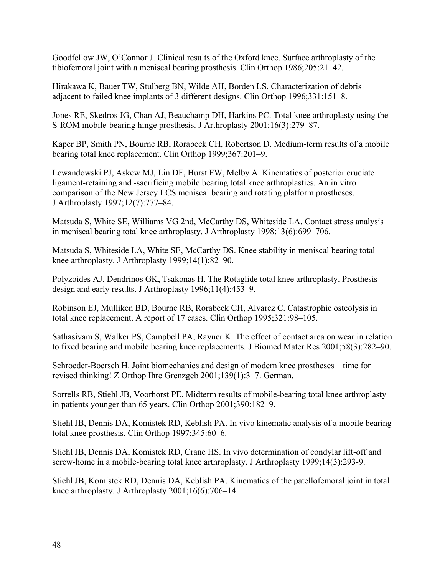Goodfellow JW, O'Connor J. Clinical results of the Oxford knee. Surface arthroplasty of the tibiofemoral joint with a meniscal bearing prosthesis. Clin Orthop 1986;205:21–42.

Hirakawa K, Bauer TW, Stulberg BN, Wilde AH, Borden LS. Characterization of debris adjacent to failed knee implants of 3 different designs. Clin Orthop 1996;331:151–8.

Jones RE, Skedros JG, Chan AJ, Beauchamp DH, Harkins PC. Total knee arthroplasty using the S-ROM mobile-bearing hinge prosthesis. J Arthroplasty 2001;16(3):279–87.

Kaper BP, Smith PN, Bourne RB, Rorabeck CH, Robertson D. Medium-term results of a mobile bearing total knee replacement. Clin Orthop 1999;367:201–9.

Lewandowski PJ, Askew MJ, Lin DF, Hurst FW, Melby A. Kinematics of posterior cruciate ligament-retaining and -sacrificing mobile bearing total knee arthroplasties. An in vitro comparison of the New Jersey LCS meniscal bearing and rotating platform prostheses. J Arthroplasty 1997;12(7):777–84.

Matsuda S, White SE, Williams VG 2nd, McCarthy DS, Whiteside LA. Contact stress analysis in meniscal bearing total knee arthroplasty. J Arthroplasty 1998;13(6):699–706.

Matsuda S, Whiteside LA, White SE, McCarthy DS. Knee stability in meniscal bearing total knee arthroplasty. J Arthroplasty 1999;14(1):82–90.

Polyzoides AJ, Dendrinos GK, Tsakonas H. The Rotaglide total knee arthroplasty. Prosthesis design and early results. J Arthroplasty 1996;11(4):453–9.

Robinson EJ, Mulliken BD, Bourne RB, Rorabeck CH, Alvarez C. Catastrophic osteolysis in total knee replacement. A report of 17 cases. Clin Orthop 1995;321:98–105.

Sathasivam S, Walker PS, Campbell PA, Rayner K. The effect of contact area on wear in relation to fixed bearing and mobile bearing knee replacements. J Biomed Mater Res 2001;58(3):282–90.

Schroeder-Boersch H. Joint biomechanics and design of modern knee prostheses―time for revised thinking! Z Orthop Ihre Grenzgeb 2001;139(1):3–7. German.

Sorrells RB, Stiehl JB, Voorhorst PE. Midterm results of mobile-bearing total knee arthroplasty in patients younger than 65 years. Clin Orthop 2001;390:182–9.

Stiehl JB, Dennis DA, Komistek RD, Keblish PA. In vivo kinematic analysis of a mobile bearing total knee prosthesis. Clin Orthop 1997;345:60–6.

Stiehl JB, Dennis DA, Komistek RD, Crane HS. In vivo determination of condylar lift-off and screw-home in a mobile-bearing total knee arthroplasty. J Arthroplasty 1999;14(3):293-9.

Stiehl JB, Komistek RD, Dennis DA, Keblish PA. Kinematics of the patellofemoral joint in total knee arthroplasty. J Arthroplasty 2001;16(6):706–14.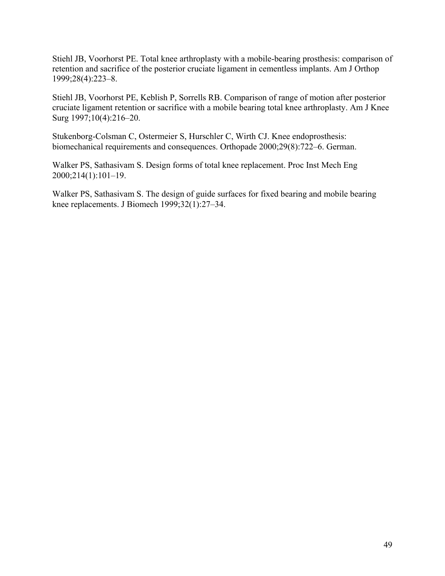Stiehl JB, Voorhorst PE. Total knee arthroplasty with a mobile-bearing prosthesis: comparison of retention and sacrifice of the posterior cruciate ligament in cementless implants. Am J Orthop 1999;28(4):223–8.

Stiehl JB, Voorhorst PE, Keblish P, Sorrells RB. Comparison of range of motion after posterior cruciate ligament retention or sacrifice with a mobile bearing total knee arthroplasty. Am J Knee Surg 1997;10(4):216–20.

Stukenborg-Colsman C, Ostermeier S, Hurschler C, Wirth CJ. Knee endoprosthesis: biomechanical requirements and consequences. Orthopade 2000;29(8):722–6. German.

Walker PS, Sathasivam S. Design forms of total knee replacement. Proc Inst Mech Eng 2000;214(1):101–19.

Walker PS, Sathasivam S. The design of guide surfaces for fixed bearing and mobile bearing knee replacements. J Biomech 1999;32(1):27–34.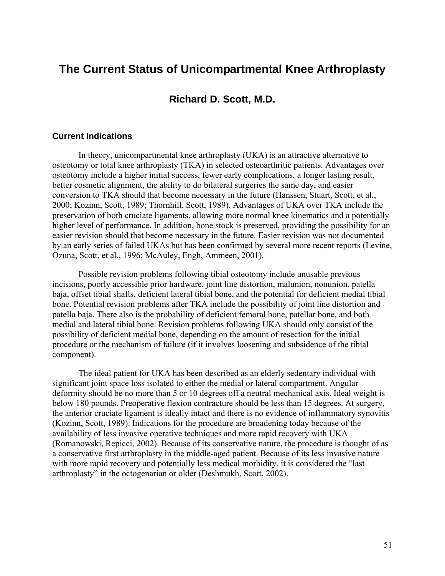# **The Current Status of Unicompartmental Knee Arthroplasty**

# **Richard D. Scott, M.D.**

#### **Current Indications**

In theory, unicompartmental knee arthroplasty (UKA) is an attractive alternative to osteotomy or total knee arthroplasty (TKA) in selected osteoarthritic patients. Advantages over osteotomy include a higher initial success, fewer early complications, a longer lasting result, better cosmetic alignment, the ability to do bilateral surgeries the same day, and easier conversion to TKA should that become necessary in the future (Hanssen, Stuart, Scott, et al., 2000; Kozinn, Scott, 1989; Thornhill, Scott, 1989). Advantages of UKA over TKA include the preservation of both cruciate ligaments, allowing more normal knee kinematics and a potentially higher level of performance. In addition, bone stock is preserved, providing the possibility for an easier revision should that become necessary in the future. Easier revision was not documented by an early series of failed UKAs but has been confirmed by several more recent reports (Levine, Ozuna, Scott, et al., 1996; McAuley, Engh, Ammeen, 2001).

Possible revision problems following tibial osteotomy include unusable previous incisions, poorly accessible prior hardware, joint line distortion, malunion, nonunion, patella baja, offset tibial shafts, deficient lateral tibial bone, and the potential for deficient medial tibial bone. Potential revision problems after TKA include the possibility of joint line distortion and patella baja. There also is the probability of deficient femoral bone, patellar bone, and both medial and lateral tibial bone. Revision problems following UKA should only consist of the possibility of deficient medial bone, depending on the amount of resection for the initial procedure or the mechanism of failure (if it involves loosening and subsidence of the tibial component).

The ideal patient for UKA has been described as an elderly sedentary individual with significant joint space loss isolated to either the medial or lateral compartment. Angular deformity should be no more than 5 or 10 degrees off a neutral mechanical axis. Ideal weight is below 180 pounds. Preoperative flexion contracture should be less than 15 degrees. At surgery, the anterior cruciate ligament is ideally intact and there is no evidence of inflammatory synovitis (Kozinn, Scott, 1989). Indications for the procedure are broadening today because of the availability of less invasive operative techniques and more rapid recovery with UKA (Romanowski, Repicci, 2002). Because of its conservative nature, the procedure is thought of as a conservative first arthroplasty in the middle-aged patient. Because of its less invasive nature with more rapid recovery and potentially less medical morbidity, it is considered the "last arthroplasty" in the octogenarian or older (Deshmukh, Scott, 2002).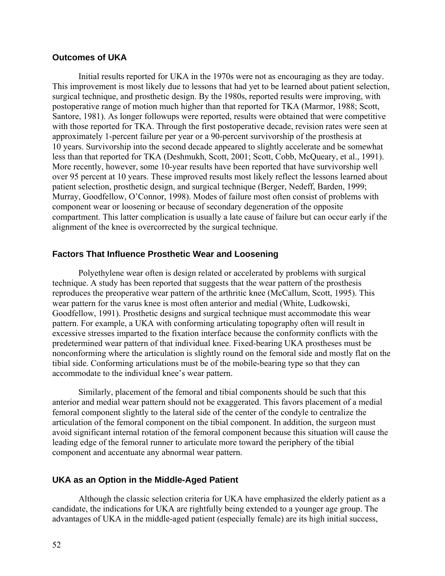#### **Outcomes of UKA**

Initial results reported for UKA in the 1970s were not as encouraging as they are today. This improvement is most likely due to lessons that had yet to be learned about patient selection, surgical technique, and prosthetic design. By the 1980s, reported results were improving, with postoperative range of motion much higher than that reported for TKA (Marmor, 1988; Scott, Santore, 1981). As longer followups were reported, results were obtained that were competitive with those reported for TKA. Through the first postoperative decade, revision rates were seen at approximately 1-percent failure per year or a 90-percent survivorship of the prosthesis at 10 years. Survivorship into the second decade appeared to slightly accelerate and be somewhat less than that reported for TKA (Deshmukh, Scott, 2001; Scott, Cobb, McQueary, et al., 1991). More recently, however, some 10-year results have been reported that have survivorship well over 95 percent at 10 years. These improved results most likely reflect the lessons learned about patient selection, prosthetic design, and surgical technique (Berger, Nedeff, Barden, 1999; Murray, Goodfellow, O'Connor, 1998). Modes of failure most often consist of problems with component wear or loosening or because of secondary degeneration of the opposite compartment. This latter complication is usually a late cause of failure but can occur early if the alignment of the knee is overcorrected by the surgical technique.

#### **Factors That Influence Prosthetic Wear and Loosening**

Polyethylene wear often is design related or accelerated by problems with surgical technique. A study has been reported that suggests that the wear pattern of the prosthesis reproduces the preoperative wear pattern of the arthritic knee (McCallum, Scott, 1995). This wear pattern for the varus knee is most often anterior and medial (White, Ludkowski, Goodfellow, 1991). Prosthetic designs and surgical technique must accommodate this wear pattern. For example, a UKA with conforming articulating topography often will result in excessive stresses imparted to the fixation interface because the conformity conflicts with the predetermined wear pattern of that individual knee. Fixed-bearing UKA prostheses must be nonconforming where the articulation is slightly round on the femoral side and mostly flat on the tibial side. Conforming articulations must be of the mobile-bearing type so that they can accommodate to the individual knee's wear pattern.

Similarly, placement of the femoral and tibial components should be such that this anterior and medial wear pattern should not be exaggerated. This favors placement of a medial femoral component slightly to the lateral side of the center of the condyle to centralize the articulation of the femoral component on the tibial component. In addition, the surgeon must avoid significant internal rotation of the femoral component because this situation will cause the leading edge of the femoral runner to articulate more toward the periphery of the tibial component and accentuate any abnormal wear pattern.

#### **UKA as an Option in the Middle-Aged Patient**

Although the classic selection criteria for UKA have emphasized the elderly patient as a candidate, the indications for UKA are rightfully being extended to a younger age group. The advantages of UKA in the middle-aged patient (especially female) are its high initial success,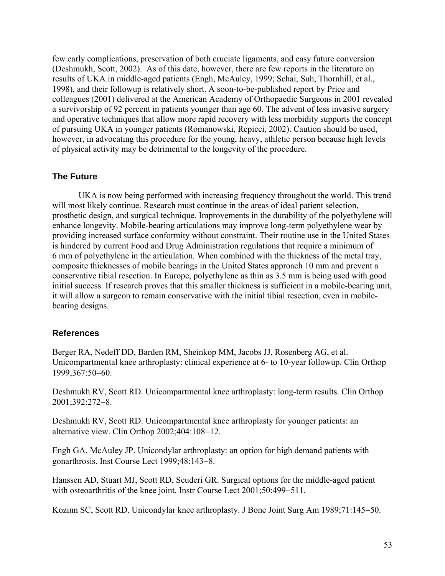few early complications, preservation of both cruciate ligaments, and easy future conversion (Deshmukh, Scott, 2002). As of this date, however, there are few reports in the literature on results of UKA in middle-aged patients (Engh, McAuley, 1999; Schai, Suh, Thornhill, et al., 1998), and their followup is relatively short. A soon-to-be-published report by Price and colleagues (2001) delivered at the American Academy of Orthopaedic Surgeons in 2001 revealed a survivorship of 92 percent in patients younger than age 60. The advent of less invasive surgery and operative techniques that allow more rapid recovery with less morbidity supports the concept of pursuing UKA in younger patients (Romanowski, Repicci, 2002). Caution should be used, however, in advocating this procedure for the young, heavy, athletic person because high levels of physical activity may be detrimental to the longevity of the procedure.

### **The Future**

UKA is now being performed with increasing frequency throughout the world. This trend will most likely continue. Research must continue in the areas of ideal patient selection, prosthetic design, and surgical technique. Improvements in the durability of the polyethylene will enhance longevity. Mobile-bearing articulations may improve long-term polyethylene wear by providing increased surface conformity without constraint. Their routine use in the United States is hindered by current Food and Drug Administration regulations that require a minimum of 6 mm of polyethylene in the articulation. When combined with the thickness of the metal tray, composite thicknesses of mobile bearings in the United States approach 10 mm and prevent a conservative tibial resection. In Europe, polyethylene as thin as 3.5 mm is being used with good initial success. If research proves that this smaller thickness is sufficient in a mobile-bearing unit, it will allow a surgeon to remain conservative with the initial tibial resection, even in mobilebearing designs.

## **References**

Berger RA, Nedeff DD, Barden RM, Sheinkop MM, Jacobs JJ, Rosenberg AG, et al. Unicompartmental knee arthroplasty: clinical experience at 6- to 10-year followup. Clin Orthop 1999;367:50−60.

Deshmukh RV, Scott RD. Unicompartmental knee arthroplasty: long-term results. Clin Orthop 2001;392:272−8.

Deshmukh RV, Scott RD. Unicompartmental knee arthroplasty for younger patients: an alternative view. Clin Orthop 2002;404:108−12.

Engh GA, McAuley JP. Unicondylar arthroplasty: an option for high demand patients with gonarthrosis. Inst Course Lect 1999;48:143−8.

Hanssen AD, Stuart MJ, Scott RD, Scuderi GR. Surgical options for the middle-aged patient with osteoarthritis of the knee joint. Instr Course Lect 2001;50:499−511.

Kozinn SC, Scott RD. Unicondylar knee arthroplasty. J Bone Joint Surg Am 1989;71:145−50.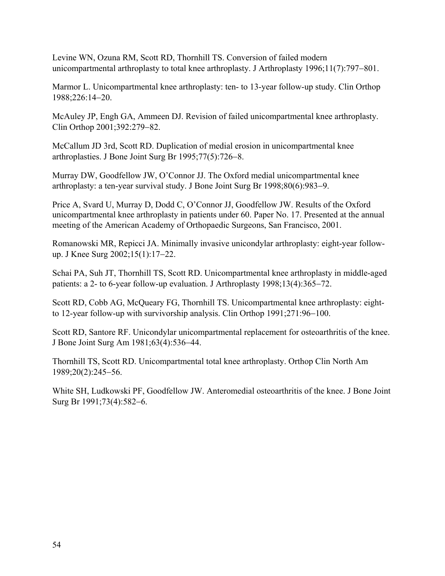Levine WN, Ozuna RM, Scott RD, Thornhill TS. Conversion of failed modern unicompartmental arthroplasty to total knee arthroplasty. J Arthroplasty 1996;11(7):797−801.

Marmor L. Unicompartmental knee arthroplasty: ten- to 13-year follow-up study. Clin Orthop 1988;226:14−20.

McAuley JP, Engh GA, Ammeen DJ. Revision of failed unicompartmental knee arthroplasty. Clin Orthop 2001;392:279−82.

McCallum JD 3rd, Scott RD. Duplication of medial erosion in unicompartmental knee arthroplasties. J Bone Joint Surg Br 1995;77(5):726−8.

Murray DW, Goodfellow JW, O'Connor JJ. The Oxford medial unicompartmental knee arthroplasty: a ten-year survival study. J Bone Joint Surg Br 1998;80(6):983−9.

Price A, Svard U, Murray D, Dodd C, O'Connor JJ, Goodfellow JW. Results of the Oxford unicompartmental knee arthroplasty in patients under 60. Paper No. 17. Presented at the annual meeting of the American Academy of Orthopaedic Surgeons, San Francisco, 2001.

Romanowski MR, Repicci JA. Minimally invasive unicondylar arthroplasty: eight-year followup. J Knee Surg 2002;15(1):17−22.

Schai PA, Suh JT, Thornhill TS, Scott RD. Unicompartmental knee arthroplasty in middle-aged patients: a 2- to 6-year follow-up evaluation. J Arthroplasty 1998;13(4):365−72.

Scott RD, Cobb AG, McQueary FG, Thornhill TS. Unicompartmental knee arthroplasty: eightto 12-year follow-up with survivorship analysis. Clin Orthop 1991;271:96−100.

Scott RD, Santore RF. Unicondylar unicompartmental replacement for osteoarthritis of the knee. J Bone Joint Surg Am 1981;63(4):536−44.

Thornhill TS, Scott RD. Unicompartmental total knee arthroplasty. Orthop Clin North Am 1989;20(2):245−56.

White SH, Ludkowski PF, Goodfellow JW. Anteromedial osteoarthritis of the knee. J Bone Joint Surg Br 1991;73(4):582−6.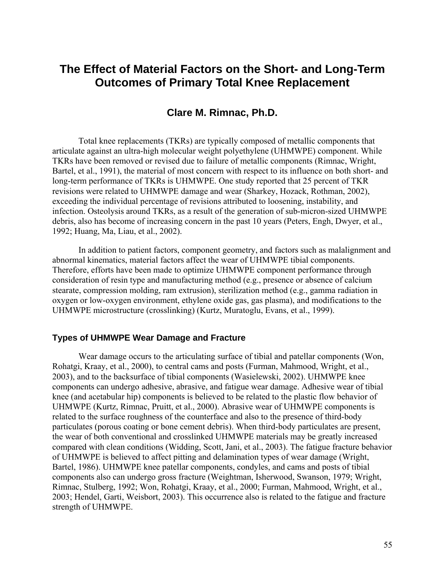# **The Effect of Material Factors on the Short- and Long-Term Outcomes of Primary Total Knee Replacement**

# **Clare M. Rimnac, Ph.D.**

Total knee replacements (TKRs) are typically composed of metallic components that articulate against an ultra-high molecular weight polyethylene (UHMWPE) component. While TKRs have been removed or revised due to failure of metallic components (Rimnac, Wright, Bartel, et al., 1991), the material of most concern with respect to its influence on both short- and long-term performance of TKRs is UHMWPE. One study reported that 25 percent of TKR revisions were related to UHMWPE damage and wear (Sharkey, Hozack, Rothman, 2002), exceeding the individual percentage of revisions attributed to loosening, instability, and infection. Osteolysis around TKRs, as a result of the generation of sub-micron-sized UHMWPE debris, also has become of increasing concern in the past 10 years (Peters, Engh, Dwyer, et al., 1992; Huang, Ma, Liau, et al., 2002).

In addition to patient factors, component geometry, and factors such as malalignment and abnormal kinematics, material factors affect the wear of UHMWPE tibial components. Therefore, efforts have been made to optimize UHMWPE component performance through consideration of resin type and manufacturing method (e.g., presence or absence of calcium stearate, compression molding, ram extrusion), sterilization method (e.g., gamma radiation in oxygen or low-oxygen environment, ethylene oxide gas, gas plasma), and modifications to the UHMWPE microstructure (crosslinking) (Kurtz, Muratoglu, Evans, et al., 1999).

### **Types of UHMWPE Wear Damage and Fracture**

Wear damage occurs to the articulating surface of tibial and patellar components (Won, Rohatgi, Kraay, et al., 2000), to central cams and posts (Furman, Mahmood, Wright, et al., 2003), and to the backsurface of tibial components (Wasielewski, 2002). UHMWPE knee components can undergo adhesive, abrasive, and fatigue wear damage. Adhesive wear of tibial knee (and acetabular hip) components is believed to be related to the plastic flow behavior of UHMWPE (Kurtz, Rimnac, Pruitt, et al., 2000). Abrasive wear of UHMWPE components is related to the surface roughness of the counterface and also to the presence of third-body particulates (porous coating or bone cement debris). When third-body particulates are present, the wear of both conventional and crosslinked UHMWPE materials may be greatly increased compared with clean conditions (Widding, Scott, Jani, et al., 2003). The fatigue fracture behavior of UHMWPE is believed to affect pitting and delamination types of wear damage (Wright, Bartel, 1986). UHMWPE knee patellar components, condyles, and cams and posts of tibial components also can undergo gross fracture (Weightman, Isherwood, Swanson, 1979; Wright, Rimnac, Stulberg, 1992; Won, Rohatgi, Kraay, et al., 2000; Furman, Mahmood, Wright, et al., 2003; Hendel, Garti, Weisbort, 2003). This occurrence also is related to the fatigue and fracture strength of UHMWPE.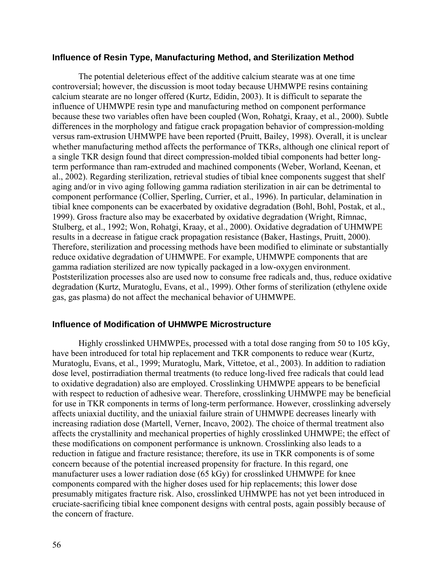#### **Influence of Resin Type, Manufacturing Method, and Sterilization Method**

The potential deleterious effect of the additive calcium stearate was at one time controversial; however, the discussion is moot today because UHMWPE resins containing calcium stearate are no longer offered (Kurtz, Edidin, 2003). It is difficult to separate the influence of UHMWPE resin type and manufacturing method on component performance because these two variables often have been coupled (Won, Rohatgi, Kraay, et al., 2000). Subtle differences in the morphology and fatigue crack propagation behavior of compression-molding versus ram-extrusion UHMWPE have been reported (Pruitt, Bailey, 1998). Overall, it is unclear whether manufacturing method affects the performance of TKRs, although one clinical report of a single TKR design found that direct compression-molded tibial components had better longterm performance than ram-extruded and machined components (Weber, Worland, Keenan, et al., 2002). Regarding sterilization, retrieval studies of tibial knee components suggest that shelf aging and/or in vivo aging following gamma radiation sterilization in air can be detrimental to component performance (Collier, Sperling, Currier, et al., 1996). In particular, delamination in tibial knee components can be exacerbated by oxidative degradation (Bohl, Bohl, Postak, et al., 1999). Gross fracture also may be exacerbated by oxidative degradation (Wright, Rimnac, Stulberg, et al., 1992; Won, Rohatgi, Kraay, et al., 2000). Oxidative degradation of UHMWPE results in a decrease in fatigue crack propagation resistance (Baker, Hastings, Pruitt, 2000). Therefore, sterilization and processing methods have been modified to eliminate or substantially reduce oxidative degradation of UHMWPE. For example, UHMWPE components that are gamma radiation sterilized are now typically packaged in a low-oxygen environment. Poststerilization processes also are used now to consume free radicals and, thus, reduce oxidative degradation (Kurtz, Muratoglu, Evans, et al., 1999). Other forms of sterilization (ethylene oxide gas, gas plasma) do not affect the mechanical behavior of UHMWPE.

### **Influence of Modification of UHMWPE Microstructure**

Highly crosslinked UHMWPEs, processed with a total dose ranging from 50 to 105 kGy, have been introduced for total hip replacement and TKR components to reduce wear (Kurtz, Muratoglu, Evans, et al., 1999; Muratoglu, Mark, Vittetoe, et al., 2003). In addition to radiation dose level, postirradiation thermal treatments (to reduce long-lived free radicals that could lead to oxidative degradation) also are employed. Crosslinking UHMWPE appears to be beneficial with respect to reduction of adhesive wear. Therefore, crosslinking UHMWPE may be beneficial for use in TKR components in terms of long-term performance. However, crosslinking adversely affects uniaxial ductility, and the uniaxial failure strain of UHMWPE decreases linearly with increasing radiation dose (Martell, Verner, Incavo, 2002). The choice of thermal treatment also affects the crystallinity and mechanical properties of highly crosslinked UHMWPE; the effect of these modifications on component performance is unknown. Crosslinking also leads to a reduction in fatigue and fracture resistance; therefore, its use in TKR components is of some concern because of the potential increased propensity for fracture. In this regard, one manufacturer uses a lower radiation dose (65 kGy) for crosslinked UHMWPE for knee components compared with the higher doses used for hip replacements; this lower dose presumably mitigates fracture risk. Also, crosslinked UHMWPE has not yet been introduced in cruciate-sacrificing tibial knee component designs with central posts, again possibly because of the concern of fracture.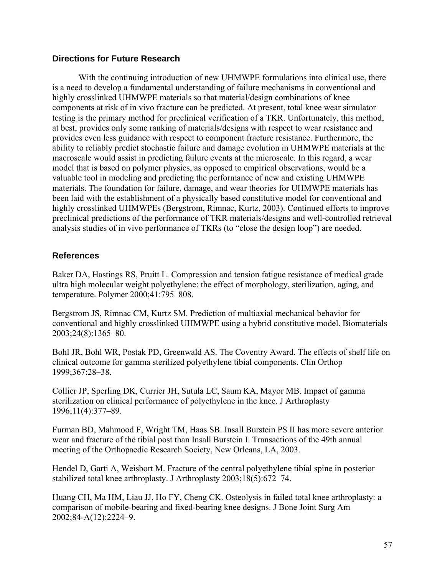## **Directions for Future Research**

With the continuing introduction of new UHMWPE formulations into clinical use, there is a need to develop a fundamental understanding of failure mechanisms in conventional and highly crosslinked UHMWPE materials so that material/design combinations of knee components at risk of in vivo fracture can be predicted. At present, total knee wear simulator testing is the primary method for preclinical verification of a TKR. Unfortunately, this method, at best, provides only some ranking of materials/designs with respect to wear resistance and provides even less guidance with respect to component fracture resistance. Furthermore, the ability to reliably predict stochastic failure and damage evolution in UHMWPE materials at the macroscale would assist in predicting failure events at the microscale. In this regard, a wear model that is based on polymer physics, as opposed to empirical observations, would be a valuable tool in modeling and predicting the performance of new and existing UHMWPE materials. The foundation for failure, damage, and wear theories for UHMWPE materials has been laid with the establishment of a physically based constitutive model for conventional and highly crosslinked UHMWPEs (Bergstrom, Rimnac, Kurtz, 2003). Continued efforts to improve preclinical predictions of the performance of TKR materials/designs and well-controlled retrieval analysis studies of in vivo performance of TKRs (to "close the design loop") are needed.

## **References**

Baker DA, Hastings RS, Pruitt L. Compression and tension fatigue resistance of medical grade ultra high molecular weight polyethylene: the effect of morphology, sterilization, aging, and temperature. Polymer 2000;41:795–808.

Bergstrom JS, Rimnac CM, Kurtz SM. Prediction of multiaxial mechanical behavior for conventional and highly crosslinked UHMWPE using a hybrid constitutive model. Biomaterials 2003;24(8):1365–80.

Bohl JR, Bohl WR, Postak PD, Greenwald AS. The Coventry Award. The effects of shelf life on clinical outcome for gamma sterilized polyethylene tibial components. Clin Orthop 1999;367:28–38.

Collier JP, Sperling DK, Currier JH, Sutula LC, Saum KA, Mayor MB. Impact of gamma sterilization on clinical performance of polyethylene in the knee. J Arthroplasty 1996;11(4):377–89.

Furman BD, Mahmood F, Wright TM, Haas SB. Insall Burstein PS II has more severe anterior wear and fracture of the tibial post than Insall Burstein I. Transactions of the 49th annual meeting of the Orthopaedic Research Society, New Orleans, LA, 2003.

Hendel D, Garti A, Weisbort M. Fracture of the central polyethylene tibial spine in posterior stabilized total knee arthroplasty. J Arthroplasty 2003;18(5):672–74.

Huang CH, Ma HM, Liau JJ, Ho FY, Cheng CK. Osteolysis in failed total knee arthroplasty: a comparison of mobile-bearing and fixed-bearing knee designs. J Bone Joint Surg Am 2002;84-A(12):2224–9.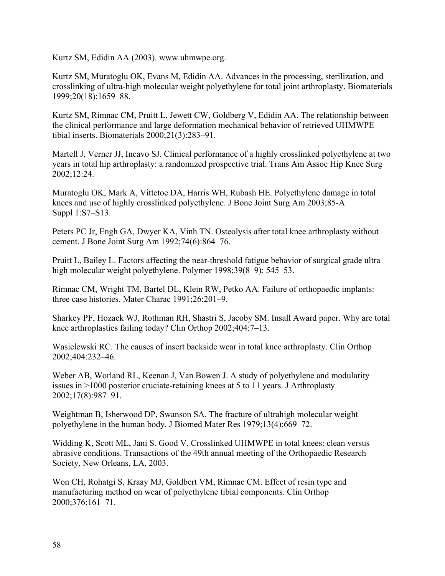Kurtz SM, Edidin AA (2003). www.uhmwpe.org.

Kurtz SM, Muratoglu OK, Evans M, Edidin AA. Advances in the processing, sterilization, and crosslinking of ultra-high molecular weight polyethylene for total joint arthroplasty. Biomaterials 1999;20(18):1659–88.

Kurtz SM, Rimnac CM, Pruitt L, Jewett CW, Goldberg V, Edidin AA. The relationship between the clinical performance and large deformation mechanical behavior of retrieved UHMWPE tibial inserts. Biomaterials 2000;21(3):283–91.

Martell J, Verner JJ, Incavo SJ. Clinical performance of a highly crosslinked polyethylene at two years in total hip arthroplasty: a randomized prospective trial. Trans Am Assoc Hip Knee Surg 2002;12:24.

Muratoglu OK, Mark A, Vittetoe DA, Harris WH, Rubash HE. Polyethylene damage in total knees and use of highly crosslinked polyethylene. J Bone Joint Surg Am 2003;85-A Suppl 1:S7–S13.

Peters PC Jr, Engh GA, Dwyer KA, Vinh TN. Osteolysis after total knee arthroplasty without cement. J Bone Joint Surg Am 1992;74(6):864–76.

Pruitt L, Bailey L. Factors affecting the near-threshold fatigue behavior of surgical grade ultra high molecular weight polyethylene. Polymer 1998;39(8–9): 545–53.

Rimnac CM, Wright TM, Bartel DL, Klein RW, Petko AA. Failure of orthopaedic implants: three case histories. Mater Charac 1991;26:201–9.

Sharkey PF, Hozack WJ, Rothman RH, Shastri S, Jacoby SM. Insall Award paper. Why are total knee arthroplasties failing today? Clin Orthop 2002;404:7–13.

Wasielewski RC. The causes of insert backside wear in total knee arthroplasty. Clin Orthop 2002;404:232–46.

Weber AB, Worland RL, Keenan J, Van Bowen J. A study of polyethylene and modularity issues in >1000 posterior cruciate-retaining knees at 5 to 11 years. J Arthroplasty 2002;17(8):987–91.

Weightman B, Isherwood DP, Swanson SA. The fracture of ultrahigh molecular weight polyethylene in the human body. J Biomed Mater Res 1979;13(4):669–72.

Widding K, Scott ML, Jani S. Good V. Crosslinked UHMWPE in total knees: clean versus abrasive conditions. Transactions of the 49th annual meeting of the Orthopaedic Research Society, New Orleans, LA, 2003.

Won CH, Rohatgi S, Kraay MJ, Goldbert VM, Rimnac CM. Effect of resin type and manufacturing method on wear of polyethylene tibial components. Clin Orthop 2000;376:161–71.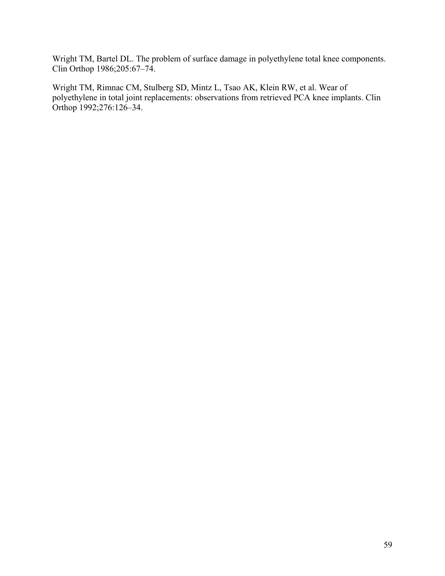Wright TM, Bartel DL. The problem of surface damage in polyethylene total knee components. Clin Orthop 1986;205:67–74.

Wright TM, Rimnac CM, Stulberg SD, Mintz L, Tsao AK, Klein RW, et al. Wear of polyethylene in total joint replacements: observations from retrieved PCA knee implants. Clin Orthop 1992;276:126–34.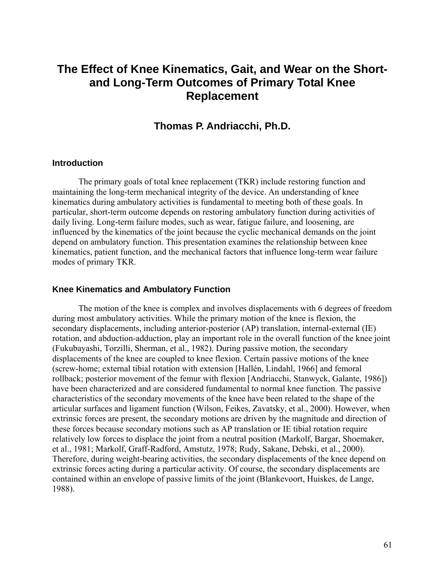# **The Effect of Knee Kinematics, Gait, and Wear on the Shortand Long-Term Outcomes of Primary Total Knee Replacement**

# **Thomas P. Andriacchi, Ph.D.**

#### **Introduction**

The primary goals of total knee replacement (TKR) include restoring function and maintaining the long-term mechanical integrity of the device. An understanding of knee kinematics during ambulatory activities is fundamental to meeting both of these goals. In particular, short-term outcome depends on restoring ambulatory function during activities of daily living. Long-term failure modes, such as wear, fatigue failure, and loosening, are influenced by the kinematics of the joint because the cyclic mechanical demands on the joint depend on ambulatory function. This presentation examines the relationship between knee kinematics, patient function, and the mechanical factors that influence long-term wear failure modes of primary TKR.

#### **Knee Kinematics and Ambulatory Function**

The motion of the knee is complex and involves displacements with 6 degrees of freedom during most ambulatory activities. While the primary motion of the knee is flexion, the secondary displacements, including anterior-posterior (AP) translation, internal-external (IE) rotation, and abduction-adduction, play an important role in the overall function of the knee joint (Fukubayashi, Torzilli, Sherman, et al., 1982). During passive motion, the secondary displacements of the knee are coupled to knee flexion. Certain passive motions of the knee (screw-home; external tibial rotation with extension [Hallén, Lindahl, 1966] and femoral rollback; posterior movement of the femur with flexion [Andriacchi, Stanwyck, Galante, 1986]) have been characterized and are considered fundamental to normal knee function. The passive characteristics of the secondary movements of the knee have been related to the shape of the articular surfaces and ligament function (Wilson, Feikes, Zavatsky, et al., 2000). However, when extrinsic forces are present, the secondary motions are driven by the magnitude and direction of these forces because secondary motions such as AP translation or IE tibial rotation require relatively low forces to displace the joint from a neutral position (Markolf, Bargar, Shoemaker, et al., 1981; Markolf, Graff-Radford, Amstutz, 1978; Rudy, Sakane, Debski, et al., 2000). Therefore, during weight-bearing activities, the secondary displacements of the knee depend on extrinsic forces acting during a particular activity. Of course, the secondary displacements are contained within an envelope of passive limits of the joint (Blankevoort, Huiskes, de Lange, 1988).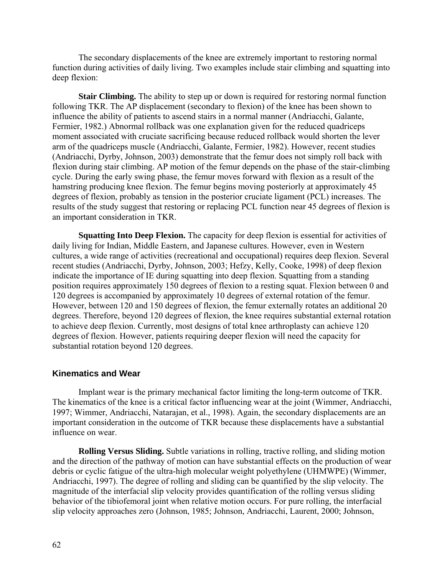The secondary displacements of the knee are extremely important to restoring normal function during activities of daily living. Two examples include stair climbing and squatting into deep flexion:

**Stair Climbing.** The ability to step up or down is required for restoring normal function following TKR. The AP displacement (secondary to flexion) of the knee has been shown to influence the ability of patients to ascend stairs in a normal manner (Andriacchi, Galante, Fermier, 1982.) Abnormal rollback was one explanation given for the reduced quadriceps moment associated with cruciate sacrificing because reduced rollback would shorten the lever arm of the quadriceps muscle (Andriacchi, Galante, Fermier, 1982). However, recent studies (Andriacchi, Dyrby, Johnson, 2003) demonstrate that the femur does not simply roll back with flexion during stair climbing. AP motion of the femur depends on the phase of the stair-climbing cycle. During the early swing phase, the femur moves forward with flexion as a result of the hamstring producing knee flexion. The femur begins moving posteriorly at approximately 45 degrees of flexion, probably as tension in the posterior cruciate ligament (PCL) increases. The results of the study suggest that restoring or replacing PCL function near 45 degrees of flexion is an important consideration in TKR.

**Squatting Into Deep Flexion.** The capacity for deep flexion is essential for activities of daily living for Indian, Middle Eastern, and Japanese cultures. However, even in Western cultures, a wide range of activities (recreational and occupational) requires deep flexion. Several recent studies (Andriacchi, Dyrby, Johnson, 2003; Hefzy, Kelly, Cooke, 1998) of deep flexion indicate the importance of IE during squatting into deep flexion. Squatting from a standing position requires approximately 150 degrees of flexion to a resting squat. Flexion between 0 and 120 degrees is accompanied by approximately 10 degrees of external rotation of the femur. However, between 120 and 150 degrees of flexion, the femur externally rotates an additional 20 degrees. Therefore, beyond 120 degrees of flexion, the knee requires substantial external rotation to achieve deep flexion. Currently, most designs of total knee arthroplasty can achieve 120 degrees of flexion. However, patients requiring deeper flexion will need the capacity for substantial rotation beyond 120 degrees.

#### **Kinematics and Wear**

Implant wear is the primary mechanical factor limiting the long-term outcome of TKR. The kinematics of the knee is a critical factor influencing wear at the joint (Wimmer, Andriacchi, 1997; Wimmer, Andriacchi, Natarajan, et al., 1998). Again, the secondary displacements are an important consideration in the outcome of TKR because these displacements have a substantial influence on wear.

**Rolling Versus Sliding.** Subtle variations in rolling, tractive rolling, and sliding motion and the direction of the pathway of motion can have substantial effects on the production of wear debris or cyclic fatigue of the ultra-high molecular weight polyethylene (UHMWPE) (Wimmer, Andriacchi, 1997). The degree of rolling and sliding can be quantified by the slip velocity. The magnitude of the interfacial slip velocity provides quantification of the rolling versus sliding behavior of the tibiofemoral joint when relative motion occurs. For pure rolling, the interfacial slip velocity approaches zero (Johnson, 1985; Johnson, Andriacchi, Laurent, 2000; Johnson,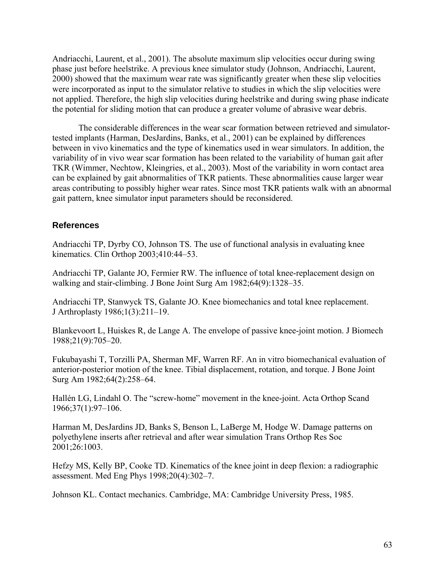Andriacchi, Laurent, et al., 2001). The absolute maximum slip velocities occur during swing phase just before heelstrike. A previous knee simulator study (Johnson, Andriacchi, Laurent, 2000) showed that the maximum wear rate was significantly greater when these slip velocities were incorporated as input to the simulator relative to studies in which the slip velocities were not applied. Therefore, the high slip velocities during heelstrike and during swing phase indicate the potential for sliding motion that can produce a greater volume of abrasive wear debris.

The considerable differences in the wear scar formation between retrieved and simulatortested implants (Harman, DesJardins, Banks, et al., 2001) can be explained by differences between in vivo kinematics and the type of kinematics used in wear simulators. In addition, the variability of in vivo wear scar formation has been related to the variability of human gait after TKR (Wimmer, Nechtow, Kleingries, et al., 2003). Most of the variability in worn contact area can be explained by gait abnormalities of TKR patients. These abnormalities cause larger wear areas contributing to possibly higher wear rates. Since most TKR patients walk with an abnormal gait pattern, knee simulator input parameters should be reconsidered.

#### **References**

Andriacchi TP, Dyrby CO, Johnson TS. The use of functional analysis in evaluating knee kinematics. Clin Orthop 2003;410:44–53.

Andriacchi TP, Galante JO, Fermier RW. The influence of total knee-replacement design on walking and stair-climbing. J Bone Joint Surg Am 1982;64(9):1328–35.

Andriacchi TP, Stanwyck TS, Galante JO. Knee biomechanics and total knee replacement. J Arthroplasty 1986;1(3):211–19.

Blankevoort L, Huiskes R, de Lange A. The envelope of passive knee-joint motion. J Biomech 1988;21(9):705–20.

Fukubayashi T, Torzilli PA, Sherman MF, Warren RF. An in vitro biomechanical evaluation of anterior-posterior motion of the knee. Tibial displacement, rotation, and torque. J Bone Joint Surg Am 1982;64(2):258–64.

Hallén LG, Lindahl O. The "screw-home" movement in the knee-joint. Acta Orthop Scand 1966;37(1):97–106.

Harman M, DesJardins JD, Banks S, Benson L, LaBerge M, Hodge W. Damage patterns on polyethylene inserts after retrieval and after wear simulation Trans Orthop Res Soc 2001;26:1003.

Hefzy MS, Kelly BP, Cooke TD. Kinematics of the knee joint in deep flexion: a radiographic assessment. Med Eng Phys 1998;20(4):302–7.

Johnson KL. Contact mechanics. Cambridge, MA: Cambridge University Press, 1985.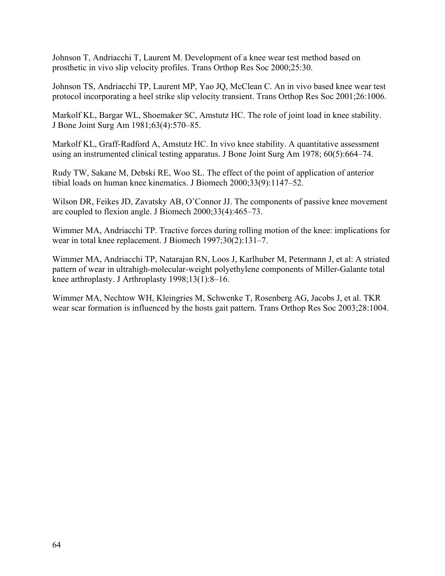Johnson T, Andriacchi T, Laurent M. Development of a knee wear test method based on prosthetic in vivo slip velocity profiles. Trans Orthop Res Soc 2000;25:30.

Johnson TS, Andriacchi TP, Laurent MP, Yao JQ, McClean C. An in vivo based knee wear test protocol incorporating a heel strike slip velocity transient. Trans Orthop Res Soc 2001;26:1006.

Markolf KL, Bargar WL, Shoemaker SC, Amstutz HC. The role of joint load in knee stability. J Bone Joint Surg Am 1981;63(4):570–85.

Markolf KL, Graff-Radford A, Amstutz HC. In vivo knee stability. A quantitative assessment using an instrumented clinical testing apparatus. J Bone Joint Surg Am 1978; 60(5):664–74.

Rudy TW, Sakane M, Debski RE, Woo SL. The effect of the point of application of anterior tibial loads on human knee kinematics. J Biomech 2000;33(9):1147–52.

Wilson DR, Feikes JD, Zavatsky AB, O'Connor JJ. The components of passive knee movement are coupled to flexion angle. J Biomech 2000;33(4):465–73.

Wimmer MA, Andriacchi TP. Tractive forces during rolling motion of the knee: implications for wear in total knee replacement. J Biomech 1997;30(2):131–7.

Wimmer MA, Andriacchi TP, Natarajan RN, Loos J, Karlhuber M, Petermann J, et al: A striated pattern of wear in ultrahigh-molecular-weight polyethylene components of Miller-Galante total knee arthroplasty. J Arthroplasty 1998;13(1):8–16.

Wimmer MA, Nechtow WH, Kleingries M, Schwenke T, Rosenberg AG, Jacobs J, et al. TKR wear scar formation is influenced by the hosts gait pattern. Trans Orthop Res Soc 2003;28:1004.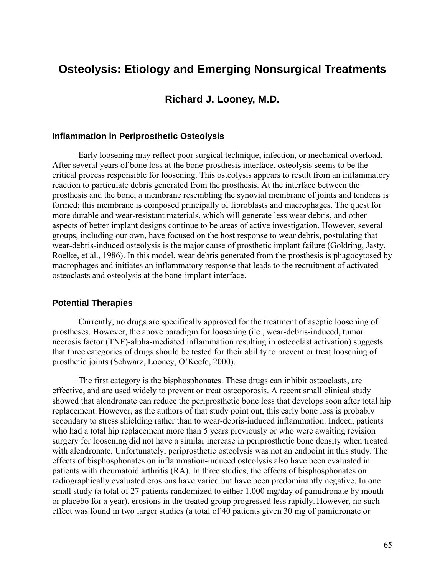# **Osteolysis: Etiology and Emerging Nonsurgical Treatments**

# **Richard J. Looney, M.D.**

#### **Inflammation in Periprosthetic Osteolysis**

Early loosening may reflect poor surgical technique, infection, or mechanical overload. After several years of bone loss at the bone-prosthesis interface, osteolysis seems to be the critical process responsible for loosening. This osteolysis appears to result from an inflammatory reaction to particulate debris generated from the prosthesis. At the interface between the prosthesis and the bone, a membrane resembling the synovial membrane of joints and tendons is formed; this membrane is composed principally of fibroblasts and macrophages. The quest for more durable and wear-resistant materials, which will generate less wear debris, and other aspects of better implant designs continue to be areas of active investigation. However, several groups, including our own, have focused on the host response to wear debris, postulating that wear-debris-induced osteolysis is the major cause of prosthetic implant failure (Goldring, Jasty, Roelke, et al., 1986). In this model, wear debris generated from the prosthesis is phagocytosed by macrophages and initiates an inflammatory response that leads to the recruitment of activated osteoclasts and osteolysis at the bone-implant interface.

#### **Potential Therapies**

Currently, no drugs are specifically approved for the treatment of aseptic loosening of prostheses. However, the above paradigm for loosening (i.e., wear-debris-induced, tumor necrosis factor (TNF)-alpha-mediated inflammation resulting in osteoclast activation) suggests that three categories of drugs should be tested for their ability to prevent or treat loosening of prosthetic joints (Schwarz, Looney, O'Keefe, 2000).

The first category is the bisphosphonates. These drugs can inhibit osteoclasts, are effective, and are used widely to prevent or treat osteoporosis. A recent small clinical study showed that alendronate can reduce the periprosthetic bone loss that develops soon after total hip replacement. However, as the authors of that study point out, this early bone loss is probably secondary to stress shielding rather than to wear-debris-induced inflammation. Indeed, patients who had a total hip replacement more than 5 years previously or who were awaiting revision surgery for loosening did not have a similar increase in periprosthetic bone density when treated with alendronate. Unfortunately, periprosthetic osteolysis was not an endpoint in this study. The effects of bisphosphonates on inflammation-induced osteolysis also have been evaluated in patients with rheumatoid arthritis (RA). In three studies, the effects of bisphosphonates on radiographically evaluated erosions have varied but have been predominantly negative. In one small study (a total of 27 patients randomized to either 1,000 mg/day of pamidronate by mouth or placebo for a year), erosions in the treated group progressed less rapidly. However, no such effect was found in two larger studies (a total of 40 patients given 30 mg of pamidronate or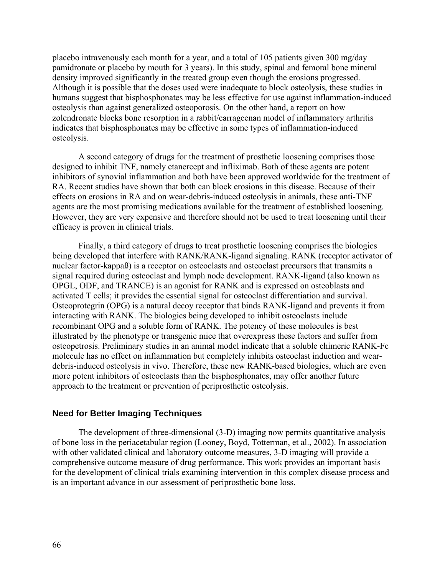placebo intravenously each month for a year, and a total of 105 patients given 300 mg/day pamidronate or placebo by mouth for 3 years). In this study, spinal and femoral bone mineral density improved significantly in the treated group even though the erosions progressed. Although it is possible that the doses used were inadequate to block osteolysis, these studies in humans suggest that bisphosphonates may be less effective for use against inflammation-induced osteolysis than against generalized osteoporosis. On the other hand, a report on how zolendronate blocks bone resorption in a rabbit/carrageenan model of inflammatory arthritis indicates that bisphosphonates may be effective in some types of inflammation-induced osteolysis.

A second category of drugs for the treatment of prosthetic loosening comprises those designed to inhibit TNF, namely etanercept and infliximab. Both of these agents are potent inhibitors of synovial inflammation and both have been approved worldwide for the treatment of RA. Recent studies have shown that both can block erosions in this disease. Because of their effects on erosions in RA and on wear-debris-induced osteolysis in animals, these anti-TNF agents are the most promising medications available for the treatment of established loosening. However, they are very expensive and therefore should not be used to treat loosening until their efficacy is proven in clinical trials.

Finally, a third category of drugs to treat prosthetic loosening comprises the biologics being developed that interfere with RANK/RANK-ligand signaling. RANK (receptor activator of nuclear factor-kappaß) is a receptor on osteoclasts and osteoclast precursors that transmits a signal required during osteoclast and lymph node development. RANK-ligand (also known as OPGL, ODF, and TRANCE) is an agonist for RANK and is expressed on osteoblasts and activated T cells; it provides the essential signal for osteoclast differentiation and survival. Osteoprotegrin (OPG) is a natural decoy receptor that binds RANK-ligand and prevents it from interacting with RANK. The biologics being developed to inhibit osteoclasts include recombinant OPG and a soluble form of RANK. The potency of these molecules is best illustrated by the phenotype or transgenic mice that overexpress these factors and suffer from osteopetrosis. Preliminary studies in an animal model indicate that a soluble chimeric RANK-Fc molecule has no effect on inflammation but completely inhibits osteoclast induction and weardebris-induced osteolysis in vivo. Therefore, these new RANK-based biologics, which are even more potent inhibitors of osteoclasts than the bisphosphonates, may offer another future approach to the treatment or prevention of periprosthetic osteolysis.

#### **Need for Better Imaging Techniques**

The development of three-dimensional (3-D) imaging now permits quantitative analysis of bone loss in the periacetabular region (Looney, Boyd, Totterman, et al., 2002). In association with other validated clinical and laboratory outcome measures, 3-D imaging will provide a comprehensive outcome measure of drug performance. This work provides an important basis for the development of clinical trials examining intervention in this complex disease process and is an important advance in our assessment of periprosthetic bone loss.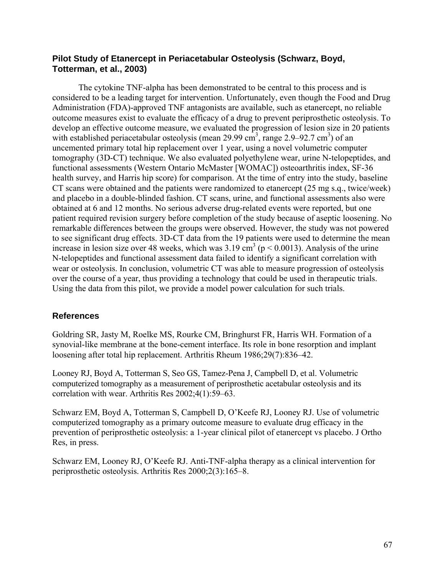## **Pilot Study of Etanercept in Periacetabular Osteolysis (Schwarz, Boyd, Totterman, et al., 2003)**

The cytokine TNF-alpha has been demonstrated to be central to this process and is considered to be a leading target for intervention. Unfortunately, even though the Food and Drug Administration (FDA)-approved TNF antagonists are available, such as etanercept, no reliable outcome measures exist to evaluate the efficacy of a drug to prevent periprosthetic osteolysis. To develop an effective outcome measure, we evaluated the progression of lesion size in 20 patients with established periacetabular osteolysis (mean 29.99 cm<sup>3</sup>, range 2.9–92.7 cm<sup>3</sup>) of an uncemented primary total hip replacement over 1 year, using a novel volumetric computer tomography (3D-CT) technique. We also evaluated polyethylene wear, urine N-telopeptides, and functional assessments (Western Ontario McMaster [WOMAC]) osteoarthritis index, SF-36 health survey, and Harris hip score) for comparison. At the time of entry into the study, baseline CT scans were obtained and the patients were randomized to etanercept (25 mg s.q., twice/week) and placebo in a double-blinded fashion. CT scans, urine, and functional assessments also were obtained at 6 and 12 months. No serious adverse drug-related events were reported, but one patient required revision surgery before completion of the study because of aseptic loosening. No remarkable differences between the groups were observed. However, the study was not powered to see significant drug effects. 3D-CT data from the 19 patients were used to determine the mean increase in lesion size over 48 weeks, which was  $3.19 \text{ cm}^3$  ( $p < 0.0013$ ). Analysis of the urine N-telopeptides and functional assessment data failed to identify a significant correlation with wear or osteolysis. In conclusion, volumetric CT was able to measure progression of osteolysis over the course of a year, thus providing a technology that could be used in therapeutic trials. Using the data from this pilot, we provide a model power calculation for such trials.

## **References**

Goldring SR, Jasty M, Roelke MS, Rourke CM, Bringhurst FR, Harris WH. Formation of a synovial-like membrane at the bone-cement interface. Its role in bone resorption and implant loosening after total hip replacement. Arthritis Rheum 1986;29(7):836–42.

Looney RJ, Boyd A, Totterman S, Seo GS, Tamez-Pena J, Campbell D, et al. Volumetric computerized tomography as a measurement of periprosthetic acetabular osteolysis and its correlation with wear. Arthritis Res 2002;4(1):59–63.

Schwarz EM, Boyd A, Totterman S, Campbell D, O'Keefe RJ, Looney RJ. Use of volumetric computerized tomography as a primary outcome measure to evaluate drug efficacy in the prevention of periprosthetic osteolysis: a 1-year clinical pilot of etanercept vs placebo. J Ortho Res, in press.

Schwarz EM, Looney RJ, O'Keefe RJ. Anti-TNF-alpha therapy as a clinical intervention for periprosthetic osteolysis. Arthritis Res 2000;2(3):165–8.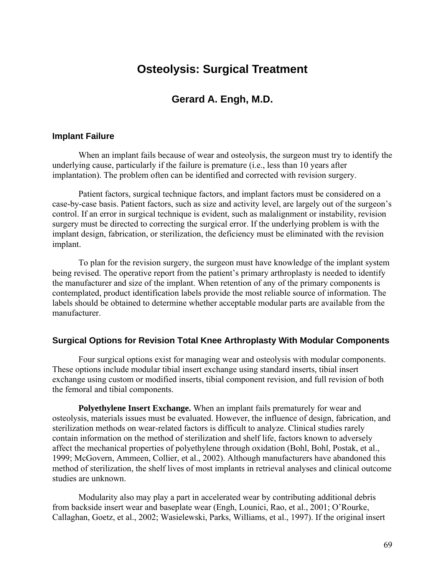# **Osteolysis: Surgical Treatment**

## **Gerard A. Engh, M.D.**

#### **Implant Failure**

When an implant fails because of wear and osteolysis, the surgeon must try to identify the underlying cause, particularly if the failure is premature (i.e., less than 10 years after implantation). The problem often can be identified and corrected with revision surgery.

Patient factors, surgical technique factors, and implant factors must be considered on a case-by-case basis. Patient factors, such as size and activity level, are largely out of the surgeon's control. If an error in surgical technique is evident, such as malalignment or instability, revision surgery must be directed to correcting the surgical error. If the underlying problem is with the implant design, fabrication, or sterilization, the deficiency must be eliminated with the revision implant.

To plan for the revision surgery, the surgeon must have knowledge of the implant system being revised. The operative report from the patient's primary arthroplasty is needed to identify the manufacturer and size of the implant. When retention of any of the primary components is contemplated, product identification labels provide the most reliable source of information. The labels should be obtained to determine whether acceptable modular parts are available from the manufacturer.

#### **Surgical Options for Revision Total Knee Arthroplasty With Modular Components**

Four surgical options exist for managing wear and osteolysis with modular components. These options include modular tibial insert exchange using standard inserts, tibial insert exchange using custom or modified inserts, tibial component revision, and full revision of both the femoral and tibial components.

**Polyethylene Insert Exchange.** When an implant fails prematurely for wear and osteolysis, materials issues must be evaluated. However, the influence of design, fabrication, and sterilization methods on wear-related factors is difficult to analyze. Clinical studies rarely contain information on the method of sterilization and shelf life, factors known to adversely affect the mechanical properties of polyethylene through oxidation (Bohl, Bohl, Postak, et al., 1999; McGovern, Ammeen, Collier, et al., 2002). Although manufacturers have abandoned this method of sterilization, the shelf lives of most implants in retrieval analyses and clinical outcome studies are unknown.

Modularity also may play a part in accelerated wear by contributing additional debris from backside insert wear and baseplate wear (Engh, Lounici, Rao, et al., 2001; O'Rourke, Callaghan, Goetz, et al., 2002; Wasielewski, Parks, Williams, et al., 1997). If the original insert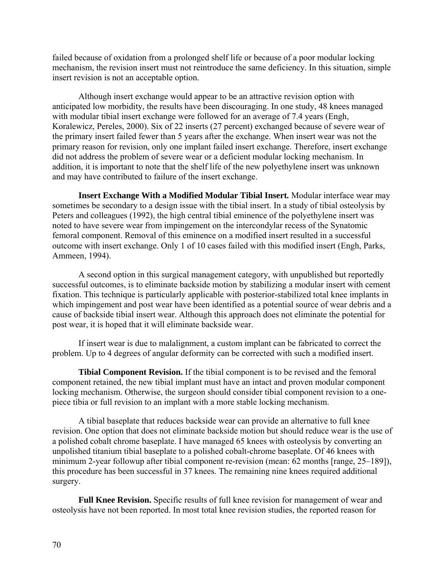failed because of oxidation from a prolonged shelf life or because of a poor modular locking mechanism, the revision insert must not reintroduce the same deficiency. In this situation, simple insert revision is not an acceptable option.

Although insert exchange would appear to be an attractive revision option with anticipated low morbidity, the results have been discouraging. In one study, 48 knees managed with modular tibial insert exchange were followed for an average of 7.4 years (Engh, Koralewicz, Pereles, 2000). Six of 22 inserts (27 percent) exchanged because of severe wear of the primary insert failed fewer than 5 years after the exchange. When insert wear was not the primary reason for revision, only one implant failed insert exchange. Therefore, insert exchange did not address the problem of severe wear or a deficient modular locking mechanism. In addition, it is important to note that the shelf life of the new polyethylene insert was unknown and may have contributed to failure of the insert exchange.

**Insert Exchange With a Modified Modular Tibial Insert***.* Modular interface wear may sometimes be secondary to a design issue with the tibial insert. In a study of tibial osteolysis by Peters and colleagues (1992), the high central tibial eminence of the polyethylene insert was noted to have severe wear from impingement on the intercondylar recess of the Synatomic femoral component. Removal of this eminence on a modified insert resulted in a successful outcome with insert exchange. Only 1 of 10 cases failed with this modified insert (Engh, Parks, Ammeen, 1994).

A second option in this surgical management category, with unpublished but reportedly successful outcomes, is to eliminate backside motion by stabilizing a modular insert with cement fixation. This technique is particularly applicable with posterior-stabilized total knee implants in which impingement and post wear have been identified as a potential source of wear debris and a cause of backside tibial insert wear. Although this approach does not eliminate the potential for post wear, it is hoped that it will eliminate backside wear.

If insert wear is due to malalignment, a custom implant can be fabricated to correct the problem. Up to 4 degrees of angular deformity can be corrected with such a modified insert.

**Tibial Component Revision.** If the tibial component is to be revised and the femoral component retained, the new tibial implant must have an intact and proven modular component locking mechanism. Otherwise, the surgeon should consider tibial component revision to a onepiece tibia or full revision to an implant with a more stable locking mechanism.

A tibial baseplate that reduces backside wear can provide an alternative to full knee revision. One option that does not eliminate backside motion but should reduce wear is the use of a polished cobalt chrome baseplate. I have managed 65 knees with osteolysis by converting an unpolished titanium tibial baseplate to a polished cobalt-chrome baseplate. Of 46 knees with minimum 2-year followup after tibial component re-revision (mean: 62 months [range, 25–189]), this procedure has been successful in 37 knees. The remaining nine knees required additional surgery.

**Full Knee Revision.** Specific results of full knee revision for management of wear and osteolysis have not been reported. In most total knee revision studies, the reported reason for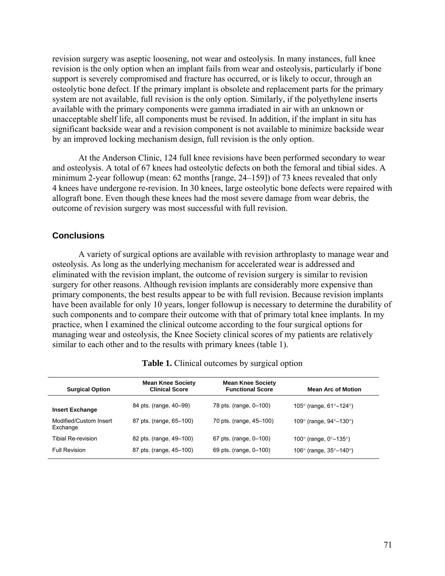revision surgery was aseptic loosening, not wear and osteolysis. In many instances, full knee revision is the only option when an implant fails from wear and osteolysis, particularly if bone support is severely compromised and fracture has occurred, or is likely to occur, through an osteolytic bone defect. If the primary implant is obsolete and replacement parts for the primary system are not available, full revision is the only option. Similarly, if the polyethylene inserts available with the primary components were gamma irradiated in air with an unknown or unacceptable shelf life, all components must be revised. In addition, if the implant in situ has significant backside wear and a revision component is not available to minimize backside wear by an improved locking mechanism design, full revision is the only option.

At the Anderson Clinic, 124 full knee revisions have been performed secondary to wear and osteolysis. A total of 67 knees had osteolytic defects on both the femoral and tibial sides. A minimum 2-year followup (mean: 62 months [range, 24–159]) of 73 knees revealed that only 4 knees have undergone re-revision. In 30 knees, large osteolytic bone defects were repaired with allograft bone. Even though these knees had the most severe damage from wear debris, the outcome of revision surgery was most successful with full revision.

#### **Conclusions**

A variety of surgical options are available with revision arthroplasty to manage wear and osteolysis. As long as the underlying mechanism for accelerated wear is addressed and eliminated with the revision implant, the outcome of revision surgery is similar to revision surgery for other reasons. Although revision implants are considerably more expensive than primary components, the best results appear to be with full revision. Because revision implants have been available for only 10 years, longer followup is necessary to determine the durability of such components and to compare their outcome with that of primary total knee implants. In my practice, when I examined the clinical outcome according to the four surgical options for managing wear and osteolysis, the Knee Society clinical scores of my patients are relatively similar to each other and to the results with primary knees (table 1).

| <b>Surgical Option</b>             | <b>Mean Knee Society</b><br><b>Clinical Score</b> | <b>Mean Knee Society</b><br><b>Functional Score</b> | <b>Mean Arc of Motion</b>                              |
|------------------------------------|---------------------------------------------------|-----------------------------------------------------|--------------------------------------------------------|
| <b>Insert Exchange</b>             | 84 pts. (range, 40–99)                            | 78 pts. (range, 0-100)                              | 105 $^{\circ}$ (range, 61 $^{\circ}$ –124 $^{\circ}$ ) |
| Modified/Custom Insert<br>Exchange | 87 pts. (range, 65–100)                           | 70 pts. (range, 45–100)                             | 109 $^{\circ}$ (range, 94 $^{\circ}$ –130 $^{\circ}$ ) |
| <b>Tibial Re-revision</b>          | 82 pts. (range, 49–100)                           | 67 pts. (range, 0-100)                              | 100 $^{\circ}$ (range, 0 $^{\circ}$ -135 $^{\circ}$ )  |
| <b>Full Revision</b>               | 87 pts. (range, 45–100)                           | 69 pts. (range, 0-100)                              | 106 $^{\circ}$ (range, 35 $^{\circ}$ -140 $^{\circ}$ ) |

|  | Table 1. Clinical outcomes by surgical option |  |  |
|--|-----------------------------------------------|--|--|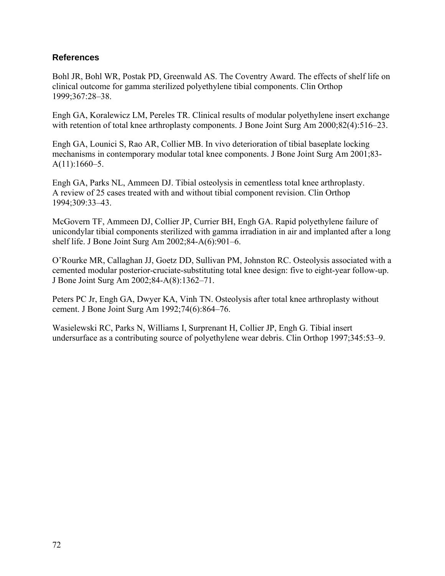### **References**

Bohl JR, Bohl WR, Postak PD, Greenwald AS. The Coventry Award. The effects of shelf life on clinical outcome for gamma sterilized polyethylene tibial components. Clin Orthop 1999;367:28–38.

Engh GA, Koralewicz LM, Pereles TR. Clinical results of modular polyethylene insert exchange with retention of total knee arthroplasty components. J Bone Joint Surg Am 2000;82(4):516–23.

Engh GA, Lounici S, Rao AR, Collier MB. In vivo deterioration of tibial baseplate locking mechanisms in contemporary modular total knee components. J Bone Joint Surg Am 2001;83- A(11):1660–5.

Engh GA, Parks NL, Ammeen DJ. Tibial osteolysis in cementless total knee arthroplasty. A review of 25 cases treated with and without tibial component revision. Clin Orthop 1994;309:33–43.

McGovern TF, Ammeen DJ, Collier JP, Currier BH, Engh GA. Rapid polyethylene failure of unicondylar tibial components sterilized with gamma irradiation in air and implanted after a long shelf life. J Bone Joint Surg Am 2002;84-A(6):901–6.

O'Rourke MR, Callaghan JJ, Goetz DD, Sullivan PM, Johnston RC. Osteolysis associated with a cemented modular posterior-cruciate-substituting total knee design: five to eight-year follow-up. J Bone Joint Surg Am 2002;84-A(8):1362–71.

Peters PC Jr, Engh GA, Dwyer KA, Vinh TN. Osteolysis after total knee arthroplasty without cement. J Bone Joint Surg Am 1992;74(6):864–76.

Wasielewski RC, Parks N, Williams I, Surprenant H, Collier JP, Engh G. Tibial insert undersurface as a contributing source of polyethylene wear debris. Clin Orthop 1997;345:53–9.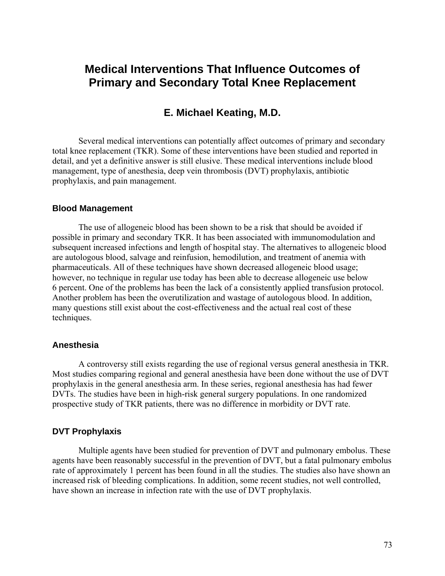# **Medical Interventions That Influence Outcomes of Primary and Secondary Total Knee Replacement**

## **E. Michael Keating, M.D.**

Several medical interventions can potentially affect outcomes of primary and secondary total knee replacement (TKR). Some of these interventions have been studied and reported in detail, and yet a definitive answer is still elusive. These medical interventions include blood management, type of anesthesia, deep vein thrombosis (DVT) prophylaxis, antibiotic prophylaxis, and pain management.

#### **Blood Management**

The use of allogeneic blood has been shown to be a risk that should be avoided if possible in primary and secondary TKR. It has been associated with immunomodulation and subsequent increased infections and length of hospital stay. The alternatives to allogeneic blood are autologous blood, salvage and reinfusion, hemodilution, and treatment of anemia with pharmaceuticals. All of these techniques have shown decreased allogeneic blood usage; however, no technique in regular use today has been able to decrease allogeneic use below 6 percent. One of the problems has been the lack of a consistently applied transfusion protocol. Another problem has been the overutilization and wastage of autologous blood. In addition, many questions still exist about the cost-effectiveness and the actual real cost of these techniques.

#### **Anesthesia**

A controversy still exists regarding the use of regional versus general anesthesia in TKR. Most studies comparing regional and general anesthesia have been done without the use of DVT prophylaxis in the general anesthesia arm. In these series, regional anesthesia has had fewer DVTs. The studies have been in high-risk general surgery populations. In one randomized prospective study of TKR patients, there was no difference in morbidity or DVT rate.

#### **DVT Prophylaxis**

Multiple agents have been studied for prevention of DVT and pulmonary embolus. These agents have been reasonably successful in the prevention of DVT, but a fatal pulmonary embolus rate of approximately 1 percent has been found in all the studies. The studies also have shown an increased risk of bleeding complications. In addition, some recent studies, not well controlled, have shown an increase in infection rate with the use of DVT prophylaxis.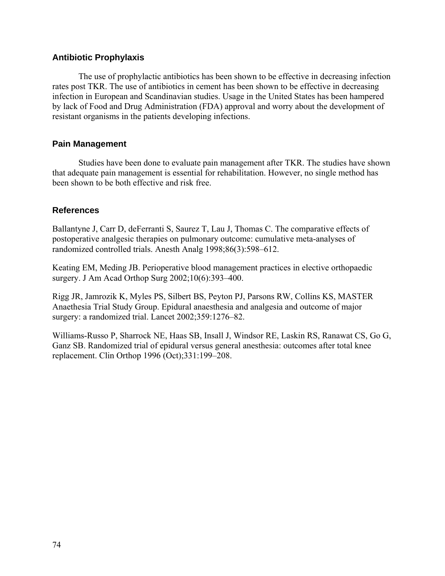### **Antibiotic Prophylaxis**

The use of prophylactic antibiotics has been shown to be effective in decreasing infection rates post TKR. The use of antibiotics in cement has been shown to be effective in decreasing infection in European and Scandinavian studies. Usage in the United States has been hampered by lack of Food and Drug Administration (FDA) approval and worry about the development of resistant organisms in the patients developing infections.

### **Pain Management**

Studies have been done to evaluate pain management after TKR. The studies have shown that adequate pain management is essential for rehabilitation. However, no single method has been shown to be both effective and risk free.

### **References**

Ballantyne J, Carr D, deFerranti S, Saurez T, Lau J, Thomas C. The comparative effects of postoperative analgesic therapies on pulmonary outcome: cumulative meta-analyses of randomized controlled trials. Anesth Analg 1998;86(3):598–612.

Keating EM, Meding JB. Perioperative blood management practices in elective orthopaedic surgery. J Am Acad Orthop Surg 2002;10(6):393–400.

Rigg JR, Jamrozik K, Myles PS, Silbert BS, Peyton PJ, Parsons RW, Collins KS, MASTER Anaethesia Trial Study Group. Epidural anaesthesia and analgesia and outcome of major surgery: a randomized trial. Lancet 2002;359:1276–82.

Williams-Russo P, Sharrock NE, Haas SB, Insall J, Windsor RE, Laskin RS, Ranawat CS, Go G, Ganz SB. Randomized trial of epidural versus general anesthesia: outcomes after total knee replacement. Clin Orthop 1996 (Oct);331:199–208.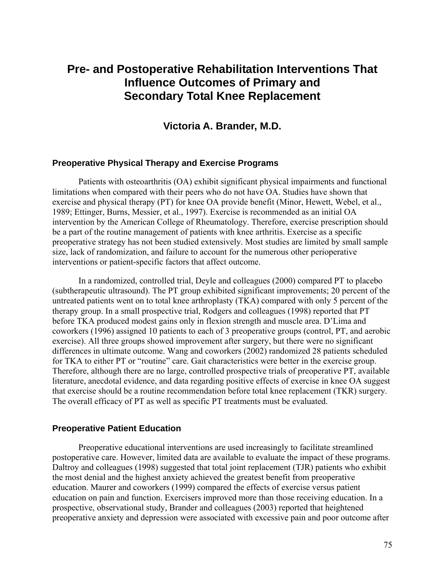# **Pre- and Postoperative Rehabilitation Interventions That Influence Outcomes of Primary and Secondary Total Knee Replacement**

**Victoria A. Brander, M.D.** 

#### **Preoperative Physical Therapy and Exercise Programs**

Patients with osteoarthritis (OA) exhibit significant physical impairments and functional limitations when compared with their peers who do not have OA. Studies have shown that exercise and physical therapy (PT) for knee OA provide benefit (Minor, Hewett, Webel, et al., 1989; Ettinger, Burns, Messier, et al., 1997). Exercise is recommended as an initial OA intervention by the American College of Rheumatology. Therefore, exercise prescription should be a part of the routine management of patients with knee arthritis. Exercise as a specific preoperative strategy has not been studied extensively. Most studies are limited by small sample size, lack of randomization, and failure to account for the numerous other perioperative interventions or patient-specific factors that affect outcome.

In a randomized, controlled trial, Deyle and colleagues (2000) compared PT to placebo (subtherapeutic ultrasound). The PT group exhibited significant improvements; 20 percent of the untreated patients went on to total knee arthroplasty (TKA) compared with only 5 percent of the therapy group. In a small prospective trial, Rodgers and colleagues (1998) reported that PT before TKA produced modest gains only in flexion strength and muscle area. D'Lima and coworkers (1996) assigned 10 patients to each of 3 preoperative groups (control, PT, and aerobic exercise). All three groups showed improvement after surgery, but there were no significant differences in ultimate outcome. Wang and coworkers (2002) randomized 28 patients scheduled for TKA to either PT or "routine" care. Gait characteristics were better in the exercise group. Therefore, although there are no large, controlled prospective trials of preoperative PT, available literature, anecdotal evidence, and data regarding positive effects of exercise in knee OA suggest that exercise should be a routine recommendation before total knee replacement (TKR) surgery. The overall efficacy of PT as well as specific PT treatments must be evaluated.

#### **Preoperative Patient Education**

Preoperative educational interventions are used increasingly to facilitate streamlined postoperative care. However, limited data are available to evaluate the impact of these programs. Daltroy and colleagues (1998) suggested that total joint replacement (TJR) patients who exhibit the most denial and the highest anxiety achieved the greatest benefit from preoperative education. Maurer and coworkers (1999) compared the effects of exercise versus patient education on pain and function. Exercisers improved more than those receiving education. In a prospective, observational study, Brander and colleagues (2003) reported that heightened preoperative anxiety and depression were associated with excessive pain and poor outcome after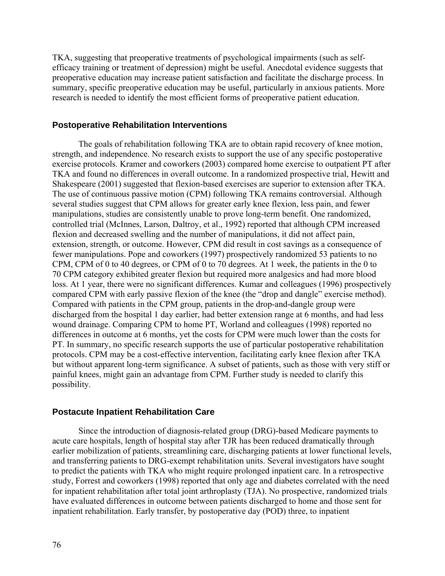TKA, suggesting that preoperative treatments of psychological impairments (such as selfefficacy training or treatment of depression) might be useful. Anecdotal evidence suggests that preoperative education may increase patient satisfaction and facilitate the discharge process. In summary, specific preoperative education may be useful, particularly in anxious patients. More research is needed to identify the most efficient forms of preoperative patient education.

#### **Postoperative Rehabilitation Interventions**

The goals of rehabilitation following TKA are to obtain rapid recovery of knee motion, strength, and independence. No research exists to support the use of any specific postoperative exercise protocols. Kramer and coworkers (2003) compared home exercise to outpatient PT after TKA and found no differences in overall outcome. In a randomized prospective trial, Hewitt and Shakespeare (2001) suggested that flexion-based exercises are superior to extension after TKA. The use of continuous passive motion (CPM) following TKA remains controversial. Although several studies suggest that CPM allows for greater early knee flexion, less pain, and fewer manipulations, studies are consistently unable to prove long-term benefit. One randomized, controlled trial (McInnes, Larson, Daltroy, et al., 1992) reported that although CPM increased flexion and decreased swelling and the number of manipulations, it did not affect pain, extension, strength, or outcome. However, CPM did result in cost savings as a consequence of fewer manipulations. Pope and coworkers (1997) prospectively randomized 53 patients to no CPM, CPM of 0 to 40 degrees, or CPM of 0 to 70 degrees. At 1 week, the patients in the 0 to 70 CPM category exhibited greater flexion but required more analgesics and had more blood loss. At 1 year, there were no significant differences. Kumar and colleagues (1996) prospectively compared CPM with early passive flexion of the knee (the "drop and dangle" exercise method). Compared with patients in the CPM group, patients in the drop-and-dangle group were discharged from the hospital 1 day earlier, had better extension range at 6 months, and had less wound drainage. Comparing CPM to home PT, Worland and colleagues (1998) reported no differences in outcome at 6 months, yet the costs for CPM were much lower than the costs for PT. In summary, no specific research supports the use of particular postoperative rehabilitation protocols. CPM may be a cost-effective intervention, facilitating early knee flexion after TKA but without apparent long-term significance. A subset of patients, such as those with very stiff or painful knees, might gain an advantage from CPM. Further study is needed to clarify this possibility.

#### **Postacute Inpatient Rehabilitation Care**

Since the introduction of diagnosis-related group (DRG)-based Medicare payments to acute care hospitals, length of hospital stay after TJR has been reduced dramatically through earlier mobilization of patients, streamlining care, discharging patients at lower functional levels, and transferring patients to DRG-exempt rehabilitation units. Several investigators have sought to predict the patients with TKA who might require prolonged inpatient care. In a retrospective study, Forrest and coworkers (1998) reported that only age and diabetes correlated with the need for inpatient rehabilitation after total joint arthroplasty (TJA). No prospective, randomized trials have evaluated differences in outcome between patients discharged to home and those sent for inpatient rehabilitation. Early transfer, by postoperative day (POD) three, to inpatient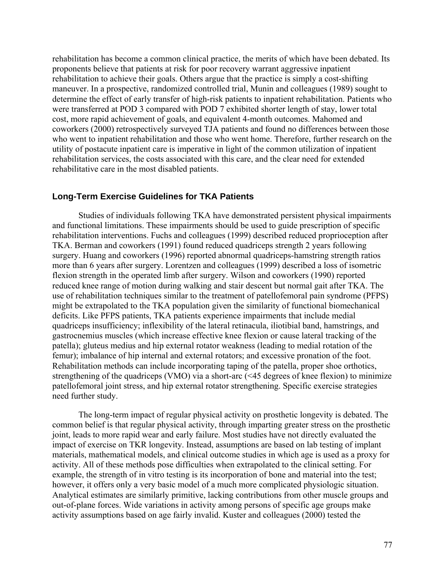rehabilitation has become a common clinical practice, the merits of which have been debated. Its proponents believe that patients at risk for poor recovery warrant aggressive inpatient rehabilitation to achieve their goals. Others argue that the practice is simply a cost-shifting maneuver. In a prospective, randomized controlled trial, Munin and colleagues (1989) sought to determine the effect of early transfer of high-risk patients to inpatient rehabilitation. Patients who were transferred at POD 3 compared with POD 7 exhibited shorter length of stay, lower total cost, more rapid achievement of goals, and equivalent 4-month outcomes. Mahomed and coworkers (2000) retrospectively surveyed TJA patients and found no differences between those who went to inpatient rehabilitation and those who went home. Therefore, further research on the utility of postacute inpatient care is imperative in light of the common utilization of inpatient rehabilitation services, the costs associated with this care, and the clear need for extended rehabilitative care in the most disabled patients.

#### **Long-Term Exercise Guidelines for TKA Patients**

Studies of individuals following TKA have demonstrated persistent physical impairments and functional limitations. These impairments should be used to guide prescription of specific rehabilitation interventions. Fuchs and colleagues (1999) described reduced proprioception after TKA. Berman and coworkers (1991) found reduced quadriceps strength 2 years following surgery. Huang and coworkers (1996) reported abnormal quadriceps-hamstring strength ratios more than 6 years after surgery. Lorentzen and colleagues (1999) described a loss of isometric flexion strength in the operated limb after surgery. Wilson and coworkers (1990) reported reduced knee range of motion during walking and stair descent but normal gait after TKA. The use of rehabilitation techniques similar to the treatment of patellofemoral pain syndrome (PFPS) might be extrapolated to the TKA population given the similarity of functional biomechanical deficits. Like PFPS patients, TKA patients experience impairments that include medial quadriceps insufficiency; inflexibility of the lateral retinacula, iliotibial band, hamstrings, and gastrocnemius muscles (which increase effective knee flexion or cause lateral tracking of the patella); gluteus medius and hip external rotator weakness (leading to medial rotation of the femur); imbalance of hip internal and external rotators; and excessive pronation of the foot. Rehabilitation methods can include incorporating taping of the patella, proper shoe orthotics, strengthening of the quadriceps (VMO) via a short-arc (<45 degrees of knee flexion) to minimize patellofemoral joint stress, and hip external rotator strengthening. Specific exercise strategies need further study.

The long-term impact of regular physical activity on prosthetic longevity is debated. The common belief is that regular physical activity, through imparting greater stress on the prosthetic joint, leads to more rapid wear and early failure. Most studies have not directly evaluated the impact of exercise on TKR longevity. Instead, assumptions are based on lab testing of implant materials, mathematical models, and clinical outcome studies in which age is used as a proxy for activity. All of these methods pose difficulties when extrapolated to the clinical setting. For example, the strength of in vitro testing is its incorporation of bone and material into the test; however, it offers only a very basic model of a much more complicated physiologic situation. Analytical estimates are similarly primitive, lacking contributions from other muscle groups and out-of-plane forces. Wide variations in activity among persons of specific age groups make activity assumptions based on age fairly invalid. Kuster and colleagues (2000) tested the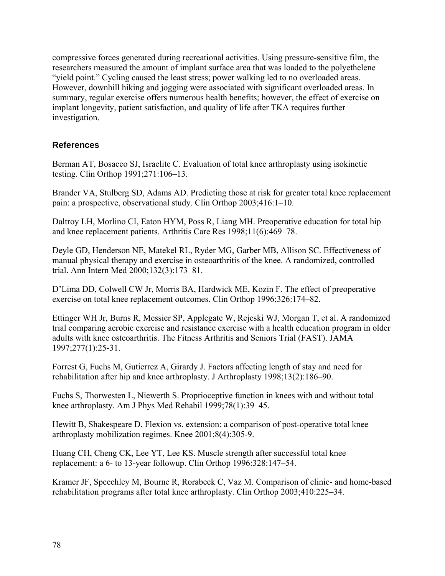compressive forces generated during recreational activities. Using pressure-sensitive film, the researchers measured the amount of implant surface area that was loaded to the polyethelene "yield point." Cycling caused the least stress; power walking led to no overloaded areas. However, downhill hiking and jogging were associated with significant overloaded areas. In summary, regular exercise offers numerous health benefits; however, the effect of exercise on implant longevity, patient satisfaction, and quality of life after TKA requires further investigation.

### **References**

Berman AT, Bosacco SJ, Israelite C. Evaluation of total knee arthroplasty using isokinetic testing. Clin Orthop 1991;271:106–13.

Brander VA, Stulberg SD, Adams AD. Predicting those at risk for greater total knee replacement pain: a prospective, observational study. Clin Orthop 2003;416:1–10.

Daltroy LH, Morlino CI, Eaton HYM, Poss R, Liang MH. Preoperative education for total hip and knee replacement patients. Arthritis Care Res 1998;11(6):469–78.

Deyle GD, Henderson NE, Matekel RL, Ryder MG, Garber MB, Allison SC. Effectiveness of manual physical therapy and exercise in osteoarthritis of the knee. A randomized, controlled trial. Ann Intern Med 2000;132(3):173–81.

D'Lima DD, Colwell CW Jr, Morris BA, Hardwick ME, Kozin F. The effect of preoperative exercise on total knee replacement outcomes. Clin Orthop 1996;326:174–82.

Ettinger WH Jr, Burns R, Messier SP, Applegate W, Rejeski WJ, Morgan T, et al. A randomized trial comparing aerobic exercise and resistance exercise with a health education program in older adults with knee osteoarthritis. The Fitness Arthritis and Seniors Trial (FAST). JAMA 1997;277(1):25-31.

Forrest G, Fuchs M, Gutierrez A, Girardy J. Factors affecting length of stay and need for rehabilitation after hip and knee arthroplasty. J Arthroplasty 1998;13(2):186–90.

Fuchs S, Thorwesten L, Niewerth S. Proprioceptive function in knees with and without total knee arthroplasty. Am J Phys Med Rehabil 1999;78(1):39–45.

Hewitt B, Shakespeare D. Flexion vs. extension: a comparison of post-operative total knee arthroplasty mobilization regimes. Knee 2001;8(4):305-9.

Huang CH, Cheng CK, Lee YT, Lee KS. Muscle strength after successful total knee replacement: a 6- to 13-year followup. Clin Orthop 1996:328:147–54.

Kramer JF, Speechley M, Bourne R, Rorabeck C, Vaz M. Comparison of clinic- and home-based rehabilitation programs after total knee arthroplasty. Clin Orthop 2003;410:225–34.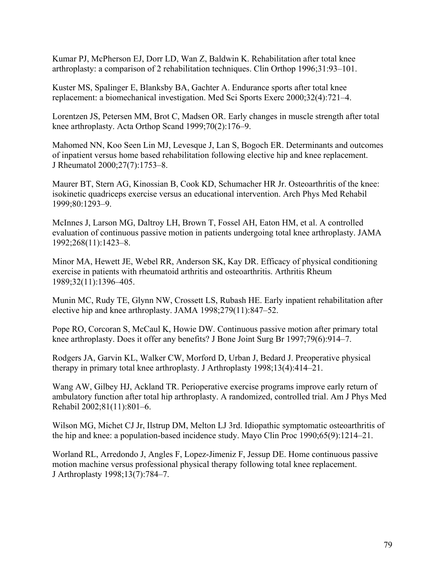Kumar PJ, McPherson EJ, Dorr LD, Wan Z, Baldwin K. Rehabilitation after total knee arthroplasty: a comparison of 2 rehabilitation techniques. Clin Orthop 1996;31:93–101.

Kuster MS, Spalinger E, Blanksby BA, Gachter A. Endurance sports after total knee replacement: a biomechanical investigation. Med Sci Sports Exerc 2000;32(4):721–4.

Lorentzen JS, Petersen MM, Brot C, Madsen OR. Early changes in muscle strength after total knee arthroplasty. Acta Orthop Scand 1999;70(2):176–9.

Mahomed NN, Koo Seen Lin MJ, Levesque J, Lan S, Bogoch ER. Determinants and outcomes of inpatient versus home based rehabilitation following elective hip and knee replacement. J Rheumatol 2000;27(7):1753–8.

Maurer BT, Stern AG, Kinossian B, Cook KD, Schumacher HR Jr. Osteoarthritis of the knee: isokinetic quadriceps exercise versus an educational intervention. Arch Phys Med Rehabil 1999;80:1293–9.

McInnes J, Larson MG, Daltroy LH, Brown T, Fossel AH, Eaton HM, et al. A controlled evaluation of continuous passive motion in patients undergoing total knee arthroplasty. JAMA 1992;268(11):1423–8.

Minor MA, Hewett JE, Webel RR, Anderson SK, Kay DR. Efficacy of physical conditioning exercise in patients with rheumatoid arthritis and osteoarthritis. Arthritis Rheum 1989;32(11):1396–405.

Munin MC, Rudy TE, Glynn NW, Crossett LS, Rubash HE. Early inpatient rehabilitation after elective hip and knee arthroplasty. JAMA 1998;279(11):847–52.

Pope RO, Corcoran S, McCaul K, Howie DW. Continuous passive motion after primary total knee arthroplasty. Does it offer any benefits? J Bone Joint Surg Br 1997;79(6):914–7.

Rodgers JA, Garvin KL, Walker CW, Morford D, Urban J, Bedard J. Preoperative physical therapy in primary total knee arthroplasty. J Arthroplasty 1998;13(4):414–21.

Wang AW, Gilbey HJ, Ackland TR. Perioperative exercise programs improve early return of ambulatory function after total hip arthroplasty. A randomized, controlled trial. Am J Phys Med Rehabil 2002;81(11):801–6.

Wilson MG, Michet CJ Jr, Ilstrup DM, Melton LJ 3rd. Idiopathic symptomatic osteoarthritis of the hip and knee: a population-based incidence study. Mayo Clin Proc 1990;65(9):1214–21.

Worland RL, Arredondo J, Angles F, Lopez-Jimeniz F, Jessup DE. Home continuous passive motion machine versus professional physical therapy following total knee replacement. J Arthroplasty 1998;13(7):784–7.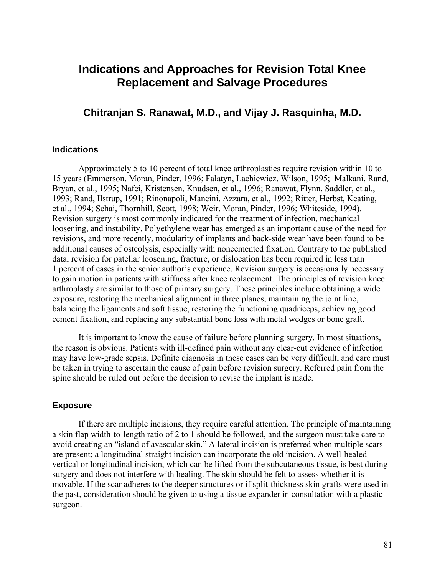# **Indications and Approaches for Revision Total Knee Replacement and Salvage Procedures**

## **Chitranjan S. Ranawat, M.D., and Vijay J. Rasquinha, M.D.**

#### **Indications**

Approximately 5 to 10 percent of total knee arthroplasties require revision within 10 to 15 years (Emmerson, Moran, Pinder, 1996; Falatyn, Lachiewicz, Wilson, 1995; Malkani, Rand, Bryan, et al., 1995; Nafei, Kristensen, Knudsen, et al., 1996; Ranawat, Flynn, Saddler, et al., 1993; Rand, Ilstrup, 1991; Rinonapoli, Mancini, Azzara, et al., 1992; Ritter, Herbst, Keating, et al., 1994; Schai, Thornhill, Scott, 1998; Weir, Moran, Pinder, 1996; Whiteside, 1994). Revision surgery is most commonly indicated for the treatment of infection, mechanical loosening, and instability. Polyethylene wear has emerged as an important cause of the need for revisions, and more recently, modularity of implants and back-side wear have been found to be additional causes of osteolysis, especially with noncemented fixation. Contrary to the published data, revision for patellar loosening, fracture, or dislocation has been required in less than 1 percent of cases in the senior author's experience. Revision surgery is occasionally necessary to gain motion in patients with stiffness after knee replacement. The principles of revision knee arthroplasty are similar to those of primary surgery. These principles include obtaining a wide exposure, restoring the mechanical alignment in three planes, maintaining the joint line, balancing the ligaments and soft tissue, restoring the functioning quadriceps, achieving good cement fixation, and replacing any substantial bone loss with metal wedges or bone graft.

It is important to know the cause of failure before planning surgery. In most situations, the reason is obvious. Patients with ill-defined pain without any clear-cut evidence of infection may have low-grade sepsis. Definite diagnosis in these cases can be very difficult, and care must be taken in trying to ascertain the cause of pain before revision surgery. Referred pain from the spine should be ruled out before the decision to revise the implant is made.

#### **Exposure**

If there are multiple incisions, they require careful attention. The principle of maintaining a skin flap width-to-length ratio of 2 to 1 should be followed, and the surgeon must take care to avoid creating an "island of avascular skin." A lateral incision is preferred when multiple scars are present; a longitudinal straight incision can incorporate the old incision. A well-healed vertical or longitudinal incision, which can be lifted from the subcutaneous tissue, is best during surgery and does not interfere with healing. The skin should be felt to assess whether it is movable. If the scar adheres to the deeper structures or if split-thickness skin grafts were used in the past, consideration should be given to using a tissue expander in consultation with a plastic surgeon.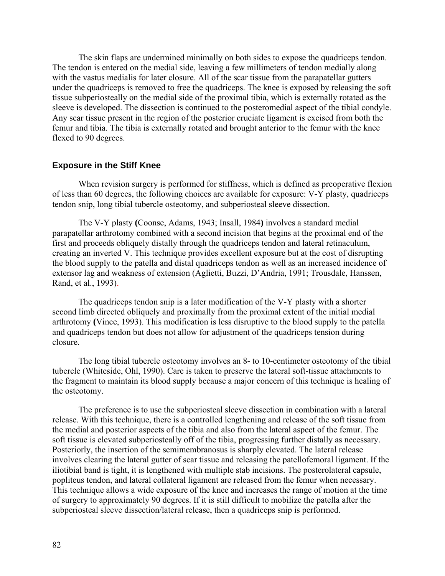The skin flaps are undermined minimally on both sides to expose the quadriceps tendon. The tendon is entered on the medial side, leaving a few millimeters of tendon medially along with the vastus medialis for later closure. All of the scar tissue from the parapatellar gutters under the quadriceps is removed to free the quadriceps. The knee is exposed by releasing the soft tissue subperiosteally on the medial side of the proximal tibia, which is externally rotated as the sleeve is developed. The dissection is continued to the posteromedial aspect of the tibial condyle. Any scar tissue present in the region of the posterior cruciate ligament is excised from both the femur and tibia. The tibia is externally rotated and brought anterior to the femur with the knee flexed to 90 degrees.

#### **Exposure in the Stiff Knee**

When revision surgery is performed for stiffness, which is defined as preoperative flexion of less than 60 degrees, the following choices are available for exposure: V-Y plasty, quadriceps tendon snip, long tibial tubercle osteotomy, and subperiosteal sleeve dissection.

The V-Y plasty **(**Coonse, Adams, 1943; Insall, 1984**)** involves a standard medial parapatellar arthrotomy combined with a second incision that begins at the proximal end of the first and proceeds obliquely distally through the quadriceps tendon and lateral retinaculum, creating an inverted V. This technique provides excellent exposure but at the cost of disrupting the blood supply to the patella and distal quadriceps tendon as well as an increased incidence of extensor lag and weakness of extension (Aglietti, Buzzi, D'Andria, 1991; Trousdale, Hanssen, Rand, et al., 1993).

The quadriceps tendon snip is a later modification of the V-Y plasty with a shorter second limb directed obliquely and proximally from the proximal extent of the initial medial arthrotomy **(**Vince, 1993). This modification is less disruptive to the blood supply to the patella and quadriceps tendon but does not allow for adjustment of the quadriceps tension during closure.

The long tibial tubercle osteotomy involves an 8- to 10-centimeter osteotomy of the tibial tubercle (Whiteside, Ohl, 1990). Care is taken to preserve the lateral soft-tissue attachments to the fragment to maintain its blood supply because a major concern of this technique is healing of the osteotomy.

The preference is to use the subperiosteal sleeve dissection in combination with a lateral release. With this technique, there is a controlled lengthening and release of the soft tissue from the medial and posterior aspects of the tibia and also from the lateral aspect of the femur. The soft tissue is elevated subperiosteally off of the tibia, progressing further distally as necessary. Posteriorly, the insertion of the semimembranosus is sharply elevated. The lateral release involves clearing the lateral gutter of scar tissue and releasing the patellofemoral ligament. If the iliotibial band is tight, it is lengthened with multiple stab incisions. The posterolateral capsule, popliteus tendon, and lateral collateral ligament are released from the femur when necessary. This technique allows a wide exposure of the knee and increases the range of motion at the time of surgery to approximately 90 degrees. If it is still difficult to mobilize the patella after the subperiosteal sleeve dissection/lateral release, then a quadriceps snip is performed.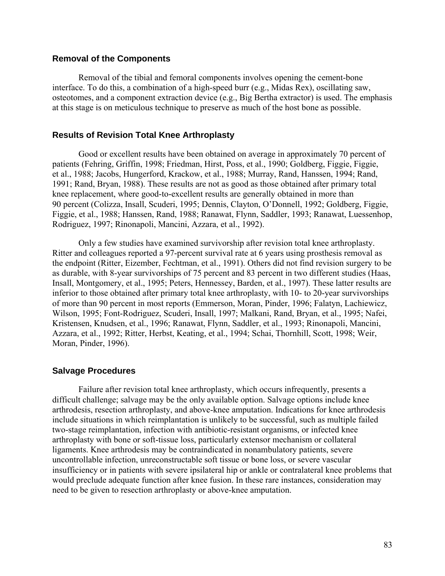#### **Removal of the Components**

Removal of the tibial and femoral components involves opening the cement-bone interface. To do this, a combination of a high-speed burr (e.g., Midas Rex), oscillating saw, osteotomes, and a component extraction device (e.g., Big Bertha extractor) is used. The emphasis at this stage is on meticulous technique to preserve as much of the host bone as possible.

#### **Results of Revision Total Knee Arthroplasty**

Good or excellent results have been obtained on average in approximately 70 percent of patients (Fehring, Griffin, 1998; Friedman, Hirst, Poss, et al., 1990; Goldberg, Figgie, Figgie, et al., 1988; Jacobs, Hungerford, Krackow, et al., 1988; Murray, Rand, Hanssen, 1994; Rand, 1991; Rand, Bryan, 1988). These results are not as good as those obtained after primary total knee replacement, where good-to-excellent results are generally obtained in more than 90 percent (Colizza, Insall, Scuderi, 1995; Dennis, Clayton, O'Donnell, 1992; Goldberg, Figgie, Figgie, et al., 1988; Hanssen, Rand, 1988; Ranawat, Flynn, Saddler, 1993; Ranawat, Luessenhop, Rodriguez, 1997; Rinonapoli, Mancini, Azzara, et al., 1992).

Only a few studies have examined survivorship after revision total knee arthroplasty. Ritter and colleagues reported a 97-percent survival rate at 6 years using prosthesis removal as the endpoint (Ritter, Eizember, Fechtman, et al., 1991). Others did not find revision surgery to be as durable, with 8-year survivorships of 75 percent and 83 percent in two different studies (Haas, Insall, Montgomery, et al., 1995; Peters, Hennessey, Barden, et al., 1997). These latter results are inferior to those obtained after primary total knee arthroplasty, with 10- to 20-year survivorships of more than 90 percent in most reports (Emmerson, Moran, Pinder, 1996; Falatyn, Lachiewicz, Wilson, 1995; Font-Rodriguez, Scuderi, Insall, 1997; Malkani, Rand, Bryan, et al., 1995; Nafei, Kristensen, Knudsen, et al., 1996; Ranawat, Flynn, Saddler, et al., 1993; Rinonapoli, Mancini, Azzara, et al., 1992; Ritter, Herbst, Keating, et al., 1994; Schai, Thornhill, Scott, 1998; Weir, Moran, Pinder, 1996).

#### **Salvage Procedures**

Failure after revision total knee arthroplasty, which occurs infrequently, presents a difficult challenge; salvage may be the only available option. Salvage options include knee arthrodesis, resection arthroplasty, and above-knee amputation. Indications for knee arthrodesis include situations in which reimplantation is unlikely to be successful, such as multiple failed two-stage reimplantation, infection with antibiotic-resistant organisms, or infected knee arthroplasty with bone or soft-tissue loss, particularly extensor mechanism or collateral ligaments. Knee arthrodesis may be contraindicated in nonambulatory patients, severe uncontrollable infection, unreconstructable soft tissue or bone loss, or severe vascular insufficiency or in patients with severe ipsilateral hip or ankle or contralateral knee problems that would preclude adequate function after knee fusion. In these rare instances, consideration may need to be given to resection arthroplasty or above-knee amputation.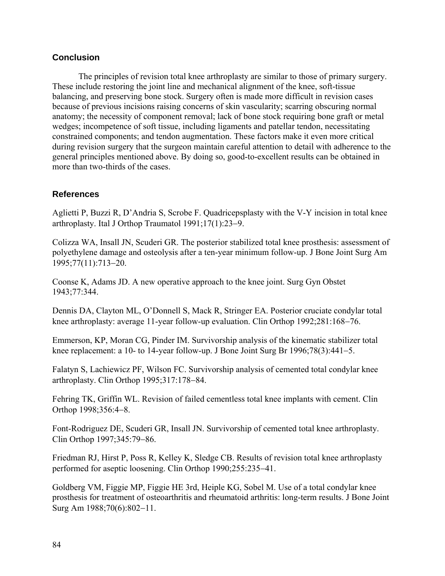### **Conclusion**

The principles of revision total knee arthroplasty are similar to those of primary surgery. These include restoring the joint line and mechanical alignment of the knee, soft-tissue balancing, and preserving bone stock. Surgery often is made more difficult in revision cases because of previous incisions raising concerns of skin vascularity; scarring obscuring normal anatomy; the necessity of component removal; lack of bone stock requiring bone graft or metal wedges; incompetence of soft tissue, including ligaments and patellar tendon, necessitating constrained components; and tendon augmentation. These factors make it even more critical during revision surgery that the surgeon maintain careful attention to detail with adherence to the general principles mentioned above. By doing so, good-to-excellent results can be obtained in more than two-thirds of the cases.

### **References**

Aglietti P, Buzzi R, D'Andria S, Scrobe F. Quadricepsplasty with the V-Y incision in total knee arthroplasty. Ital J Orthop Traumatol 1991;17(1):23−9.

Colizza WA, Insall JN, Scuderi GR. The posterior stabilized total knee prosthesis: assessment of polyethylene damage and osteolysis after a ten-year minimum follow-up. J Bone Joint Surg Am 1995;77(11):713−20.

Coonse K, Adams JD. A new operative approach to the knee joint. Surg Gyn Obstet 1943;77:344.

Dennis DA, Clayton ML, O'Donnell S, Mack R, Stringer EA. Posterior cruciate condylar total knee arthroplasty: average 11-year follow-up evaluation. Clin Orthop 1992;281:168−76.

Emmerson, KP, Moran CG, Pinder IM. Survivorship analysis of the kinematic stabilizer total knee replacement: a 10- to 14-year follow-up. J Bone Joint Surg Br 1996;78(3):441−5.

Falatyn S, Lachiewicz PF, Wilson FC. Survivorship analysis of cemented total condylar knee arthroplasty. Clin Orthop 1995;317:178−84.

Fehring TK, Griffin WL. Revision of failed cementless total knee implants with cement. Clin Orthop 1998;356:4−8.

Font-Rodriguez DE, Scuderi GR, Insall JN. Survivorship of cemented total knee arthroplasty. Clin Orthop 1997;345:79−86.

Friedman RJ, Hirst P, Poss R, Kelley K, Sledge CB. Results of revision total knee arthroplasty performed for aseptic loosening. Clin Orthop 1990;255:235−41.

Goldberg VM, Figgie MP, Figgie HE 3rd, Heiple KG, Sobel M. Use of a total condylar knee prosthesis for treatment of osteoarthritis and rheumatoid arthritis: long-term results. J Bone Joint Surg Am 1988;70(6):802−11.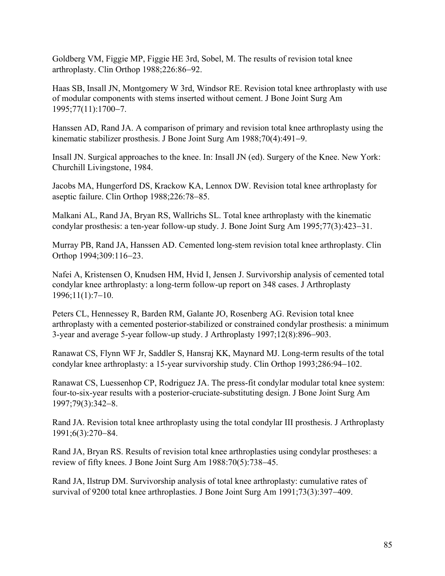Goldberg VM, Figgie MP, Figgie HE 3rd, Sobel, M. The results of revision total knee arthroplasty. Clin Orthop 1988;226:86−92.

Haas SB, Insall JN, Montgomery W 3rd, Windsor RE. Revision total knee arthroplasty with use of modular components with stems inserted without cement. J Bone Joint Surg Am 1995;77(11):1700−7.

Hanssen AD, Rand JA. A comparison of primary and revision total knee arthroplasty using the kinematic stabilizer prosthesis. J Bone Joint Surg Am 1988;70(4):491−9.

Insall JN. Surgical approaches to the knee. In: Insall JN (ed). Surgery of the Knee. New York: Churchill Livingstone, 1984.

Jacobs MA, Hungerford DS, Krackow KA, Lennox DW. Revision total knee arthroplasty for aseptic failure. Clin Orthop 1988;226:78−85.

Malkani AL, Rand JA, Bryan RS, Wallrichs SL. Total knee arthroplasty with the kinematic condylar prosthesis: a ten-year follow-up study. J. Bone Joint Surg Am 1995;77(3):423−31.

Murray PB, Rand JA, Hanssen AD. Cemented long-stem revision total knee arthroplasty. Clin Orthop 1994;309:116−23.

Nafei A, Kristensen O, Knudsen HM, Hvid I, Jensen J. Survivorship analysis of cemented total condylar knee arthroplasty: a long-term follow-up report on 348 cases. J Arthroplasty 1996;11(1):7−10.

Peters CL, Hennessey R, Barden RM, Galante JO, Rosenberg AG. Revision total knee arthroplasty with a cemented posterior-stabilized or constrained condylar prosthesis: a minimum 3-year and average 5-year follow-up study. J Arthroplasty 1997;12(8):896−903.

Ranawat CS, Flynn WF Jr, Saddler S, Hansraj KK, Maynard MJ. Long-term results of the total condylar knee arthroplasty: a 15-year survivorship study. Clin Orthop 1993;286:94−102.

Ranawat CS, Luessenhop CP, Rodriguez JA. The press-fit condylar modular total knee system: four-to-six-year results with a posterior-cruciate-substituting design. J Bone Joint Surg Am 1997;79(3):342−8.

Rand JA. Revision total knee arthroplasty using the total condylar III prosthesis. J Arthroplasty 1991;6(3):270−84.

Rand JA, Bryan RS. Results of revision total knee arthroplasties using condylar prostheses: a review of fifty knees. J Bone Joint Surg Am 1988:70(5):738−45.

Rand JA, Ilstrup DM. Survivorship analysis of total knee arthroplasty: cumulative rates of survival of 9200 total knee arthroplasties. J Bone Joint Surg Am 1991;73(3):397−409.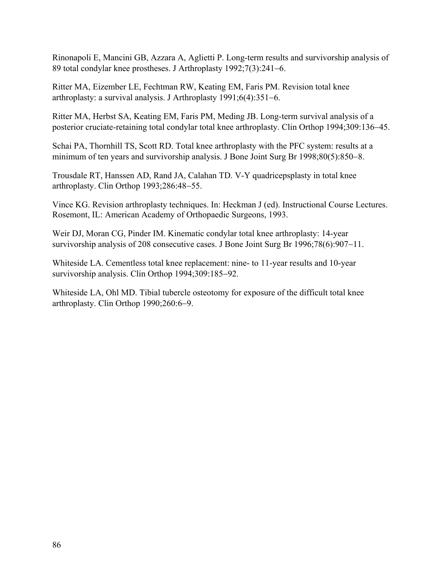Rinonapoli E, Mancini GB, Azzara A, Aglietti P. Long-term results and survivorship analysis of 89 total condylar knee prostheses. J Arthroplasty 1992;7(3):241−6.

Ritter MA, Eizember LE, Fechtman RW, Keating EM, Faris PM. Revision total knee arthroplasty: a survival analysis. J Arthroplasty 1991;6(4):351−6.

Ritter MA, Herbst SA, Keating EM, Faris PM, Meding JB. Long-term survival analysis of a posterior cruciate-retaining total condylar total knee arthroplasty. Clin Orthop 1994;309:136−45.

Schai PA, Thornhill TS, Scott RD. Total knee arthroplasty with the PFC system: results at a minimum of ten years and survivorship analysis. J Bone Joint Surg Br 1998;80(5):850−8.

Trousdale RT, Hanssen AD, Rand JA, Calahan TD. V-Y quadricepsplasty in total knee arthroplasty. Clin Orthop 1993;286:48−55.

Vince KG. Revision arthroplasty techniques. In: Heckman J (ed). Instructional Course Lectures. Rosemont, IL: American Academy of Orthopaedic Surgeons, 1993.

Weir DJ, Moran CG, Pinder IM. Kinematic condylar total knee arthroplasty: 14-year survivorship analysis of 208 consecutive cases. J Bone Joint Surg Br 1996;78(6):907−11.

Whiteside LA. Cementless total knee replacement: nine- to 11-year results and 10-year survivorship analysis. Clin Orthop 1994;309:185−92.

Whiteside LA, Ohl MD. Tibial tubercle osteotomy for exposure of the difficult total knee arthroplasty. Clin Orthop 1990;260:6−9.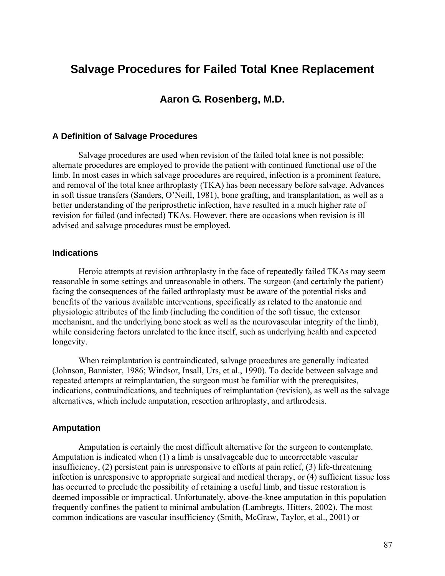# **Salvage Procedures for Failed Total Knee Replacement**

## **Aaron G. Rosenberg, M.D.**

#### **A Definition of Salvage Procedures**

Salvage procedures are used when revision of the failed total knee is not possible; alternate procedures are employed to provide the patient with continued functional use of the limb. In most cases in which salvage procedures are required, infection is a prominent feature, and removal of the total knee arthroplasty (TKA) has been necessary before salvage. Advances in soft tissue transfers (Sanders, O'Neill, 1981), bone grafting, and transplantation, as well as a better understanding of the periprosthetic infection, have resulted in a much higher rate of revision for failed (and infected) TKAs. However, there are occasions when revision is ill advised and salvage procedures must be employed.

#### **Indications**

Heroic attempts at revision arthroplasty in the face of repeatedly failed TKAs may seem reasonable in some settings and unreasonable in others. The surgeon (and certainly the patient) facing the consequences of the failed arthroplasty must be aware of the potential risks and benefits of the various available interventions, specifically as related to the anatomic and physiologic attributes of the limb (including the condition of the soft tissue, the extensor mechanism, and the underlying bone stock as well as the neurovascular integrity of the limb), while considering factors unrelated to the knee itself, such as underlying health and expected longevity.

When reimplantation is contraindicated, salvage procedures are generally indicated (Johnson, Bannister, 1986; Windsor, Insall, Urs, et al., 1990). To decide between salvage and repeated attempts at reimplantation, the surgeon must be familiar with the prerequisites, indications, contraindications, and techniques of reimplantation (revision), as well as the salvage alternatives, which include amputation, resection arthroplasty, and arthrodesis.

#### **Amputation**

Amputation is certainly the most difficult alternative for the surgeon to contemplate. Amputation is indicated when (1) a limb is unsalvageable due to uncorrectable vascular insufficiency, (2) persistent pain is unresponsive to efforts at pain relief, (3) life-threatening infection is unresponsive to appropriate surgical and medical therapy, or (4) sufficient tissue loss has occurred to preclude the possibility of retaining a useful limb, and tissue restoration is deemed impossible or impractical. Unfortunately, above-the-knee amputation in this population frequently confines the patient to minimal ambulation (Lambregts, Hitters, 2002). The most common indications are vascular insufficiency (Smith, McGraw, Taylor, et al., 2001) or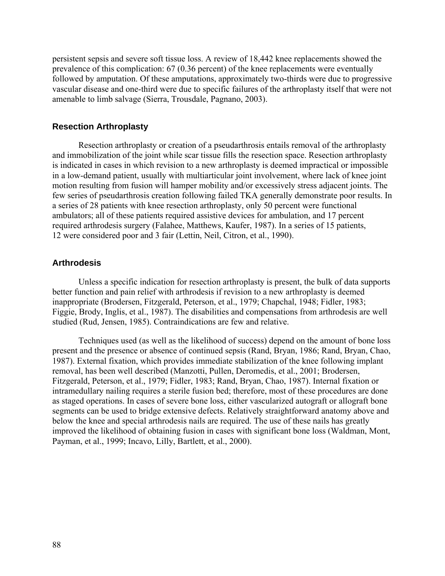persistent sepsis and severe soft tissue loss. A review of 18,442 knee replacements showed the prevalence of this complication: 67 (0.36 percent) of the knee replacements were eventually followed by amputation. Of these amputations, approximately two-thirds were due to progressive vascular disease and one-third were due to specific failures of the arthroplasty itself that were not amenable to limb salvage (Sierra, Trousdale, Pagnano, 2003).

#### **Resection Arthroplasty**

Resection arthroplasty or creation of a pseudarthrosis entails removal of the arthroplasty and immobilization of the joint while scar tissue fills the resection space. Resection arthroplasty is indicated in cases in which revision to a new arthroplasty is deemed impractical or impossible in a low-demand patient, usually with multiarticular joint involvement, where lack of knee joint motion resulting from fusion will hamper mobility and/or excessively stress adjacent joints. The few series of pseudarthrosis creation following failed TKA generally demonstrate poor results. In a series of 28 patients with knee resection arthroplasty, only 50 percent were functional ambulators; all of these patients required assistive devices for ambulation, and 17 percent required arthrodesis surgery (Falahee, Matthews, Kaufer, 1987). In a series of 15 patients, 12 were considered poor and 3 fair (Lettin, Neil, Citron, et al., 1990).

#### **Arthrodesis**

Unless a specific indication for resection arthroplasty is present, the bulk of data supports better function and pain relief with arthrodesis if revision to a new arthroplasty is deemed inappropriate (Brodersen, Fitzgerald, Peterson, et al., 1979; Chapchal, 1948; Fidler, 1983; Figgie, Brody, Inglis, et al., 1987). The disabilities and compensations from arthrodesis are well studied (Rud, Jensen, 1985). Contraindications are few and relative.

Techniques used (as well as the likelihood of success) depend on the amount of bone loss present and the presence or absence of continued sepsis (Rand, Bryan, 1986; Rand, Bryan, Chao, 1987). External fixation, which provides immediate stabilization of the knee following implant removal, has been well described (Manzotti, Pullen, Deromedis, et al., 2001; Brodersen, Fitzgerald, Peterson, et al., 1979; Fidler, 1983; Rand, Bryan, Chao, 1987). Internal fixation or intramedullary nailing requires a sterile fusion bed; therefore, most of these procedures are done as staged operations. In cases of severe bone loss, either vascularized autograft or allograft bone segments can be used to bridge extensive defects. Relatively straightforward anatomy above and below the knee and special arthrodesis nails are required. The use of these nails has greatly improved the likelihood of obtaining fusion in cases with significant bone loss (Waldman, Mont, Payman, et al., 1999; Incavo, Lilly, Bartlett, et al., 2000).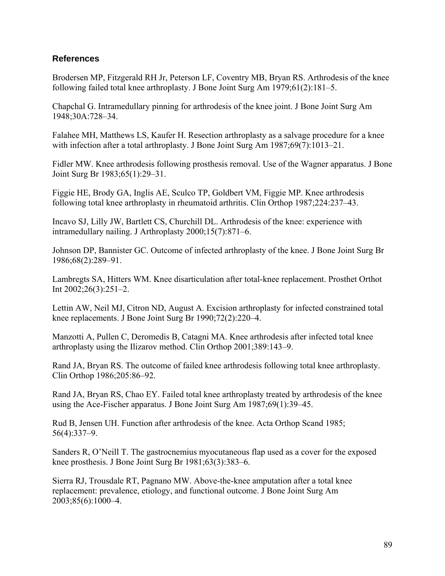### **References**

Brodersen MP, Fitzgerald RH Jr, Peterson LF, Coventry MB, Bryan RS. Arthrodesis of the knee following failed total knee arthroplasty. J Bone Joint Surg Am 1979;61(2):181–5.

Chapchal G. Intramedullary pinning for arthrodesis of the knee joint. J Bone Joint Surg Am 1948;30A:728–34.

Falahee MH, Matthews LS, Kaufer H. Resection arthroplasty as a salvage procedure for a knee with infection after a total arthroplasty. J Bone Joint Surg Am 1987;69(7):1013–21.

Fidler MW. Knee arthrodesis following prosthesis removal. Use of the Wagner apparatus. J Bone Joint Surg Br 1983;65(1):29–31.

Figgie HE, Brody GA, Inglis AE, Sculco TP, Goldbert VM, Figgie MP. Knee arthrodesis following total knee arthroplasty in rheumatoid arthritis. Clin Orthop 1987;224:237–43.

Incavo SJ, Lilly JW, Bartlett CS, Churchill DL. Arthrodesis of the knee: experience with intramedullary nailing. J Arthroplasty 2000;15(7):871–6.

Johnson DP, Bannister GC. Outcome of infected arthroplasty of the knee. J Bone Joint Surg Br 1986;68(2):289–91.

Lambregts SA, Hitters WM. Knee disarticulation after total-knee replacement. Prosthet Orthot Int 2002;26(3):251–2.

Lettin AW, Neil MJ, Citron ND, August A. Excision arthroplasty for infected constrained total knee replacements. J Bone Joint Surg Br 1990;72(2):220–4.

Manzotti A, Pullen C, Deromedis B, Catagni MA. Knee arthrodesis after infected total knee arthroplasty using the Ilizarov method. Clin Orthop 2001;389:143–9.

Rand JA, Bryan RS. The outcome of failed knee arthrodesis following total knee arthroplasty. Clin Orthop 1986;205:86–92.

Rand JA, Bryan RS, Chao EY. Failed total knee arthroplasty treated by arthrodesis of the knee using the Ace-Fischer apparatus. J Bone Joint Surg Am 1987;69(1):39–45.

Rud B, Jensen UH. Function after arthrodesis of the knee. Acta Orthop Scand 1985; 56(4):337–9.

Sanders R, O'Neill T. The gastrocnemius myocutaneous flap used as a cover for the exposed knee prosthesis. J Bone Joint Surg Br 1981;63(3):383–6.

Sierra RJ, Trousdale RT, Pagnano MW. Above-the-knee amputation after a total knee replacement: prevalence, etiology, and functional outcome. J Bone Joint Surg Am 2003;85(6):1000–4.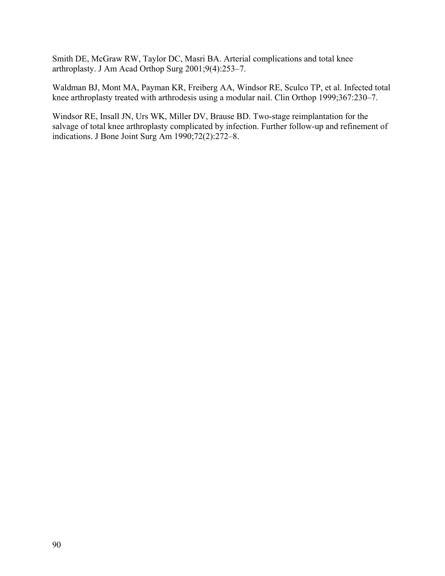Smith DE, McGraw RW, Taylor DC, Masri BA. Arterial complications and total knee arthroplasty. J Am Acad Orthop Surg 2001;9(4):253–7.

Waldman BJ, Mont MA, Payman KR, Freiberg AA, Windsor RE, Sculco TP, et al. Infected total knee arthroplasty treated with arthrodesis using a modular nail. Clin Orthop 1999;367:230–7.

Windsor RE, Insall JN, Urs WK, Miller DV, Brause BD. Two-stage reimplantation for the salvage of total knee arthroplasty complicated by infection. Further follow-up and refinement of indications. J Bone Joint Surg Am 1990;72(2):272–8.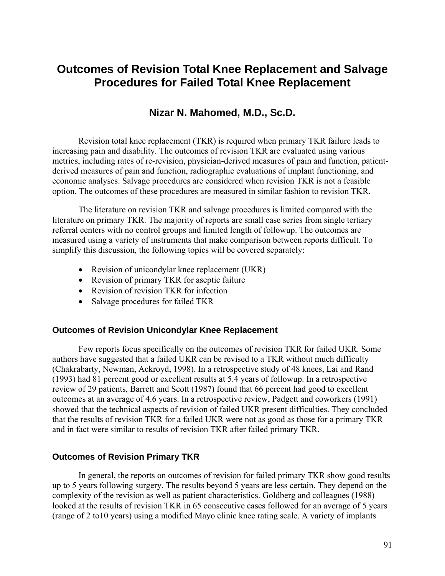# **Outcomes of Revision Total Knee Replacement and Salvage Procedures for Failed Total Knee Replacement**

## **Nizar N. Mahomed, M.D., Sc.D.**

Revision total knee replacement (TKR) is required when primary TKR failure leads to increasing pain and disability. The outcomes of revision TKR are evaluated using various metrics, including rates of re-revision, physician-derived measures of pain and function, patientderived measures of pain and function, radiographic evaluations of implant functioning, and economic analyses. Salvage procedures are considered when revision TKR is not a feasible option. The outcomes of these procedures are measured in similar fashion to revision TKR.

The literature on revision TKR and salvage procedures is limited compared with the literature on primary TKR. The majority of reports are small case series from single tertiary referral centers with no control groups and limited length of followup. The outcomes are measured using a variety of instruments that make comparison between reports difficult. To simplify this discussion, the following topics will be covered separately:

- Revision of unicondylar knee replacement (UKR)
- Revision of primary TKR for aseptic failure
- Revision of revision TKR for infection
- Salvage procedures for failed TKR

#### **Outcomes of Revision Unicondylar Knee Replacement**

Few reports focus specifically on the outcomes of revision TKR for failed UKR. Some authors have suggested that a failed UKR can be revised to a TKR without much difficulty (Chakrabarty, Newman, Ackroyd, 1998). In a retrospective study of 48 knees, Lai and Rand (1993) had 81 percent good or excellent results at 5.4 years of followup. In a retrospective review of 29 patients, Barrett and Scott (1987) found that 66 percent had good to excellent outcomes at an average of 4.6 years. In a retrospective review, Padgett and coworkers (1991) showed that the technical aspects of revision of failed UKR present difficulties. They concluded that the results of revision TKR for a failed UKR were not as good as those for a primary TKR and in fact were similar to results of revision TKR after failed primary TKR.

#### **Outcomes of Revision Primary TKR**

In general, the reports on outcomes of revision for failed primary TKR show good results up to 5 years following surgery. The results beyond 5 years are less certain. They depend on the complexity of the revision as well as patient characteristics. Goldberg and colleagues (1988) looked at the results of revision TKR in 65 consecutive cases followed for an average of 5 years (range of 2 to10 years) using a modified Mayo clinic knee rating scale. A variety of implants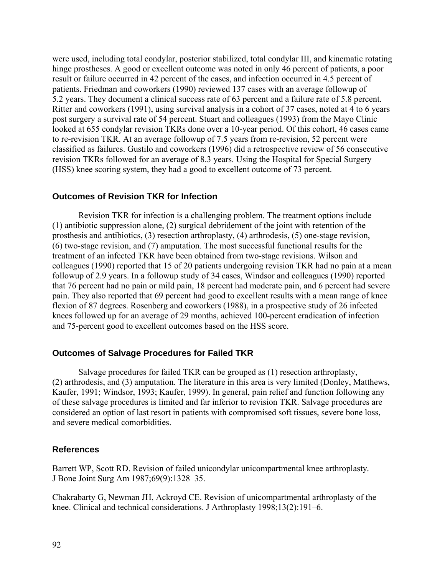were used, including total condylar, posterior stabilized, total condylar III, and kinematic rotating hinge prostheses. A good or excellent outcome was noted in only 46 percent of patients, a poor result or failure occurred in 42 percent of the cases, and infection occurred in 4.5 percent of patients. Friedman and coworkers (1990) reviewed 137 cases with an average followup of 5.2 years. They document a clinical success rate of 63 percent and a failure rate of 5.8 percent. Ritter and coworkers (1991), using survival analysis in a cohort of 37 cases, noted at 4 to 6 years post surgery a survival rate of 54 percent. Stuart and colleagues (1993) from the Mayo Clinic looked at 655 condylar revision TKRs done over a 10-year period. Of this cohort, 46 cases came to re-revision TKR. At an average followup of 7.5 years from re-revision, 52 percent were classified as failures. Gustilo and coworkers (1996) did a retrospective review of 56 consecutive revision TKRs followed for an average of 8.3 years. Using the Hospital for Special Surgery (HSS) knee scoring system, they had a good to excellent outcome of 73 percent.

#### **Outcomes of Revision TKR for Infection**

Revision TKR for infection is a challenging problem. The treatment options include (1) antibiotic suppression alone, (2) surgical debridement of the joint with retention of the prosthesis and antibiotics, (3) resection arthroplasty, (4) arthrodesis, (5) one-stage revision, (6) two-stage revision, and (7) amputation. The most successful functional results for the treatment of an infected TKR have been obtained from two-stage revisions. Wilson and colleagues (1990) reported that 15 of 20 patients undergoing revision TKR had no pain at a mean followup of 2.9 years. In a followup study of 34 cases, Windsor and colleagues (1990) reported that 76 percent had no pain or mild pain, 18 percent had moderate pain, and 6 percent had severe pain. They also reported that 69 percent had good to excellent results with a mean range of knee flexion of 87 degrees. Rosenberg and coworkers (1988), in a prospective study of 26 infected knees followed up for an average of 29 months, achieved 100-percent eradication of infection and 75-percent good to excellent outcomes based on the HSS score.

#### **Outcomes of Salvage Procedures for Failed TKR**

Salvage procedures for failed TKR can be grouped as (1) resection arthroplasty, (2) arthrodesis, and (3) amputation. The literature in this area is very limited (Donley, Matthews, Kaufer, 1991; Windsor, 1993; Kaufer, 1999). In general, pain relief and function following any of these salvage procedures is limited and far inferior to revision TKR. Salvage procedures are considered an option of last resort in patients with compromised soft tissues, severe bone loss, and severe medical comorbidities.

#### **References**

Barrett WP, Scott RD. Revision of failed unicondylar unicompartmental knee arthroplasty*.*  J Bone Joint Surg Am 1987;69(9):1328–35.

Chakrabarty G, Newman JH, Ackroyd CE. Revision of unicompartmental arthroplasty of the knee. Clinical and technical considerations. J Arthroplasty 1998;13(2):191–6.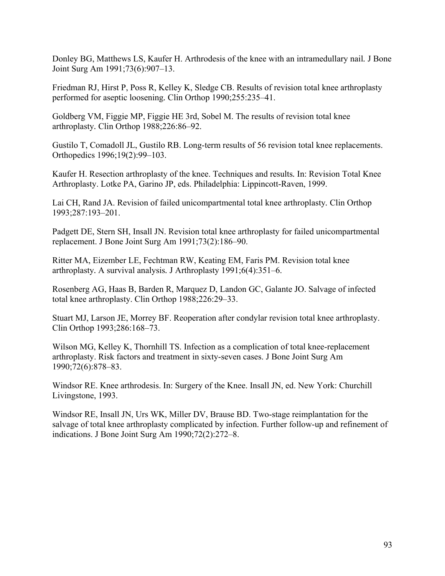Donley BG, Matthews LS, Kaufer H. Arthrodesis of the knee with an intramedullary nail*.* J Bone Joint Surg Am 1991;73(6):907–13.

Friedman RJ, Hirst P, Poss R, Kelley K, Sledge CB. Results of revision total knee arthroplasty performed for aseptic loosening*.* Clin Orthop 1990;255:235–41.

Goldberg VM, Figgie MP, Figgie HE 3rd, Sobel M. The results of revision total knee arthroplasty*.* Clin Orthop 1988;226:86–92.

Gustilo T, Comadoll JL, Gustilo RB. Long-term results of 56 revision total knee replacements. Orthopedics 1996;19(2):99–103.

Kaufer H. Resection arthroplasty of the knee. Techniques and results*.* In: Revision Total Knee Arthroplasty. Lotke PA, Garino JP, eds. Philadelphia: Lippincott-Raven, 1999.

Lai CH, Rand JA. Revision of failed unicompartmental total knee arthroplasty*.* Clin Orthop 1993;287:193–201.

Padgett DE, Stern SH, Insall JN. Revision total knee arthroplasty for failed unicompartmental replacement. J Bone Joint Surg Am 1991;73(2):186–90.

Ritter MA, Eizember LE, Fechtman RW, Keating EM, Faris PM. Revision total knee arthroplasty*.* A survival analysis*.* J Arthroplasty 1991;6(4):351–6.

Rosenberg AG, Haas B, Barden R, Marquez D, Landon GC, Galante JO. Salvage of infected total knee arthroplasty. Clin Orthop 1988;226:29–33.

Stuart MJ, Larson JE, Morrey BF. Reoperation after condylar revision total knee arthroplasty. Clin Orthop 1993;286:168–73.

Wilson MG, Kelley K, Thornhill TS. Infection as a complication of total knee-replacement arthroplasty. Risk factors and treatment in sixty-seven cases. J Bone Joint Surg Am 1990;72(6):878–83.

Windsor RE. Knee arthrodesis. In: Surgery of the Knee. Insall JN, ed. New York: Churchill Livingstone, 1993.

Windsor RE, Insall JN, Urs WK, Miller DV, Brause BD. Two-stage reimplantation for the salvage of total knee arthroplasty complicated by infection. Further follow-up and refinement of indications. J Bone Joint Surg Am 1990;72(2):272–8.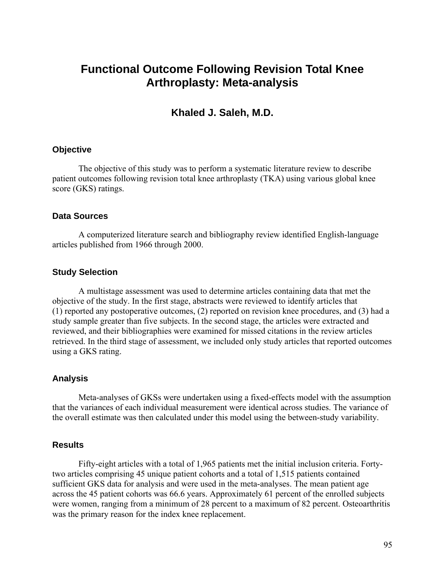# **Functional Outcome Following Revision Total Knee Arthroplasty: Meta-analysis**

## **Khaled J. Saleh, M.D.**

#### **Objective**

The objective of this study was to perform a systematic literature review to describe patient outcomes following revision total knee arthroplasty (TKA) using various global knee score (GKS) ratings.

#### **Data Sources**

A computerized literature search and bibliography review identified English-language articles published from 1966 through 2000.

#### **Study Selection**

A multistage assessment was used to determine articles containing data that met the objective of the study. In the first stage, abstracts were reviewed to identify articles that (1) reported any postoperative outcomes, (2) reported on revision knee procedures, and (3) had a study sample greater than five subjects. In the second stage, the articles were extracted and reviewed, and their bibliographies were examined for missed citations in the review articles retrieved. In the third stage of assessment, we included only study articles that reported outcomes using a GKS rating.

#### **Analysis**

Meta-analyses of GKSs were undertaken using a fixed-effects model with the assumption that the variances of each individual measurement were identical across studies. The variance of the overall estimate was then calculated under this model using the between-study variability.

#### **Results**

Fifty-eight articles with a total of 1,965 patients met the initial inclusion criteria. Fortytwo articles comprising 45 unique patient cohorts and a total of 1,515 patients contained sufficient GKS data for analysis and were used in the meta-analyses. The mean patient age across the 45 patient cohorts was 66.6 years. Approximately 61 percent of the enrolled subjects were women, ranging from a minimum of 28 percent to a maximum of 82 percent. Osteoarthritis was the primary reason for the index knee replacement.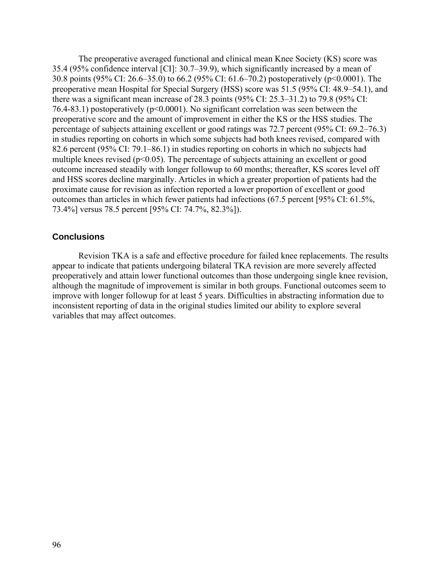The preoperative averaged functional and clinical mean Knee Society (KS) score was 35.4 (95% confidence interval [CI]: 30.7–39.9), which significantly increased by a mean of 30.8 points (95% CI: 26.6–35.0) to 66.2 (95% CI: 61.6–70.2) postoperatively (p<0.0001). The preoperative mean Hospital for Special Surgery (HSS) score was 51.5 (95% CI: 48.9–54.1), and there was a significant mean increase of 28.3 points (95% CI: 25.3–31.2) to 79.8 (95% CI: 76.4-83.1) postoperatively (p<0.0001). No significant correlation was seen between the preoperative score and the amount of improvement in either the KS or the HSS studies. The percentage of subjects attaining excellent or good ratings was 72.7 percent (95% CI: 69.2–76.3) in studies reporting on cohorts in which some subjects had both knees revised, compared with 82.6 percent (95% CI: 79.1–86.1) in studies reporting on cohorts in which no subjects had multiple knees revised  $(p<0.05)$ . The percentage of subjects attaining an excellent or good outcome increased steadily with longer followup to 60 months; thereafter, KS scores level off and HSS scores decline marginally. Articles in which a greater proportion of patients had the proximate cause for revision as infection reported a lower proportion of excellent or good outcomes than articles in which fewer patients had infections (67.5 percent [95% CI: 61.5%, 73.4%] versus 78.5 percent [95% CI: 74.7%, 82.3%]).

#### **Conclusions**

Revision TKA is a safe and effective procedure for failed knee replacements. The results appear to indicate that patients undergoing bilateral TKA revision are more severely affected preoperatively and attain lower functional outcomes than those undergoing single knee revision, although the magnitude of improvement is similar in both groups. Functional outcomes seem to improve with longer followup for at least 5 years. Difficulties in abstracting information due to inconsistent reporting of data in the original studies limited our ability to explore several variables that may affect outcomes.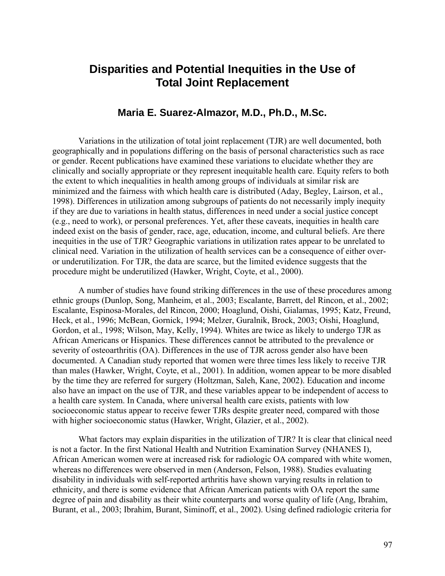# **Disparities and Potential Inequities in the Use of Total Joint Replacement**

## **Maria E. Suarez-Almazor, M.D., Ph.D., M.Sc.**

Variations in the utilization of total joint replacement (TJR) are well documented, both geographically and in populations differing on the basis of personal characteristics such as race or gender. Recent publications have examined these variations to elucidate whether they are clinically and socially appropriate or they represent inequitable health care. Equity refers to both the extent to which inequalities in health among groups of individuals at similar risk are minimized and the fairness with which health care is distributed (Aday, Begley, Lairson, et al., 1998). Differences in utilization among subgroups of patients do not necessarily imply inequity if they are due to variations in health status, differences in need under a social justice concept (e.g., need to work), or personal preferences. Yet, after these caveats, inequities in health care indeed exist on the basis of gender, race, age, education, income, and cultural beliefs. Are there inequities in the use of TJR? Geographic variations in utilization rates appear to be unrelated to clinical need. Variation in the utilization of health services can be a consequence of either overor underutilization. For TJR, the data are scarce, but the limited evidence suggests that the procedure might be underutilized (Hawker, Wright, Coyte, et al., 2000).

A number of studies have found striking differences in the use of these procedures among ethnic groups (Dunlop, Song, Manheim, et al., 2003; Escalante, Barrett, del Rincon, et al., 2002; Escalante, Espinosa-Morales, del Rincon, 2000; Hoaglund, Oishi, Gialamas, 1995; Katz, Freund, Heck, et al., 1996; McBean, Gornick, 1994; Melzer, Guralnik, Brock, 2003; Oishi, Hoaglund, Gordon, et al., 1998; Wilson, May, Kelly, 1994). Whites are twice as likely to undergo TJR as African Americans or Hispanics. These differences cannot be attributed to the prevalence or severity of osteoarthritis (OA). Differences in the use of TJR across gender also have been documented. A Canadian study reported that women were three times less likely to receive TJR than males (Hawker, Wright, Coyte, et al., 2001). In addition, women appear to be more disabled by the time they are referred for surgery (Holtzman, Saleh, Kane, 2002). Education and income also have an impact on the use of TJR, and these variables appear to be independent of access to a health care system. In Canada, where universal health care exists, patients with low socioeconomic status appear to receive fewer TJRs despite greater need, compared with those with higher socioeconomic status (Hawker, Wright, Glazier, et al., 2002).

What factors may explain disparities in the utilization of TJR? It is clear that clinical need is not a factor. In the first National Health and Nutrition Examination Survey (NHANES I), African American women were at increased risk for radiologic OA compared with white women, whereas no differences were observed in men (Anderson, Felson, 1988). Studies evaluating disability in individuals with self-reported arthritis have shown varying results in relation to ethnicity, and there is some evidence that African American patients with OA report the same degree of pain and disability as their white counterparts and worse quality of life (Ang, Ibrahim, Burant, et al., 2003; Ibrahim, Burant, Siminoff, et al., 2002). Using defined radiologic criteria for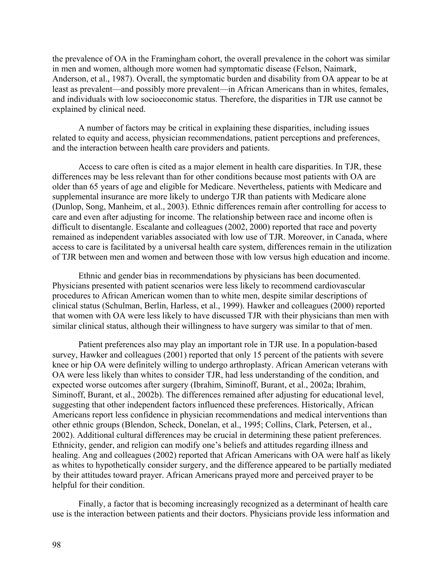the prevalence of OA in the Framingham cohort, the overall prevalence in the cohort was similar in men and women, although more women had symptomatic disease (Felson, Naimark, Anderson, et al., 1987). Overall, the symptomatic burden and disability from OA appear to be at least as prevalent—and possibly more prevalent—in African Americans than in whites, females, and individuals with low socioeconomic status. Therefore, the disparities in TJR use cannot be explained by clinical need.

A number of factors may be critical in explaining these disparities, including issues related to equity and access, physician recommendations, patient perceptions and preferences, and the interaction between health care providers and patients.

Access to care often is cited as a major element in health care disparities. In TJR, these differences may be less relevant than for other conditions because most patients with OA are older than 65 years of age and eligible for Medicare. Nevertheless, patients with Medicare and supplemental insurance are more likely to undergo TJR than patients with Medicare alone (Dunlop, Song, Manheim, et al., 2003). Ethnic differences remain after controlling for access to care and even after adjusting for income. The relationship between race and income often is difficult to disentangle. Escalante and colleagues (2002, 2000) reported that race and poverty remained as independent variables associated with low use of TJR. Moreover, in Canada, where access to care is facilitated by a universal health care system, differences remain in the utilization of TJR between men and women and between those with low versus high education and income.

Ethnic and gender bias in recommendations by physicians has been documented. Physicians presented with patient scenarios were less likely to recommend cardiovascular procedures to African American women than to white men, despite similar descriptions of clinical status (Schulman, Berlin, Harless, et al., 1999). Hawker and colleagues (2000) reported that women with OA were less likely to have discussed TJR with their physicians than men with similar clinical status, although their willingness to have surgery was similar to that of men.

Patient preferences also may play an important role in TJR use. In a population-based survey, Hawker and colleagues (2001) reported that only 15 percent of the patients with severe knee or hip OA were definitely willing to undergo arthroplasty. African American veterans with OA were less likely than whites to consider TJR, had less understanding of the condition, and expected worse outcomes after surgery (Ibrahim, Siminoff, Burant, et al., 2002a; Ibrahim, Siminoff, Burant, et al., 2002b). The differences remained after adjusting for educational level, suggesting that other independent factors influenced these preferences. Historically, African Americans report less confidence in physician recommendations and medical interventions than other ethnic groups (Blendon, Scheck, Donelan, et al., 1995; Collins, Clark, Petersen, et al., 2002). Additional cultural differences may be crucial in determining these patient preferences. Ethnicity, gender, and religion can modify one's beliefs and attitudes regarding illness and healing. Ang and colleagues (2002) reported that African Americans with OA were half as likely as whites to hypothetically consider surgery, and the difference appeared to be partially mediated by their attitudes toward prayer. African Americans prayed more and perceived prayer to be helpful for their condition.

Finally, a factor that is becoming increasingly recognized as a determinant of health care use is the interaction between patients and their doctors. Physicians provide less information and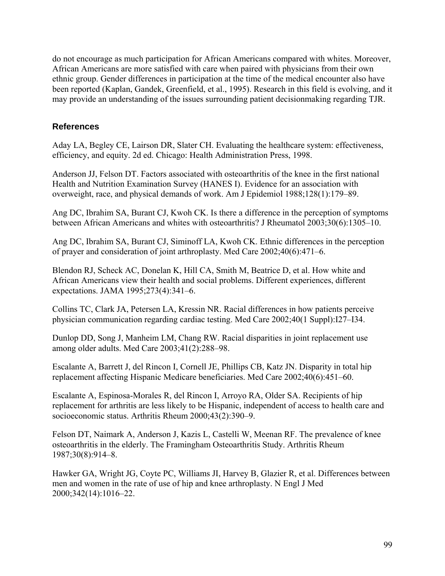do not encourage as much participation for African Americans compared with whites. Moreover, African Americans are more satisfied with care when paired with physicians from their own ethnic group. Gender differences in participation at the time of the medical encounter also have been reported (Kaplan, Gandek, Greenfield, et al., 1995). Research in this field is evolving, and it may provide an understanding of the issues surrounding patient decisionmaking regarding TJR.

### **References**

Aday LA, Begley CE, Lairson DR, Slater CH. Evaluating the healthcare system: effectiveness, efficiency, and equity. 2d ed. Chicago: Health Administration Press, 1998.

Anderson JJ, Felson DT. Factors associated with osteoarthritis of the knee in the first national Health and Nutrition Examination Survey (HANES I). Evidence for an association with overweight, race, and physical demands of work. Am J Epidemiol 1988;128(1):179–89.

Ang DC, Ibrahim SA, Burant CJ, Kwoh CK. Is there a difference in the perception of symptoms between African Americans and whites with osteoarthritis? J Rheumatol 2003;30(6):1305–10.

Ang DC, Ibrahim SA, Burant CJ, Siminoff LA, Kwoh CK. Ethnic differences in the perception of prayer and consideration of joint arthroplasty. Med Care 2002;40(6):471–6.

Blendon RJ, Scheck AC, Donelan K, Hill CA, Smith M, Beatrice D, et al. How white and African Americans view their health and social problems. Different experiences, different expectations. JAMA 1995;273(4):341–6.

Collins TC, Clark JA, Petersen LA, Kressin NR. Racial differences in how patients perceive physician communication regarding cardiac testing. Med Care 2002;40(1 Suppl):I27–I34.

Dunlop DD, Song J, Manheim LM, Chang RW. Racial disparities in joint replacement use among older adults. Med Care 2003;41(2):288–98.

Escalante A, Barrett J, del Rincon I, Cornell JE, Phillips CB, Katz JN. Disparity in total hip replacement affecting Hispanic Medicare beneficiaries. Med Care 2002;40(6):451–60.

Escalante A, Espinosa-Morales R, del Rincon I, Arroyo RA, Older SA. Recipients of hip replacement for arthritis are less likely to be Hispanic, independent of access to health care and socioeconomic status. Arthritis Rheum 2000;43(2):390–9.

Felson DT, Naimark A, Anderson J, Kazis L, Castelli W, Meenan RF. The prevalence of knee osteoarthritis in the elderly. The Framingham Osteoarthritis Study. Arthritis Rheum 1987;30(8):914–8.

Hawker GA, Wright JG, Coyte PC, Williams JI, Harvey B, Glazier R, et al. Differences between men and women in the rate of use of hip and knee arthroplasty. N Engl J Med 2000;342(14):1016–22.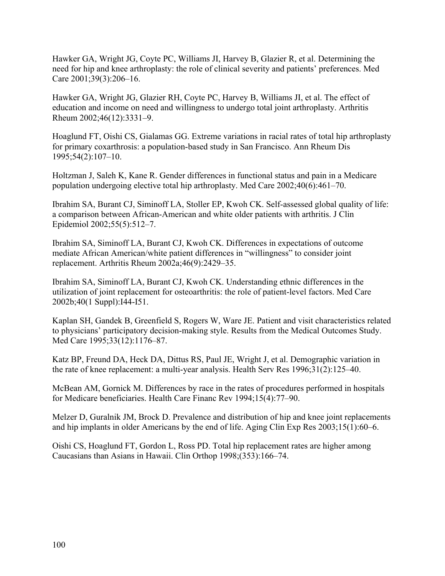Hawker GA, Wright JG, Coyte PC, Williams JI, Harvey B, Glazier R, et al. Determining the need for hip and knee arthroplasty: the role of clinical severity and patients' preferences. Med Care 2001;39(3):206–16.

Hawker GA, Wright JG, Glazier RH, Coyte PC, Harvey B, Williams JI, et al. The effect of education and income on need and willingness to undergo total joint arthroplasty. Arthritis Rheum 2002;46(12):3331–9.

Hoaglund FT, Oishi CS, Gialamas GG. Extreme variations in racial rates of total hip arthroplasty for primary coxarthrosis: a population-based study in San Francisco. Ann Rheum Dis 1995;54(2):107–10.

Holtzman J, Saleh K, Kane R. Gender differences in functional status and pain in a Medicare population undergoing elective total hip arthroplasty. Med Care 2002;40(6):461–70.

Ibrahim SA, Burant CJ, Siminoff LA, Stoller EP, Kwoh CK. Self-assessed global quality of life: a comparison between African-American and white older patients with arthritis. J Clin Epidemiol 2002;55(5):512–7.

Ibrahim SA, Siminoff LA, Burant CJ, Kwoh CK. Differences in expectations of outcome mediate African American/white patient differences in "willingness" to consider joint replacement. Arthritis Rheum 2002a;46(9):2429–35.

Ibrahim SA, Siminoff LA, Burant CJ, Kwoh CK. Understanding ethnic differences in the utilization of joint replacement for osteoarthritis: the role of patient-level factors. Med Care 2002b;40(1 Suppl):I44-I51.

Kaplan SH, Gandek B, Greenfield S, Rogers W, Ware JE. Patient and visit characteristics related to physicians' participatory decision-making style. Results from the Medical Outcomes Study. Med Care 1995;33(12):1176–87.

Katz BP, Freund DA, Heck DA, Dittus RS, Paul JE, Wright J, et al. Demographic variation in the rate of knee replacement: a multi-year analysis. Health Serv Res 1996;31(2):125–40.

McBean AM, Gornick M. Differences by race in the rates of procedures performed in hospitals for Medicare beneficiaries. Health Care Financ Rev 1994;15(4):77–90.

Melzer D, Guralnik JM, Brock D. Prevalence and distribution of hip and knee joint replacements and hip implants in older Americans by the end of life. Aging Clin Exp Res 2003;15(1):60–6.

Oishi CS, Hoaglund FT, Gordon L, Ross PD. Total hip replacement rates are higher among Caucasians than Asians in Hawaii. Clin Orthop 1998;(353):166–74.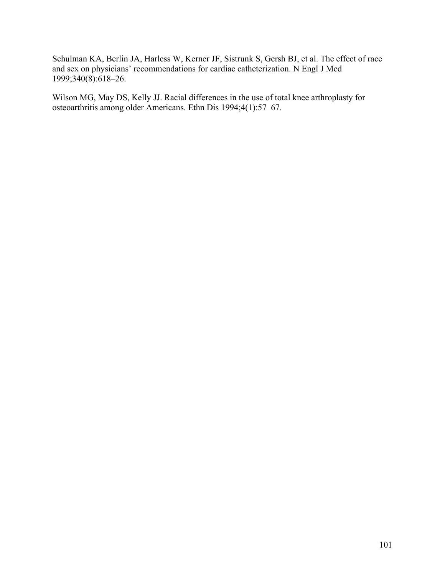Schulman KA, Berlin JA, Harless W, Kerner JF, Sistrunk S, Gersh BJ, et al. The effect of race and sex on physicians' recommendations for cardiac catheterization. N Engl J Med 1999;340(8):618–26.

Wilson MG, May DS, Kelly JJ. Racial differences in the use of total knee arthroplasty for osteoarthritis among older Americans. Ethn Dis 1994;4(1):57–67.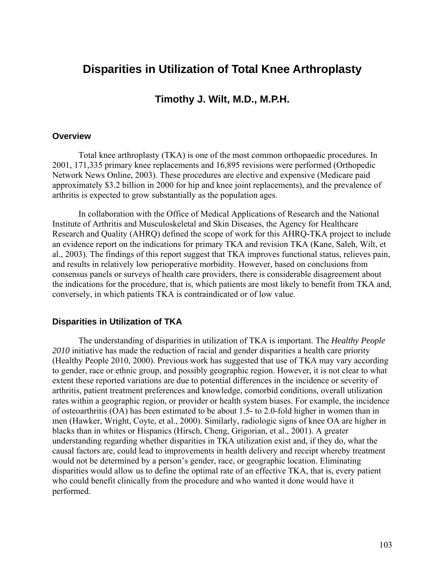# **Disparities in Utilization of Total Knee Arthroplasty**

**Timothy J. Wilt, M.D., M.P.H.** 

#### **Overview**

Total knee arthroplasty (TKA) is one of the most common orthopaedic procedures. In 2001, 171,335 primary knee replacements and 16,895 revisions were performed (Orthopedic Network News Online, 2003). These procedures are elective and expensive (Medicare paid approximately \$3.2 billion in 2000 for hip and knee joint replacements), and the prevalence of arthritis is expected to grow substantially as the population ages.

In collaboration with the Office of Medical Applications of Research and the National Institute of Arthritis and Musculoskeletal and Skin Diseases, the Agency for Healthcare Research and Quality (AHRQ) defined the scope of work for this AHRQ-TKA project to include an evidence report on the indications for primary TKA and revision TKA (Kane, Saleh, Wilt, et al., 2003). The findings of this report suggest that TKA improves functional status, relieves pain, and results in relatively low perioperative morbidity. However, based on conclusions from consensus panels or surveys of health care providers, there is considerable disagreement about the indications for the procedure, that is, which patients are most likely to benefit from TKA and, conversely, in which patients TKA is contraindicated or of low value.

#### **Disparities in Utilization of TKA**

The understanding of disparities in utilization of TKA is important. The *Healthy People 2010* initiative has made the reduction of racial and gender disparities a health care priority (Healthy People 2010, 2000). Previous work has suggested that use of TKA may vary according to gender, race or ethnic group, and possibly geographic region. However, it is not clear to what extent these reported variations are due to potential differences in the incidence or severity of arthritis, patient treatment preferences and knowledge, comorbid conditions, overall utilization rates within a geographic region, or provider or health system biases. For example, the incidence of osteoarthritis (OA) has been estimated to be about 1.5- to 2.0-fold higher in women than in men (Hawker, Wright, Coyte, et al., 2000). Similarly, radiologic signs of knee OA are higher in blacks than in whites or Hispanics (Hirsch, Cheng, Grigorian, et al., 2001). A greater understanding regarding whether disparities in TKA utilization exist and, if they do, what the causal factors are, could lead to improvements in health delivery and receipt whereby treatment would not be determined by a person's gender, race, or geographic location. Eliminating disparities would allow us to define the optimal rate of an effective TKA, that is, every patient who could benefit clinically from the procedure and who wanted it done would have it performed.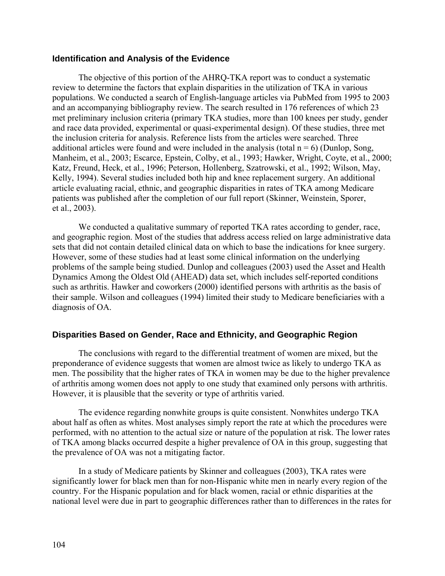#### **Identification and Analysis of the Evidence**

The objective of this portion of the AHRQ-TKA report was to conduct a systematic review to determine the factors that explain disparities in the utilization of TKA in various populations. We conducted a search of English-language articles via PubMed from 1995 to 2003 and an accompanying bibliography review. The search resulted in 176 references of which 23 met preliminary inclusion criteria (primary TKA studies, more than 100 knees per study, gender and race data provided, experimental or quasi-experimental design). Of these studies, three met the inclusion criteria for analysis. Reference lists from the articles were searched. Three additional articles were found and were included in the analysis (total  $n = 6$ ) (Dunlop, Song, Manheim, et al., 2003; Escarce, Epstein, Colby, et al., 1993; Hawker, Wright, Coyte, et al., 2000; Katz, Freund, Heck, et al., 1996; Peterson, Hollenberg, Szatrowski, et al., 1992; Wilson, May, Kelly, 1994). Several studies included both hip and knee replacement surgery. An additional article evaluating racial, ethnic, and geographic disparities in rates of TKA among Medicare patients was published after the completion of our full report (Skinner, Weinstein, Sporer, et al., 2003).

We conducted a qualitative summary of reported TKA rates according to gender, race, and geographic region. Most of the studies that address access relied on large administrative data sets that did not contain detailed clinical data on which to base the indications for knee surgery. However, some of these studies had at least some clinical information on the underlying problems of the sample being studied. Dunlop and colleagues (2003) used the Asset and Health Dynamics Among the Oldest Old (AHEAD) data set, which includes self-reported conditions such as arthritis. Hawker and coworkers (2000) identified persons with arthritis as the basis of their sample. Wilson and colleagues (1994) limited their study to Medicare beneficiaries with a diagnosis of OA.

#### **Disparities Based on Gender, Race and Ethnicity, and Geographic Region**

The conclusions with regard to the differential treatment of women are mixed, but the preponderance of evidence suggests that women are almost twice as likely to undergo TKA as men. The possibility that the higher rates of TKA in women may be due to the higher prevalence of arthritis among women does not apply to one study that examined only persons with arthritis. However, it is plausible that the severity or type of arthritis varied.

The evidence regarding nonwhite groups is quite consistent. Nonwhites undergo TKA about half as often as whites. Most analyses simply report the rate at which the procedures were performed, with no attention to the actual size or nature of the population at risk. The lower rates of TKA among blacks occurred despite a higher prevalence of OA in this group, suggesting that the prevalence of OA was not a mitigating factor.

In a study of Medicare patients by Skinner and colleagues (2003), TKA rates were significantly lower for black men than for non-Hispanic white men in nearly every region of the country. For the Hispanic population and for black women, racial or ethnic disparities at the national level were due in part to geographic differences rather than to differences in the rates for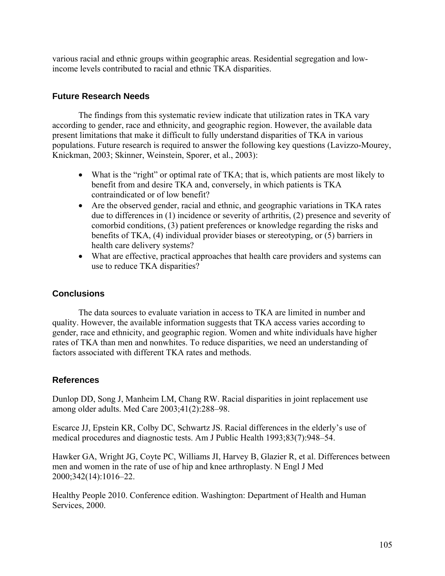various racial and ethnic groups within geographic areas. Residential segregation and lowincome levels contributed to racial and ethnic TKA disparities.

#### **Future Research Needs**

The findings from this systematic review indicate that utilization rates in TKA vary according to gender, race and ethnicity, and geographic region. However, the available data present limitations that make it difficult to fully understand disparities of TKA in various populations. Future research is required to answer the following key questions (Lavizzo-Mourey, Knickman, 2003; Skinner, Weinstein, Sporer, et al., 2003):

- What is the "right" or optimal rate of TKA; that is, which patients are most likely to benefit from and desire TKA and, conversely, in which patients is TKA contraindicated or of low benefit?
- Are the observed gender, racial and ethnic, and geographic variations in TKA rates due to differences in (1) incidence or severity of arthritis, (2) presence and severity of comorbid conditions, (3) patient preferences or knowledge regarding the risks and benefits of TKA, (4) individual provider biases or stereotyping, or (5) barriers in health care delivery systems?
- What are effective, practical approaches that health care providers and systems can use to reduce TKA disparities?

#### **Conclusions**

The data sources to evaluate variation in access to TKA are limited in number and quality. However, the available information suggests that TKA access varies according to gender, race and ethnicity, and geographic region. Women and white individuals have higher rates of TKA than men and nonwhites. To reduce disparities, we need an understanding of factors associated with different TKA rates and methods.

#### **References**

Dunlop DD, Song J, Manheim LM, Chang RW. Racial disparities in joint replacement use among older adults. Med Care 2003;41(2):288–98.

Escarce JJ, Epstein KR, Colby DC, Schwartz JS. Racial differences in the elderly's use of medical procedures and diagnostic tests. Am J Public Health 1993;83(7):948–54.

Hawker GA, Wright JG, Coyte PC, Williams JI, Harvey B, Glazier R, et al. Differences between men and women in the rate of use of hip and knee arthroplasty. N Engl J Med 2000;342(14):1016–22.

Healthy People 2010. Conference edition. Washington: Department of Health and Human Services, 2000.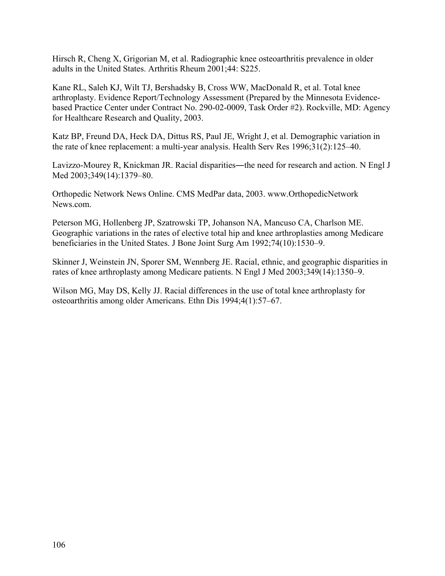Hirsch R, Cheng X, Grigorian M, et al. Radiographic knee osteoarthritis prevalence in older adults in the United States. Arthritis Rheum 2001;44: S225.

Kane RL, Saleh KJ, Wilt TJ, Bershadsky B, Cross WW, MacDonald R, et al. Total knee arthroplasty. Evidence Report/Technology Assessment (Prepared by the Minnesota Evidencebased Practice Center under Contract No. 290-02-0009, Task Order #2). Rockville, MD: Agency for Healthcare Research and Quality, 2003.

Katz BP, Freund DA, Heck DA, Dittus RS, Paul JE, Wright J, et al. Demographic variation in the rate of knee replacement: a multi-year analysis. Health Serv Res 1996;31(2):125–40.

Lavizzo-Mourey R, Knickman JR. Racial disparities—the need for research and action. N Engl J Med 2003;349(14):1379–80.

Orthopedic Network News Online. CMS MedPar data, 2003. www.OrthopedicNetwork News.com.

Peterson MG, Hollenberg JP, Szatrowski TP, Johanson NA, Mancuso CA, Charlson ME. Geographic variations in the rates of elective total hip and knee arthroplasties among Medicare beneficiaries in the United States. J Bone Joint Surg Am 1992;74(10):1530–9.

Skinner J, Weinstein JN, Sporer SM, Wennberg JE. Racial, ethnic, and geographic disparities in rates of knee arthroplasty among Medicare patients. N Engl J Med 2003;349(14):1350–9.

Wilson MG, May DS, Kelly JJ. Racial differences in the use of total knee arthroplasty for osteoarthritis among older Americans. Ethn Dis 1994;4(1):57–67.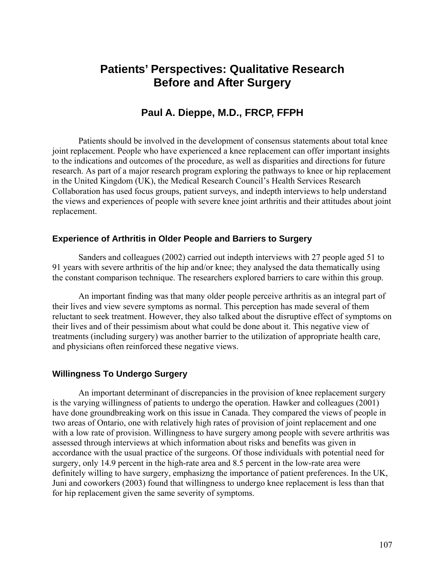# **Patients' Perspectives: Qualitative Research Before and After Surgery**

# **Paul A. Dieppe, M.D., FRCP, FFPH**

Patients should be involved in the development of consensus statements about total knee joint replacement. People who have experienced a knee replacement can offer important insights to the indications and outcomes of the procedure, as well as disparities and directions for future research. As part of a major research program exploring the pathways to knee or hip replacement in the United Kingdom (UK), the Medical Research Council's Health Services Research Collaboration has used focus groups, patient surveys, and indepth interviews to help understand the views and experiences of people with severe knee joint arthritis and their attitudes about joint replacement.

#### **Experience of Arthritis in Older People and Barriers to Surgery**

Sanders and colleagues (2002) carried out indepth interviews with 27 people aged 51 to 91 years with severe arthritis of the hip and/or knee; they analysed the data thematically using the constant comparison technique. The researchers explored barriers to care within this group.

An important finding was that many older people perceive arthritis as an integral part of their lives and view severe symptoms as normal. This perception has made several of them reluctant to seek treatment. However, they also talked about the disruptive effect of symptoms on their lives and of their pessimism about what could be done about it. This negative view of treatments (including surgery) was another barrier to the utilization of appropriate health care, and physicians often reinforced these negative views.

## **Willingness To Undergo Surgery**

An important determinant of discrepancies in the provision of knee replacement surgery is the varying willingness of patients to undergo the operation. Hawker and colleagues (2001) have done groundbreaking work on this issue in Canada. They compared the views of people in two areas of Ontario, one with relatively high rates of provision of joint replacement and one with a low rate of provision. Willingness to have surgery among people with severe arthritis was assessed through interviews at which information about risks and benefits was given in accordance with the usual practice of the surgeons. Of those individuals with potential need for surgery, only 14.9 percent in the high-rate area and 8.5 percent in the low-rate area were definitely willing to have surgery, emphasizng the importance of patient preferences. In the UK, Juni and coworkers (2003) found that willingness to undergo knee replacement is less than that for hip replacement given the same severity of symptoms.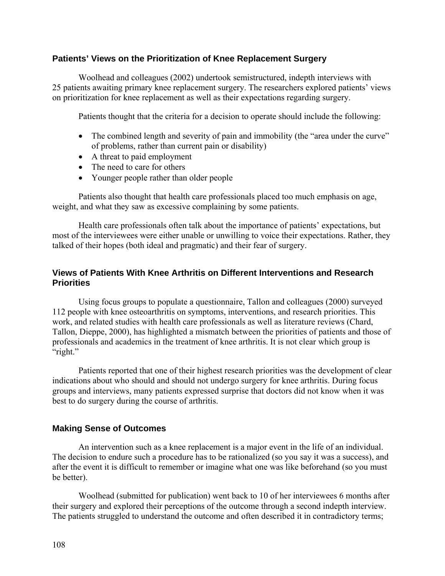#### **Patients' Views on the Prioritization of Knee Replacement Surgery**

Woolhead and colleagues (2002) undertook semistructured, indepth interviews with 25 patients awaiting primary knee replacement surgery. The researchers explored patients' views on prioritization for knee replacement as well as their expectations regarding surgery.

Patients thought that the criteria for a decision to operate should include the following:

- The combined length and severity of pain and immobility (the "area under the curve" of problems, rather than current pain or disability)
- A threat to paid employment
- The need to care for others
- Younger people rather than older people

Patients also thought that health care professionals placed too much emphasis on age, weight, and what they saw as excessive complaining by some patients.

Health care professionals often talk about the importance of patients' expectations, but most of the interviewees were either unable or unwilling to voice their expectations. Rather, they talked of their hopes (both ideal and pragmatic) and their fear of surgery.

# **Views of Patients With Knee Arthritis on Different Interventions and Research Priorities**

Using focus groups to populate a questionnaire, Tallon and colleagues (2000) surveyed 112 people with knee osteoarthritis on symptoms, interventions, and research priorities. This work, and related studies with health care professionals as well as literature reviews (Chard, Tallon, Dieppe, 2000), has highlighted a mismatch between the priorities of patients and those of professionals and academics in the treatment of knee arthritis. It is not clear which group is "right."

Patients reported that one of their highest research priorities was the development of clear indications about who should and should not undergo surgery for knee arthritis. During focus groups and interviews, many patients expressed surprise that doctors did not know when it was best to do surgery during the course of arthritis.

# **Making Sense of Outcomes**

An intervention such as a knee replacement is a major event in the life of an individual. The decision to endure such a procedure has to be rationalized (so you say it was a success), and after the event it is difficult to remember or imagine what one was like beforehand (so you must be better).

Woolhead (submitted for publication) went back to 10 of her interviewees 6 months after their surgery and explored their perceptions of the outcome through a second indepth interview. The patients struggled to understand the outcome and often described it in contradictory terms;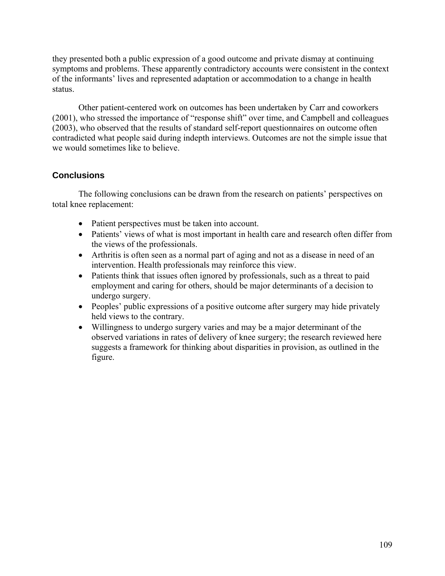they presented both a public expression of a good outcome and private dismay at continuing symptoms and problems. These apparently contradictory accounts were consistent in the context of the informants' lives and represented adaptation or accommodation to a change in health status.

Other patient-centered work on outcomes has been undertaken by Carr and coworkers (2001), who stressed the importance of "response shift" over time, and Campbell and colleagues (2003), who observed that the results of standard self-report questionnaires on outcome often contradicted what people said during indepth interviews. Outcomes are not the simple issue that we would sometimes like to believe.

## **Conclusions**

The following conclusions can be drawn from the research on patients' perspectives on total knee replacement:

- Patient perspectives must be taken into account.
- Patients' views of what is most important in health care and research often differ from the views of the professionals.
- Arthritis is often seen as a normal part of aging and not as a disease in need of an intervention. Health professionals may reinforce this view.
- Patients think that issues often ignored by professionals, such as a threat to paid employment and caring for others, should be major determinants of a decision to undergo surgery.
- Peoples' public expressions of a positive outcome after surgery may hide privately held views to the contrary.
- Willingness to undergo surgery varies and may be a major determinant of the observed variations in rates of delivery of knee surgery; the research reviewed here suggests a framework for thinking about disparities in provision, as outlined in the figure.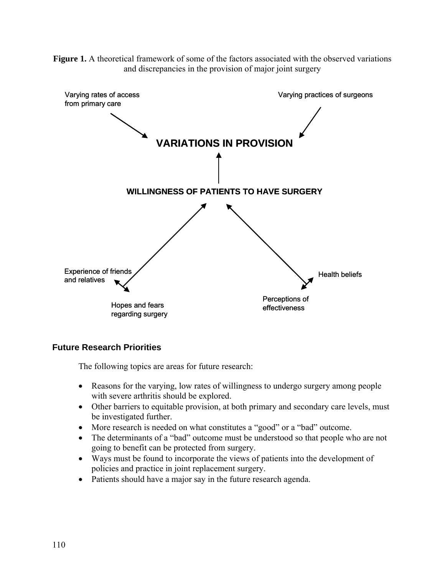



#### **Future Research Priorities**

The following topics are areas for future research:

- Reasons for the varying, low rates of willingness to undergo surgery among people with severe arthritis should be explored.
- Other barriers to equitable provision, at both primary and secondary care levels, must be investigated further.
- More research is needed on what constitutes a "good" or a "bad" outcome.
- The determinants of a "bad" outcome must be understood so that people who are not going to benefit can be protected from surgery.
- Ways must be found to incorporate the views of patients into the development of policies and practice in joint replacement surgery.
- Patients should have a major say in the future research agenda.